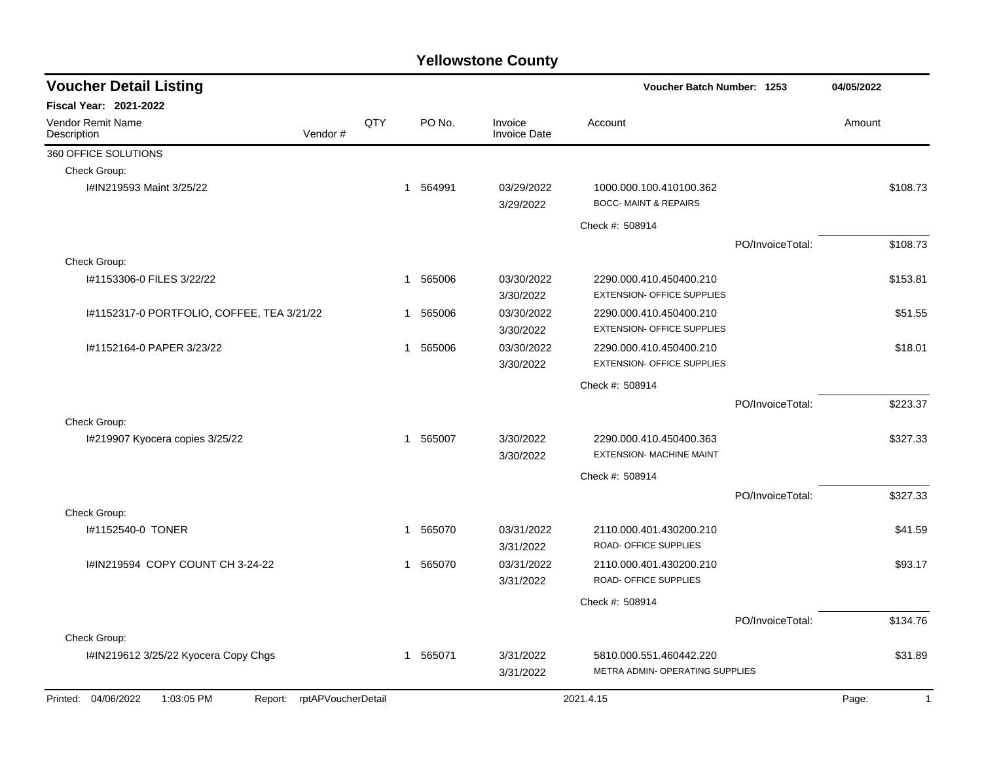| <b>Voucher Detail Listing</b><br>Voucher Batch Number: 1253     |     |                        |                                | 04/05/2022                                                   |                  |                       |
|-----------------------------------------------------------------|-----|------------------------|--------------------------------|--------------------------------------------------------------|------------------|-----------------------|
| <b>Fiscal Year: 2021-2022</b>                                   |     |                        |                                |                                                              |                  |                       |
| <b>Vendor Remit Name</b><br>Vendor#<br>Description              | QTY | PO No.                 | Invoice<br><b>Invoice Date</b> | Account                                                      |                  | Amount                |
| 360 OFFICE SOLUTIONS                                            |     |                        |                                |                                                              |                  |                       |
| Check Group:                                                    |     |                        |                                |                                                              |                  |                       |
| I#IN219593 Maint 3/25/22                                        |     | 1 564991               | 03/29/2022<br>3/29/2022        | 1000.000.100.410100.362<br><b>BOCC- MAINT &amp; REPAIRS</b>  |                  | \$108.73              |
|                                                                 |     |                        |                                | Check #: 508914                                              |                  |                       |
|                                                                 |     |                        |                                |                                                              | PO/InvoiceTotal: | \$108.73              |
| Check Group:                                                    |     |                        |                                |                                                              |                  |                       |
| I#1153306-0 FILES 3/22/22                                       |     | 565006<br>$\mathbf 1$  | 03/30/2022<br>3/30/2022        | 2290.000.410.450400.210<br><b>EXTENSION- OFFICE SUPPLIES</b> |                  | \$153.81              |
| I#1152317-0 PORTFOLIO, COFFEE, TEA 3/21/22                      |     | 565006<br>1            | 03/30/2022<br>3/30/2022        | 2290.000.410.450400.210<br><b>EXTENSION- OFFICE SUPPLIES</b> |                  | \$51.55               |
| I#1152164-0 PAPER 3/23/22                                       |     | 565006<br>1            | 03/30/2022<br>3/30/2022        | 2290.000.410.450400.210<br><b>EXTENSION- OFFICE SUPPLIES</b> |                  | \$18.01               |
|                                                                 |     |                        |                                | Check #: 508914                                              |                  |                       |
|                                                                 |     |                        |                                |                                                              | PO/InvoiceTotal: | \$223.37              |
| Check Group:                                                    |     |                        |                                |                                                              |                  |                       |
| I#219907 Kyocera copies 3/25/22                                 |     | 565007<br>$\mathbf{1}$ | 3/30/2022<br>3/30/2022         | 2290.000.410.450400.363<br><b>EXTENSION- MACHINE MAINT</b>   |                  | \$327.33              |
|                                                                 |     |                        |                                | Check #: 508914                                              |                  |                       |
|                                                                 |     |                        |                                |                                                              | PO/InvoiceTotal: | \$327.33              |
| Check Group:                                                    |     |                        |                                |                                                              |                  |                       |
| #1152540-0 TONER                                                |     | 565070<br>$\mathbf 1$  | 03/31/2022<br>3/31/2022        | 2110.000.401.430200.210<br><b>ROAD- OFFICE SUPPLIES</b>      |                  | \$41.59               |
| I#IN219594 COPY COUNT CH 3-24-22                                |     | 565070<br>$\mathbf 1$  | 03/31/2022<br>3/31/2022        | 2110.000.401.430200.210<br><b>ROAD- OFFICE SUPPLIES</b>      |                  | \$93.17               |
|                                                                 |     |                        |                                | Check #: 508914                                              |                  |                       |
|                                                                 |     |                        |                                |                                                              | PO/InvoiceTotal: | \$134.76              |
| Check Group:                                                    |     |                        |                                |                                                              |                  |                       |
| I#IN219612 3/25/22 Kyocera Copy Chgs                            |     | 565071<br>$\mathbf{1}$ | 3/31/2022<br>3/31/2022         | 5810.000.551.460442.220<br>METRA ADMIN- OPERATING SUPPLIES   |                  | \$31.89               |
| Printed: 04/06/2022<br>1:03:05 PM<br>Report: rptAPVoucherDetail |     |                        |                                | 2021.4.15                                                    |                  | Page:<br>$\mathbf{1}$ |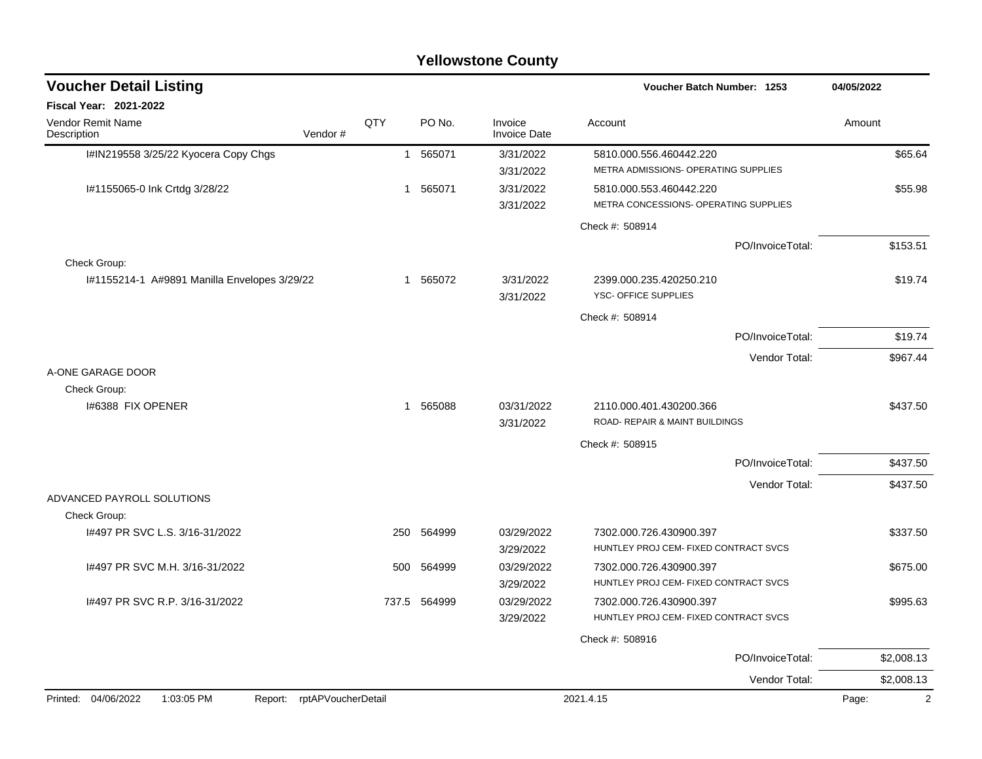#### I#IN219558 3/25/22 Kyocera Copy Chgs 1 565071 3/31/2022 5810.000.556.460442.220 \$65.64 3/31/2022 METRA ADMISSIONS- OPERATING SUPPLIES I#1155065-0 Ink Crtdg 3/28/22 1 565071 3/31/2022 5810.000.553.460442.220 \$55.98 3/31/2022 METRA CONCESSIONS- OPERATING SUPPLIES Check #: 508914 PO/InvoiceTotal: \$153.51 Check Group: I#1155214-1 A#9891 Manilla Envelopes 3/29/22 1 565072 3/31/2022 2399.000.235.420250.210 \$19.74 3/31/2022 YSC- OFFICE SUPPLIES Check #: 508914 PO/InvoiceTotal: \$19.74 Vendor Total: \$967.44 A-ONE GARAGE DOOR Check Group: I#6388 FIX OPENER \$437.50 \$437.50 3/31/2022 ROAD- REPAIR & MAINT BUILDINGS Check #: 508915 PO/InvoiceTotal: \$437.50 Vendor Total: \$437.50 ADVANCED PAYROLL SOLUTIONS Check Group: I#497 PR SVC L.S. 3/16-31/2022 250 250 250 564999 03/29/2022 7302.000.726.430900.397 \$337.50 3/29/2022 HUNTLEY PROJ CEM- FIXED CONTRACT SVCS I#497 PR SVC M.H. 3/16-31/2022 500 564999 03/29/2022 7302.000.726.430900.397 \$675.00 3/29/2022 HUNTLEY PROJ CEM- FIXED CONTRACT SVCS I#497 PR SVC R.P. 3/16-31/2022 737.5 564999 03/29/2022 7302.000.726.430900.397 \$995.63 3/29/2022 HUNTLEY PROJ CEM- FIXED CONTRACT SVCS Check #: 508916 PO/InvoiceTotal: \$2,008.13 Vendor Total: \$2,008.13 **Voucher Batch Number: Yellowstone County** Vendor Remit Name **Description Voucher Detail Listing Fiscal Year: 2021-2022 1253 04/05/2022** PO No. Invoice Account Amount Amount Amount Amount Vendor # **QTY** Invoice Date Printed: 04/06/2022 1:03:05 PM Report: rptAPVoucherDetail 2021.4.15 2021.4.15 Page: 2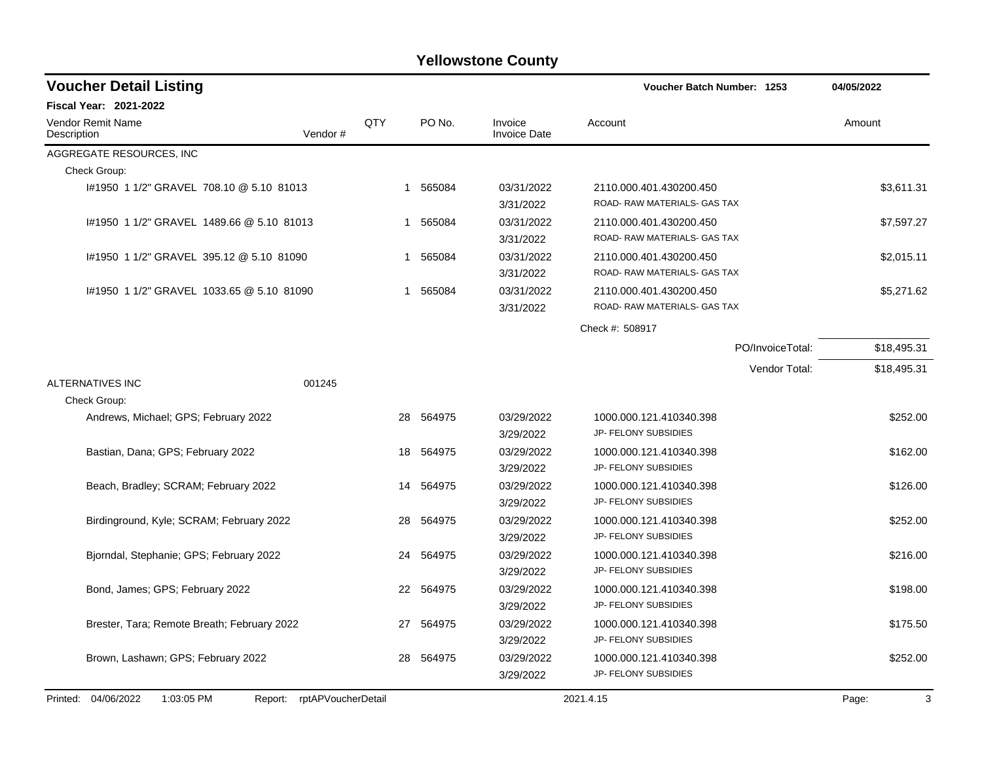| <b>Voucher Detail Listing</b>                                   |         |     |           | Voucher Batch Number: 1253     | 04/05/2022                                              |             |
|-----------------------------------------------------------------|---------|-----|-----------|--------------------------------|---------------------------------------------------------|-------------|
| <b>Fiscal Year: 2021-2022</b>                                   |         |     |           |                                |                                                         |             |
| <b>Vendor Remit Name</b><br>Description                         | Vendor# | QTY | PO No.    | Invoice<br><b>Invoice Date</b> | Account                                                 | Amount      |
| AGGREGATE RESOURCES, INC                                        |         |     |           |                                |                                                         |             |
| Check Group:                                                    |         |     |           |                                |                                                         |             |
| #1950 1 1/2" GRAVEL 708.10 @ 5.10 81013                         |         |     | 1 565084  | 03/31/2022<br>3/31/2022        | 2110.000.401.430200.450<br>ROAD- RAW MATERIALS- GAS TAX | \$3,611.31  |
| 1#1950 1 1/2" GRAVEL 1489.66 @ 5.10 81013                       |         | 1.  | 565084    | 03/31/2022<br>3/31/2022        | 2110.000.401.430200.450<br>ROAD- RAW MATERIALS- GAS TAX | \$7,597.27  |
| #1950 1 1/2" GRAVEL 395.12 @ 5.10 81090                         |         | 1   | 565084    | 03/31/2022<br>3/31/2022        | 2110.000.401.430200.450<br>ROAD- RAW MATERIALS- GAS TAX | \$2,015.11  |
| #1950 1 1/2" GRAVEL 1033.65 @ 5.10 81090                        |         | 1   | 565084    | 03/31/2022<br>3/31/2022        | 2110.000.401.430200.450<br>ROAD- RAW MATERIALS- GAS TAX | \$5,271.62  |
|                                                                 |         |     |           |                                | Check #: 508917                                         |             |
|                                                                 |         |     |           |                                | PO/InvoiceTotal:                                        | \$18,495.31 |
|                                                                 |         |     |           |                                | Vendor Total:                                           | \$18,495.31 |
| ALTERNATIVES INC                                                | 001245  |     |           |                                |                                                         |             |
| Check Group:                                                    |         |     |           |                                |                                                         |             |
| Andrews, Michael; GPS; February 2022                            |         | 28  | 564975    | 03/29/2022                     | 1000.000.121.410340.398                                 | \$252.00    |
|                                                                 |         |     |           | 3/29/2022                      | JP- FELONY SUBSIDIES                                    |             |
| Bastian, Dana; GPS; February 2022                               |         | 18  | 564975    | 03/29/2022                     | 1000.000.121.410340.398                                 | \$162.00    |
|                                                                 |         |     |           | 3/29/2022                      | JP- FELONY SUBSIDIES                                    |             |
| Beach, Bradley; SCRAM; February 2022                            |         | 14  | 564975    | 03/29/2022                     | 1000.000.121.410340.398<br>JP- FELONY SUBSIDIES         | \$126.00    |
|                                                                 |         |     |           | 3/29/2022                      |                                                         |             |
| Birdinground, Kyle; SCRAM; February 2022                        |         | 28  | 564975    | 03/29/2022<br>3/29/2022        | 1000.000.121.410340.398<br>JP- FELONY SUBSIDIES         | \$252.00    |
| Bjorndal, Stephanie; GPS; February 2022                         |         | 24  | 564975    | 03/29/2022                     | 1000.000.121.410340.398                                 | \$216.00    |
|                                                                 |         |     |           | 3/29/2022                      | JP- FELONY SUBSIDIES                                    |             |
| Bond, James; GPS; February 2022                                 |         | 22  | 564975    | 03/29/2022                     | 1000.000.121.410340.398                                 | \$198.00    |
|                                                                 |         |     |           | 3/29/2022                      | JP- FELONY SUBSIDIES                                    |             |
| Brester, Tara; Remote Breath; February 2022                     |         | 27  | 564975    | 03/29/2022                     | 1000.000.121.410340.398                                 | \$175.50    |
|                                                                 |         |     |           | 3/29/2022                      | JP- FELONY SUBSIDIES                                    |             |
| Brown, Lashawn; GPS; February 2022                              |         |     | 28 564975 | 03/29/2022                     | 1000.000.121.410340.398                                 | \$252.00    |
|                                                                 |         |     |           | 3/29/2022                      | JP- FELONY SUBSIDIES                                    |             |
| Printed: 04/06/2022<br>1:03:05 PM<br>Report: rptAPVoucherDetail |         |     |           |                                | 2021.4.15                                               | 3<br>Page:  |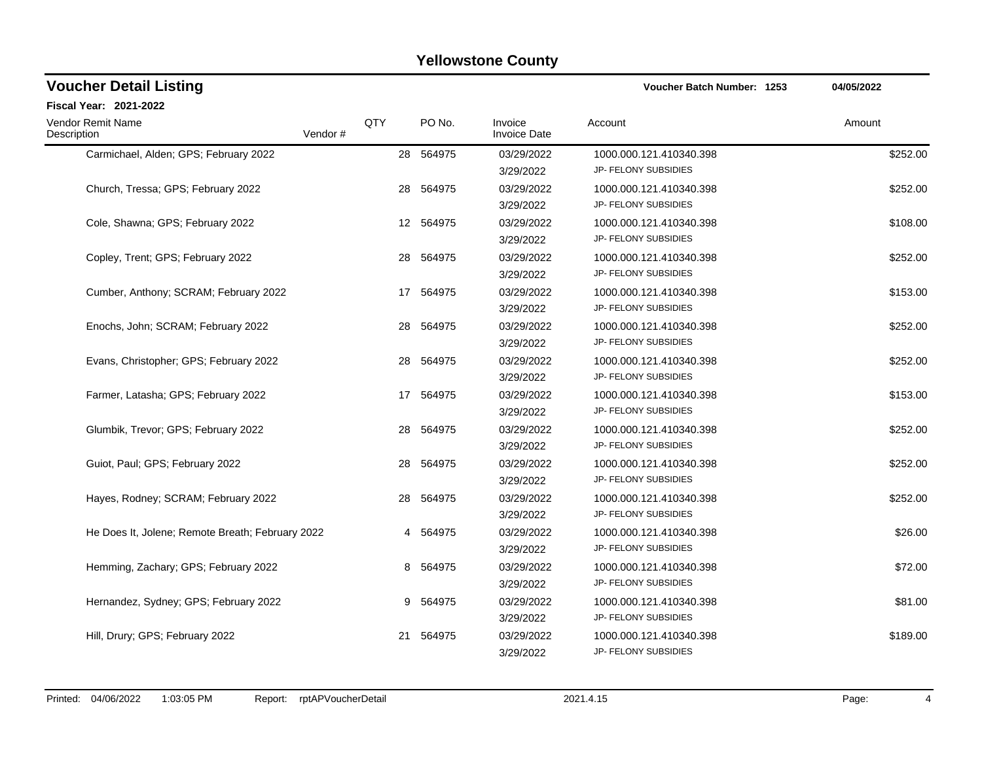| <b>Voucher Detail Listing</b>                    |         |     |           |                                | <b>Voucher Batch Number: 1253</b>               | 04/05/2022 |
|--------------------------------------------------|---------|-----|-----------|--------------------------------|-------------------------------------------------|------------|
| Fiscal Year: 2021-2022                           |         |     |           |                                |                                                 |            |
| <b>Vendor Remit Name</b><br>Description          | Vendor# | QTY | PO No.    | Invoice<br><b>Invoice Date</b> | Account                                         | Amount     |
| Carmichael, Alden; GPS; February 2022            |         |     | 28 564975 | 03/29/2022<br>3/29/2022        | 1000.000.121.410340.398<br>JP- FELONY SUBSIDIES | \$252.00   |
| Church, Tressa; GPS; February 2022               |         | 28  | 564975    | 03/29/2022<br>3/29/2022        | 1000.000.121.410340.398<br>JP- FELONY SUBSIDIES | \$252.00   |
| Cole, Shawna; GPS; February 2022                 |         |     | 12 564975 | 03/29/2022<br>3/29/2022        | 1000.000.121.410340.398<br>JP- FELONY SUBSIDIES | \$108.00   |
| Copley, Trent; GPS; February 2022                |         | 28  | 564975    | 03/29/2022<br>3/29/2022        | 1000.000.121.410340.398<br>JP- FELONY SUBSIDIES | \$252.00   |
| Cumber, Anthony; SCRAM; February 2022            |         |     | 17 564975 | 03/29/2022<br>3/29/2022        | 1000.000.121.410340.398<br>JP- FELONY SUBSIDIES | \$153.00   |
| Enochs, John; SCRAM; February 2022               |         | 28  | 564975    | 03/29/2022<br>3/29/2022        | 1000.000.121.410340.398<br>JP- FELONY SUBSIDIES | \$252.00   |
| Evans, Christopher; GPS; February 2022           |         | 28  | 564975    | 03/29/2022<br>3/29/2022        | 1000.000.121.410340.398<br>JP- FELONY SUBSIDIES | \$252.00   |
| Farmer, Latasha; GPS; February 2022              |         | 17  | 564975    | 03/29/2022<br>3/29/2022        | 1000.000.121.410340.398<br>JP- FELONY SUBSIDIES | \$153.00   |
| Glumbik, Trevor; GPS; February 2022              |         |     | 28 564975 | 03/29/2022<br>3/29/2022        | 1000.000.121.410340.398<br>JP- FELONY SUBSIDIES | \$252.00   |
| Guiot, Paul: GPS: February 2022                  |         | 28  | 564975    | 03/29/2022<br>3/29/2022        | 1000.000.121.410340.398<br>JP- FELONY SUBSIDIES | \$252.00   |
| Hayes, Rodney; SCRAM; February 2022              |         | 28  | 564975    | 03/29/2022<br>3/29/2022        | 1000.000.121.410340.398<br>JP- FELONY SUBSIDIES | \$252.00   |
| He Does It, Jolene; Remote Breath; February 2022 |         |     | 4 564975  | 03/29/2022<br>3/29/2022        | 1000.000.121.410340.398<br>JP- FELONY SUBSIDIES | \$26.00    |
| Hemming, Zachary; GPS; February 2022             |         |     | 8 564975  | 03/29/2022<br>3/29/2022        | 1000.000.121.410340.398<br>JP- FELONY SUBSIDIES | \$72.00    |
| Hernandez, Sydney; GPS; February 2022            |         |     | 9 564975  | 03/29/2022<br>3/29/2022        | 1000.000.121.410340.398<br>JP- FELONY SUBSIDIES | \$81.00    |
| Hill, Drury; GPS; February 2022                  |         | 21  | 564975    | 03/29/2022<br>3/29/2022        | 1000.000.121.410340.398<br>JP- FELONY SUBSIDIES | \$189.00   |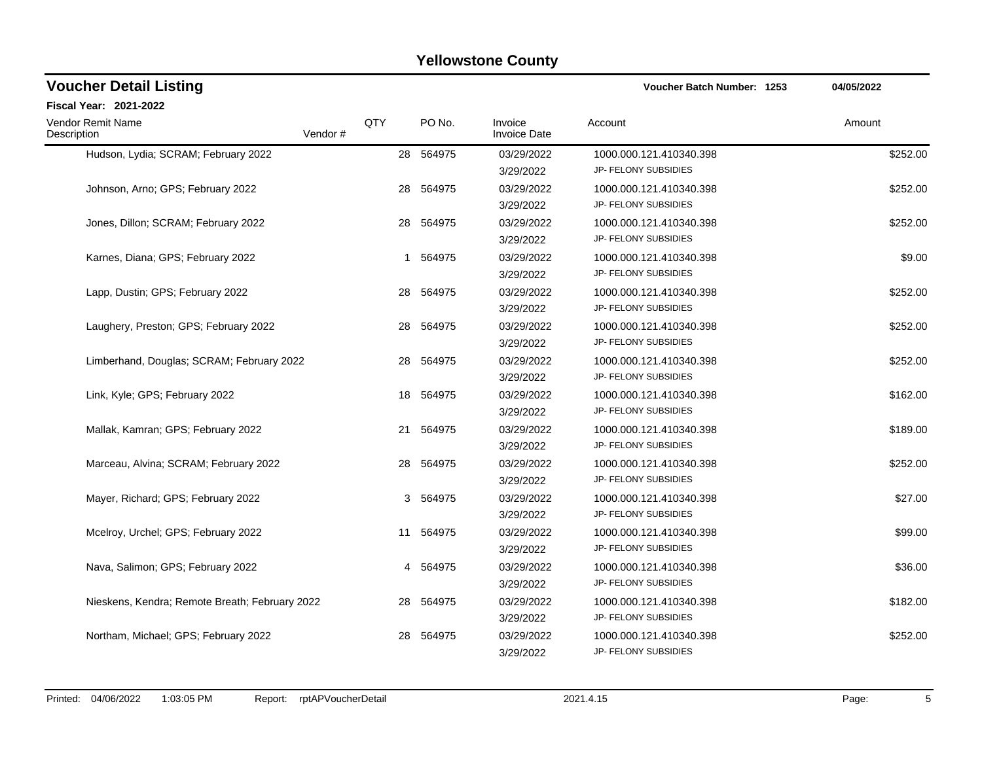| <b>Voucher Detail Listing</b>                      |     |           |                                | <b>Voucher Batch Number: 1253</b>               | 04/05/2022 |
|----------------------------------------------------|-----|-----------|--------------------------------|-------------------------------------------------|------------|
| <b>Fiscal Year: 2021-2022</b>                      |     |           |                                |                                                 |            |
| <b>Vendor Remit Name</b><br>Vendor#<br>Description | QTY | PO No.    | Invoice<br><b>Invoice Date</b> | Account                                         | Amount     |
| Hudson, Lydia; SCRAM; February 2022                |     | 28 564975 | 03/29/2022<br>3/29/2022        | 1000.000.121.410340.398<br>JP- FELONY SUBSIDIES | \$252.00   |
| Johnson, Arno; GPS; February 2022                  | 28  | 564975    | 03/29/2022<br>3/29/2022        | 1000.000.121.410340.398<br>JP- FELONY SUBSIDIES | \$252.00   |
| Jones, Dillon; SCRAM; February 2022                | 28  | 564975    | 03/29/2022<br>3/29/2022        | 1000.000.121.410340.398<br>JP- FELONY SUBSIDIES | \$252.00   |
| Karnes, Diana; GPS; February 2022                  | 1   | 564975    | 03/29/2022<br>3/29/2022        | 1000.000.121.410340.398<br>JP- FELONY SUBSIDIES | \$9.00     |
| Lapp, Dustin; GPS; February 2022                   | 28  | 564975    | 03/29/2022<br>3/29/2022        | 1000.000.121.410340.398<br>JP- FELONY SUBSIDIES | \$252.00   |
| Laughery, Preston; GPS; February 2022              | 28  | 564975    | 03/29/2022<br>3/29/2022        | 1000.000.121.410340.398<br>JP- FELONY SUBSIDIES | \$252.00   |
| Limberhand, Douglas; SCRAM; February 2022          |     | 28 564975 | 03/29/2022<br>3/29/2022        | 1000.000.121.410340.398<br>JP- FELONY SUBSIDIES | \$252.00   |
| Link, Kyle; GPS; February 2022                     | 18  | 564975    | 03/29/2022<br>3/29/2022        | 1000.000.121.410340.398<br>JP- FELONY SUBSIDIES | \$162.00   |
| Mallak, Kamran; GPS; February 2022                 |     | 21 564975 | 03/29/2022<br>3/29/2022        | 1000.000.121.410340.398<br>JP- FELONY SUBSIDIES | \$189.00   |
| Marceau, Alvina; SCRAM; February 2022              | 28  | 564975    | 03/29/2022<br>3/29/2022        | 1000.000.121.410340.398<br>JP- FELONY SUBSIDIES | \$252.00   |
| Mayer, Richard; GPS; February 2022                 |     | 3 564975  | 03/29/2022<br>3/29/2022        | 1000.000.121.410340.398<br>JP- FELONY SUBSIDIES | \$27.00    |
| Mcelroy, Urchel; GPS; February 2022                |     | 11 564975 | 03/29/2022<br>3/29/2022        | 1000.000.121.410340.398<br>JP- FELONY SUBSIDIES | \$99.00    |
| Nava, Salimon; GPS; February 2022                  |     | 4 564975  | 03/29/2022<br>3/29/2022        | 1000.000.121.410340.398<br>JP- FELONY SUBSIDIES | \$36.00    |
| Nieskens, Kendra; Remote Breath; February 2022     | 28  | 564975    | 03/29/2022<br>3/29/2022        | 1000.000.121.410340.398<br>JP- FELONY SUBSIDIES | \$182.00   |
| Northam, Michael: GPS: February 2022               | 28  | 564975    | 03/29/2022<br>3/29/2022        | 1000.000.121.410340.398<br>JP- FELONY SUBSIDIES | \$252.00   |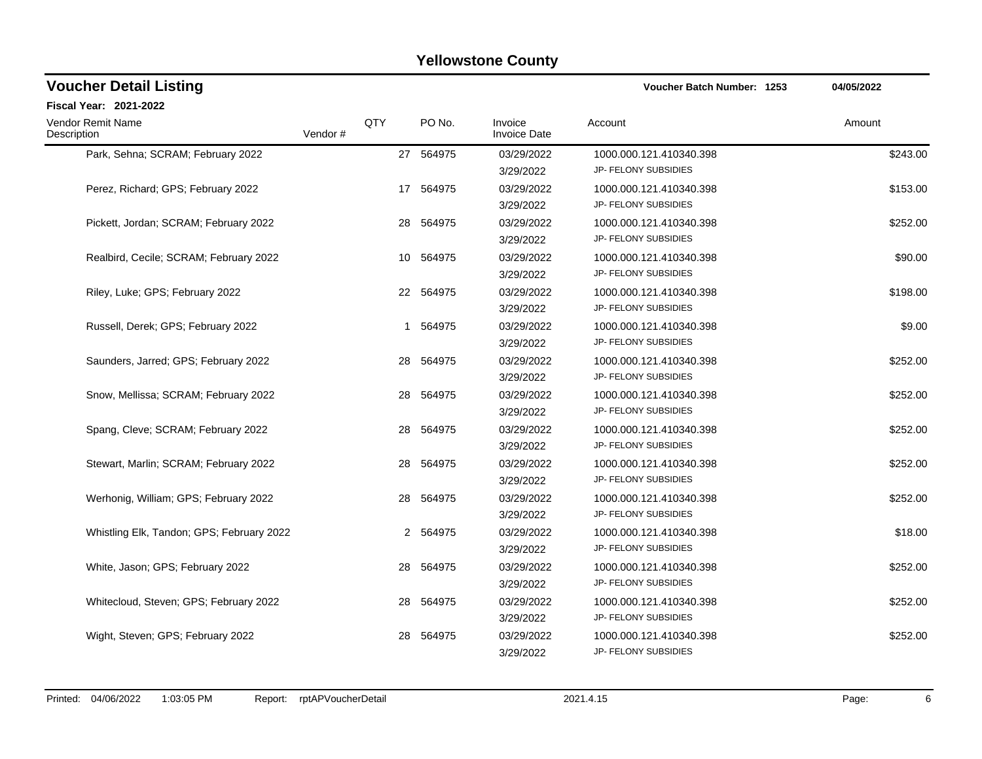| <b>Voucher Detail Listing</b>             |         |     |           |                                | Voucher Batch Number: 1253                             | 04/05/2022 |
|-------------------------------------------|---------|-----|-----------|--------------------------------|--------------------------------------------------------|------------|
| Fiscal Year: 2021-2022                    |         |     |           |                                |                                                        |            |
| Vendor Remit Name<br>Description          | Vendor# | QTY | PO No.    | Invoice<br><b>Invoice Date</b> | Account                                                | Amount     |
| Park, Sehna; SCRAM; February 2022         |         |     | 27 564975 | 03/29/2022<br>3/29/2022        | 1000.000.121.410340.398<br>JP- FELONY SUBSIDIES        | \$243.00   |
| Perez, Richard; GPS; February 2022        |         | 17  | 564975    | 03/29/2022<br>3/29/2022        | 1000.000.121.410340.398<br>JP- FELONY SUBSIDIES        | \$153.00   |
| Pickett, Jordan; SCRAM; February 2022     |         |     | 28 564975 | 03/29/2022<br>3/29/2022        | 1000.000.121.410340.398<br>JP- FELONY SUBSIDIES        | \$252.00   |
| Realbird, Cecile; SCRAM; February 2022    |         |     | 10 564975 | 03/29/2022<br>3/29/2022        | 1000.000.121.410340.398<br>JP- FELONY SUBSIDIES        | \$90.00    |
| Riley, Luke; GPS; February 2022           |         |     | 22 564975 | 03/29/2022<br>3/29/2022        | 1000.000.121.410340.398<br>JP- FELONY SUBSIDIES        | \$198.00   |
| Russell, Derek; GPS; February 2022        |         |     | 1 564975  | 03/29/2022<br>3/29/2022        | 1000.000.121.410340.398<br>JP- FELONY SUBSIDIES        | \$9.00     |
| Saunders, Jarred; GPS; February 2022      |         |     | 28 564975 | 03/29/2022<br>3/29/2022        | 1000.000.121.410340.398<br>JP- FELONY SUBSIDIES        | \$252.00   |
| Snow, Mellissa; SCRAM; February 2022      |         |     | 28 564975 | 03/29/2022<br>3/29/2022        | 1000.000.121.410340.398<br>JP- FELONY SUBSIDIES        | \$252.00   |
| Spang, Cleve; SCRAM; February 2022        |         |     | 28 564975 | 03/29/2022<br>3/29/2022        | 1000.000.121.410340.398<br>JP- FELONY SUBSIDIES        | \$252.00   |
| Stewart, Marlin; SCRAM; February 2022     |         | 28  | 564975    | 03/29/2022<br>3/29/2022        | 1000.000.121.410340.398<br>JP- FELONY SUBSIDIES        | \$252.00   |
| Werhonig, William; GPS; February 2022     |         |     | 28 564975 | 03/29/2022<br>3/29/2022        | 1000.000.121.410340.398<br>JP- FELONY SUBSIDIES        | \$252.00   |
| Whistling Elk, Tandon; GPS; February 2022 |         |     | 2 564975  | 03/29/2022<br>3/29/2022        | 1000.000.121.410340.398<br>JP- FELONY SUBSIDIES        | \$18.00    |
| White, Jason; GPS; February 2022          |         | 28  | 564975    | 03/29/2022<br>3/29/2022        | 1000.000.121.410340.398<br>JP- FELONY SUBSIDIES        | \$252.00   |
| Whitecloud, Steven; GPS; February 2022    |         | 28  | 564975    | 03/29/2022<br>3/29/2022        | 1000.000.121.410340.398<br>JP- FELONY SUBSIDIES        | \$252.00   |
| Wight, Steven; GPS; February 2022         |         | 28  | 564975    | 03/29/2022<br>3/29/2022        | 1000.000.121.410340.398<br><b>JP- FELONY SUBSIDIES</b> | \$252.00   |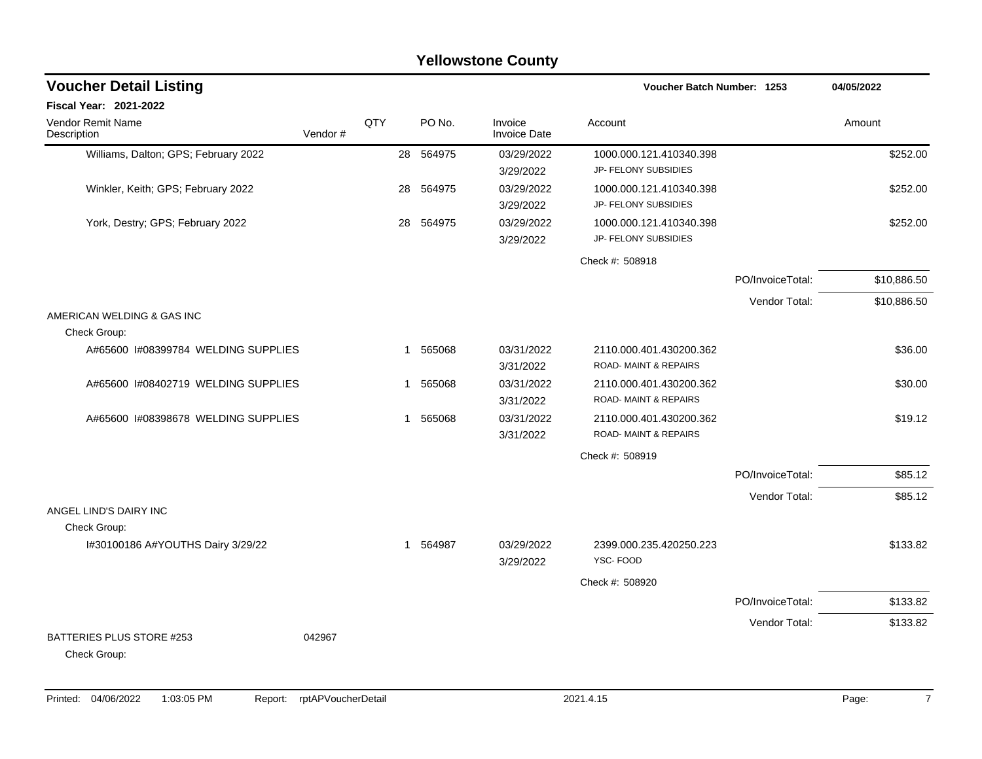|                                            | <b>Yellowstone County</b> |     |                       |                                |                                                            |                  |             |  |  |  |  |  |  |
|--------------------------------------------|---------------------------|-----|-----------------------|--------------------------------|------------------------------------------------------------|------------------|-------------|--|--|--|--|--|--|
| <b>Voucher Detail Listing</b>              |                           |     |                       |                                | Voucher Batch Number: 1253                                 |                  | 04/05/2022  |  |  |  |  |  |  |
| Fiscal Year: 2021-2022                     |                           |     |                       |                                |                                                            |                  |             |  |  |  |  |  |  |
| <b>Vendor Remit Name</b><br>Description    | Vendor#                   | QTY | PO No.                | Invoice<br><b>Invoice Date</b> | Account                                                    |                  | Amount      |  |  |  |  |  |  |
| Williams, Dalton; GPS; February 2022       |                           |     | 28 564975             | 03/29/2022<br>3/29/2022        | 1000.000.121.410340.398<br>JP- FELONY SUBSIDIES            |                  | \$252.00    |  |  |  |  |  |  |
| Winkler, Keith; GPS; February 2022         |                           |     | 28<br>564975          | 03/29/2022<br>3/29/2022        | 1000.000.121.410340.398<br>JP- FELONY SUBSIDIES            |                  | \$252.00    |  |  |  |  |  |  |
| York, Destry; GPS; February 2022           |                           |     | 28<br>564975          | 03/29/2022<br>3/29/2022        | 1000.000.121.410340.398<br>JP- FELONY SUBSIDIES            |                  | \$252.00    |  |  |  |  |  |  |
|                                            |                           |     |                       |                                | Check #: 508918                                            |                  |             |  |  |  |  |  |  |
|                                            |                           |     |                       |                                |                                                            | PO/InvoiceTotal: | \$10,886.50 |  |  |  |  |  |  |
|                                            |                           |     |                       |                                |                                                            | Vendor Total:    | \$10,886.50 |  |  |  |  |  |  |
| AMERICAN WELDING & GAS INC<br>Check Group: |                           |     |                       |                                |                                                            |                  |             |  |  |  |  |  |  |
| A#65600 I#08399784 WELDING SUPPLIES        |                           |     | 565068<br>1           | 03/31/2022<br>3/31/2022        | 2110.000.401.430200.362<br><b>ROAD-MAINT &amp; REPAIRS</b> |                  | \$36.00     |  |  |  |  |  |  |
| A#65600 I#08402719 WELDING SUPPLIES        |                           |     | 565068<br>1           | 03/31/2022<br>3/31/2022        | 2110.000.401.430200.362<br>ROAD-MAINT & REPAIRS            |                  | \$30.00     |  |  |  |  |  |  |
| A#65600 I#08398678 WELDING SUPPLIES        |                           |     | 565068<br>1           | 03/31/2022<br>3/31/2022        | 2110.000.401.430200.362<br><b>ROAD-MAINT &amp; REPAIRS</b> |                  | \$19.12     |  |  |  |  |  |  |
|                                            |                           |     |                       |                                | Check #: 508919                                            |                  |             |  |  |  |  |  |  |
|                                            |                           |     |                       |                                |                                                            | PO/InvoiceTotal: | \$85.12     |  |  |  |  |  |  |
| ANGEL LIND'S DAIRY INC                     |                           |     |                       |                                |                                                            | Vendor Total:    | \$85.12     |  |  |  |  |  |  |
| Check Group:                               |                           |     |                       |                                |                                                            |                  |             |  |  |  |  |  |  |
| I#30100186 A#YOUTHS Dairy 3/29/22          |                           |     | 564987<br>$\mathbf 1$ | 03/29/2022<br>3/29/2022        | 2399.000.235.420250.223<br>YSC-FOOD                        |                  | \$133.82    |  |  |  |  |  |  |
|                                            |                           |     |                       |                                | Check #: 508920                                            |                  |             |  |  |  |  |  |  |
|                                            |                           |     |                       |                                |                                                            | PO/InvoiceTotal: | \$133.82    |  |  |  |  |  |  |
| BATTERIES PLUS STORE #253<br>Check Group:  | 042967                    |     |                       |                                |                                                            | Vendor Total:    | \$133.82    |  |  |  |  |  |  |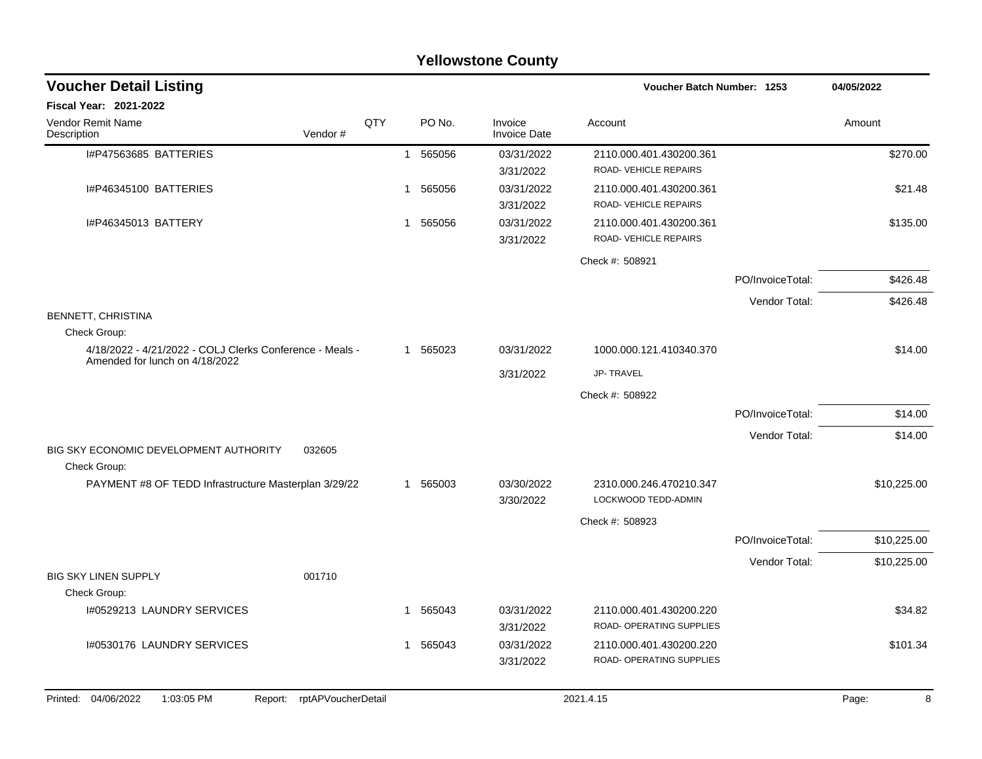| <b>Yellowstone County</b>                                                |                    |   |          |                                |                                                            |                  |             |  |  |  |
|--------------------------------------------------------------------------|--------------------|---|----------|--------------------------------|------------------------------------------------------------|------------------|-------------|--|--|--|
| <b>Voucher Detail Listing</b>                                            |                    |   |          |                                | <b>Voucher Batch Number: 1253</b>                          |                  | 04/05/2022  |  |  |  |
| <b>Fiscal Year: 2021-2022</b>                                            |                    |   |          |                                |                                                            |                  |             |  |  |  |
| <b>Vendor Remit Name</b><br>Vendor#<br>Description                       | QTY                |   | PO No.   | Invoice<br><b>Invoice Date</b> | Account                                                    |                  | Amount      |  |  |  |
| I#P47563685 BATTERIES                                                    |                    |   | 1 565056 | 03/31/2022<br>3/31/2022        | 2110.000.401.430200.361<br>ROAD-VEHICLE REPAIRS            |                  | \$270.00    |  |  |  |
| I#P46345100 BATTERIES                                                    |                    | 1 | 565056   | 03/31/2022<br>3/31/2022        | 2110.000.401.430200.361<br>ROAD-VEHICLE REPAIRS            |                  | \$21.48     |  |  |  |
| I#P46345013 BATTERY                                                      |                    |   | 1 565056 | 03/31/2022<br>3/31/2022        | 2110.000.401.430200.361<br>ROAD-VEHICLE REPAIRS            |                  | \$135.00    |  |  |  |
|                                                                          |                    |   |          |                                | Check #: 508921                                            |                  |             |  |  |  |
|                                                                          |                    |   |          |                                |                                                            | PO/InvoiceTotal: | \$426.48    |  |  |  |
|                                                                          |                    |   |          |                                |                                                            | Vendor Total:    | \$426.48    |  |  |  |
| BENNETT, CHRISTINA                                                       |                    |   |          |                                |                                                            |                  |             |  |  |  |
| Check Group:<br>4/18/2022 - 4/21/2022 - COLJ Clerks Conference - Meals - |                    |   | 1 565023 | 03/31/2022                     | 1000.000.121.410340.370                                    |                  | \$14.00     |  |  |  |
| Amended for lunch on 4/18/2022                                           |                    |   |          | 3/31/2022                      | JP-TRAVEL                                                  |                  |             |  |  |  |
|                                                                          |                    |   |          |                                | Check #: 508922                                            |                  |             |  |  |  |
|                                                                          |                    |   |          |                                |                                                            | PO/InvoiceTotal: | \$14.00     |  |  |  |
|                                                                          |                    |   |          |                                |                                                            | Vendor Total:    | \$14.00     |  |  |  |
| BIG SKY ECONOMIC DEVELOPMENT AUTHORITY<br>032605<br>Check Group:         |                    |   |          |                                |                                                            |                  |             |  |  |  |
| PAYMENT #8 OF TEDD Infrastructure Masterplan 3/29/22                     |                    |   | 1 565003 | 03/30/2022<br>3/30/2022        | 2310.000.246.470210.347<br>LOCKWOOD TEDD-ADMIN             |                  | \$10,225.00 |  |  |  |
|                                                                          |                    |   |          |                                | Check #: 508923                                            |                  |             |  |  |  |
|                                                                          |                    |   |          |                                |                                                            | PO/InvoiceTotal: | \$10,225.00 |  |  |  |
|                                                                          |                    |   |          |                                |                                                            | Vendor Total:    | \$10,225.00 |  |  |  |
| <b>BIG SKY LINEN SUPPLY</b><br>001710                                    |                    |   |          |                                |                                                            |                  |             |  |  |  |
| Check Group:<br>I#0529213 LAUNDRY SERVICES                               |                    |   | 1 565043 | 03/31/2022<br>3/31/2022        | 2110.000.401.430200.220<br><b>ROAD- OPERATING SUPPLIES</b> |                  | \$34.82     |  |  |  |
| I#0530176 LAUNDRY SERVICES                                               |                    |   | 1 565043 | 03/31/2022<br>3/31/2022        | 2110.000.401.430200.220<br>ROAD- OPERATING SUPPLIES        |                  | \$101.34    |  |  |  |
| Printed: 04/06/2022<br>1:03:05 PM<br>Report:                             | rptAPVoucherDetail |   |          |                                | 2021.4.15                                                  |                  | 8<br>Page:  |  |  |  |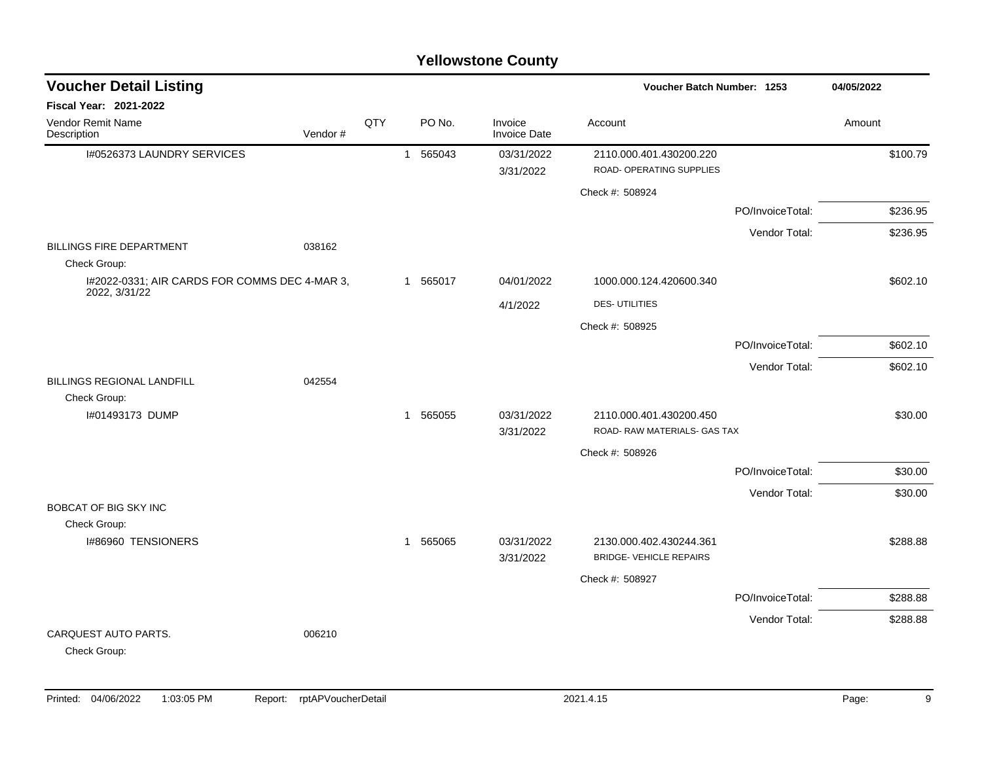| <b>Voucher Detail Listing</b>                   |         |     |              |          |                                |                                                     | Voucher Batch Number: 1253 |          |  |
|-------------------------------------------------|---------|-----|--------------|----------|--------------------------------|-----------------------------------------------------|----------------------------|----------|--|
| Fiscal Year: 2021-2022                          |         |     |              |          |                                |                                                     |                            |          |  |
| Vendor Remit Name<br>Description                | Vendor# | QTY |              | PO No.   | Invoice<br><b>Invoice Date</b> | Account                                             |                            | Amount   |  |
| I#0526373 LAUNDRY SERVICES                      |         |     |              | 1 565043 | 03/31/2022<br>3/31/2022        | 2110.000.401.430200.220<br>ROAD- OPERATING SUPPLIES |                            | \$100.79 |  |
|                                                 |         |     |              |          |                                | Check #: 508924                                     |                            |          |  |
|                                                 |         |     |              |          |                                |                                                     | PO/InvoiceTotal:           | \$236.95 |  |
|                                                 |         |     |              |          |                                |                                                     | Vendor Total:              | \$236.95 |  |
| <b>BILLINGS FIRE DEPARTMENT</b><br>Check Group: | 038162  |     |              |          |                                |                                                     |                            |          |  |
| I#2022-0331; AIR CARDS FOR COMMS DEC 4-MAR 3,   |         |     | $\mathbf{1}$ | 565017   | 04/01/2022                     | 1000.000.124.420600.340                             |                            | \$602.10 |  |
| 2022, 3/31/22                                   |         |     |              |          | 4/1/2022                       | <b>DES-UTILITIES</b>                                |                            |          |  |
|                                                 |         |     |              |          |                                | Check #: 508925                                     |                            |          |  |
|                                                 |         |     |              |          |                                |                                                     | PO/InvoiceTotal:           | \$602.10 |  |
|                                                 |         |     |              |          |                                |                                                     | Vendor Total:              | \$602.10 |  |
| <b>BILLINGS REGIONAL LANDFILL</b>               | 042554  |     |              |          |                                |                                                     |                            |          |  |
| Check Group:<br>I#01493173 DUMP                 |         |     |              | 1 565055 | 03/31/2022                     | 2110.000.401.430200.450                             |                            | \$30.00  |  |
|                                                 |         |     |              |          | 3/31/2022                      | ROAD-RAW MATERIALS- GAS TAX                         |                            |          |  |
|                                                 |         |     |              |          |                                | Check #: 508926                                     |                            |          |  |
|                                                 |         |     |              |          |                                |                                                     | PO/InvoiceTotal:           | \$30.00  |  |
|                                                 |         |     |              |          |                                |                                                     | Vendor Total:              | \$30.00  |  |
| BOBCAT OF BIG SKY INC                           |         |     |              |          |                                |                                                     |                            |          |  |
| Check Group:<br>I#86960 TENSIONERS              |         |     |              | 1 565065 | 03/31/2022                     | 2130.000.402.430244.361                             |                            | \$288.88 |  |
|                                                 |         |     |              |          | 3/31/2022                      | <b>BRIDGE- VEHICLE REPAIRS</b>                      |                            |          |  |
|                                                 |         |     |              |          |                                | Check #: 508927                                     |                            |          |  |
|                                                 |         |     |              |          |                                |                                                     | PO/InvoiceTotal:           | \$288.88 |  |
|                                                 |         |     |              |          |                                |                                                     | Vendor Total:              | \$288.88 |  |
| CARQUEST AUTO PARTS.<br>Check Group:            | 006210  |     |              |          |                                |                                                     |                            |          |  |
|                                                 |         |     |              |          |                                |                                                     |                            |          |  |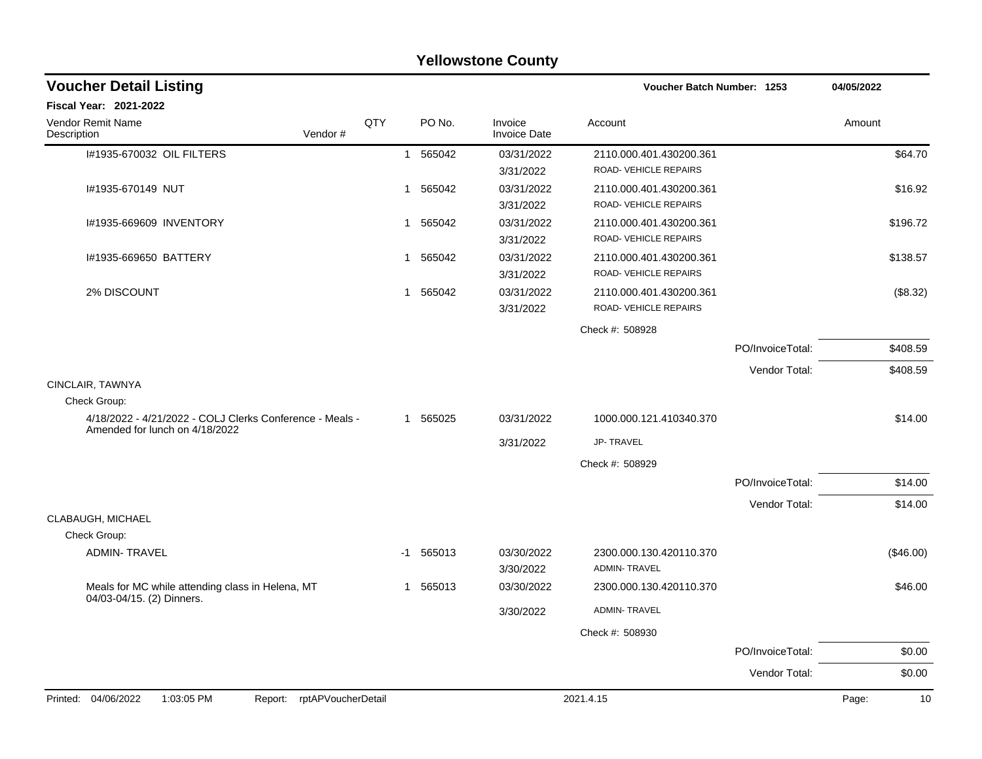|                                                                                            | <b>Yellowstone County</b> |             |                                |                                                 |                  |             |  |  |  |  |  |  |
|--------------------------------------------------------------------------------------------|---------------------------|-------------|--------------------------------|-------------------------------------------------|------------------|-------------|--|--|--|--|--|--|
| <b>Voucher Detail Listing</b>                                                              |                           |             |                                | Voucher Batch Number: 1253                      |                  | 04/05/2022  |  |  |  |  |  |  |
| Fiscal Year: 2021-2022                                                                     |                           |             |                                |                                                 |                  |             |  |  |  |  |  |  |
| Vendor Remit Name<br>Vendor#<br>Description                                                | QTY                       | PO No.      | Invoice<br><b>Invoice Date</b> | Account                                         |                  | Amount      |  |  |  |  |  |  |
| I#1935-670032 OIL FILTERS                                                                  |                           | 1 565042    | 03/31/2022<br>3/31/2022        | 2110.000.401.430200.361<br>ROAD-VEHICLE REPAIRS |                  | \$64.70     |  |  |  |  |  |  |
| I#1935-670149 NUT                                                                          | 1                         | 565042      | 03/31/2022<br>3/31/2022        | 2110.000.401.430200.361<br>ROAD-VEHICLE REPAIRS |                  | \$16.92     |  |  |  |  |  |  |
| I#1935-669609 INVENTORY                                                                    |                           | 1 565042    | 03/31/2022<br>3/31/2022        | 2110.000.401.430200.361<br>ROAD-VEHICLE REPAIRS |                  | \$196.72    |  |  |  |  |  |  |
| I#1935-669650 BATTERY                                                                      | 1                         | 565042      | 03/31/2022<br>3/31/2022        | 2110.000.401.430200.361<br>ROAD-VEHICLE REPAIRS |                  | \$138.57    |  |  |  |  |  |  |
| 2% DISCOUNT                                                                                |                           | 1 565042    | 03/31/2022<br>3/31/2022        | 2110.000.401.430200.361<br>ROAD-VEHICLE REPAIRS |                  | (\$8.32)    |  |  |  |  |  |  |
|                                                                                            |                           |             |                                | Check #: 508928                                 |                  |             |  |  |  |  |  |  |
|                                                                                            |                           |             |                                |                                                 | PO/InvoiceTotal: | \$408.59    |  |  |  |  |  |  |
|                                                                                            |                           |             |                                |                                                 | Vendor Total:    | \$408.59    |  |  |  |  |  |  |
| CINCLAIR, TAWNYA                                                                           |                           |             |                                |                                                 |                  |             |  |  |  |  |  |  |
| Check Group:                                                                               |                           |             |                                |                                                 |                  |             |  |  |  |  |  |  |
| 4/18/2022 - 4/21/2022 - COLJ Clerks Conference - Meals -<br>Amended for lunch on 4/18/2022 |                           | 1 565025    | 03/31/2022                     | 1000.000.121.410340.370                         |                  | \$14.00     |  |  |  |  |  |  |
|                                                                                            |                           |             | 3/31/2022                      | JP-TRAVEL                                       |                  |             |  |  |  |  |  |  |
|                                                                                            |                           |             |                                | Check #: 508929                                 |                  |             |  |  |  |  |  |  |
|                                                                                            |                           |             |                                |                                                 | PO/InvoiceTotal: | \$14.00     |  |  |  |  |  |  |
|                                                                                            |                           |             |                                |                                                 | Vendor Total:    | \$14.00     |  |  |  |  |  |  |
| CLABAUGH, MICHAEL<br>Check Group:                                                          |                           |             |                                |                                                 |                  |             |  |  |  |  |  |  |
| <b>ADMIN-TRAVEL</b>                                                                        |                           | $-1$ 565013 | 03/30/2022<br>3/30/2022        | 2300.000.130.420110.370<br><b>ADMIN-TRAVEL</b>  |                  | (\$46.00)   |  |  |  |  |  |  |
| Meals for MC while attending class in Helena, MT                                           | 1                         | 565013      | 03/30/2022                     | 2300.000.130.420110.370                         |                  | \$46.00     |  |  |  |  |  |  |
| 04/03-04/15. (2) Dinners.                                                                  |                           |             | 3/30/2022                      | ADMIN-TRAVEL                                    |                  |             |  |  |  |  |  |  |
|                                                                                            |                           |             |                                | Check #: 508930                                 |                  |             |  |  |  |  |  |  |
|                                                                                            |                           |             |                                |                                                 | PO/InvoiceTotal: | \$0.00      |  |  |  |  |  |  |
|                                                                                            |                           |             |                                |                                                 | Vendor Total:    | \$0.00      |  |  |  |  |  |  |
| Report: rptAPVoucherDetail<br>Printed: 04/06/2022<br>1:03:05 PM                            |                           |             |                                | 2021.4.15                                       |                  | 10<br>Page: |  |  |  |  |  |  |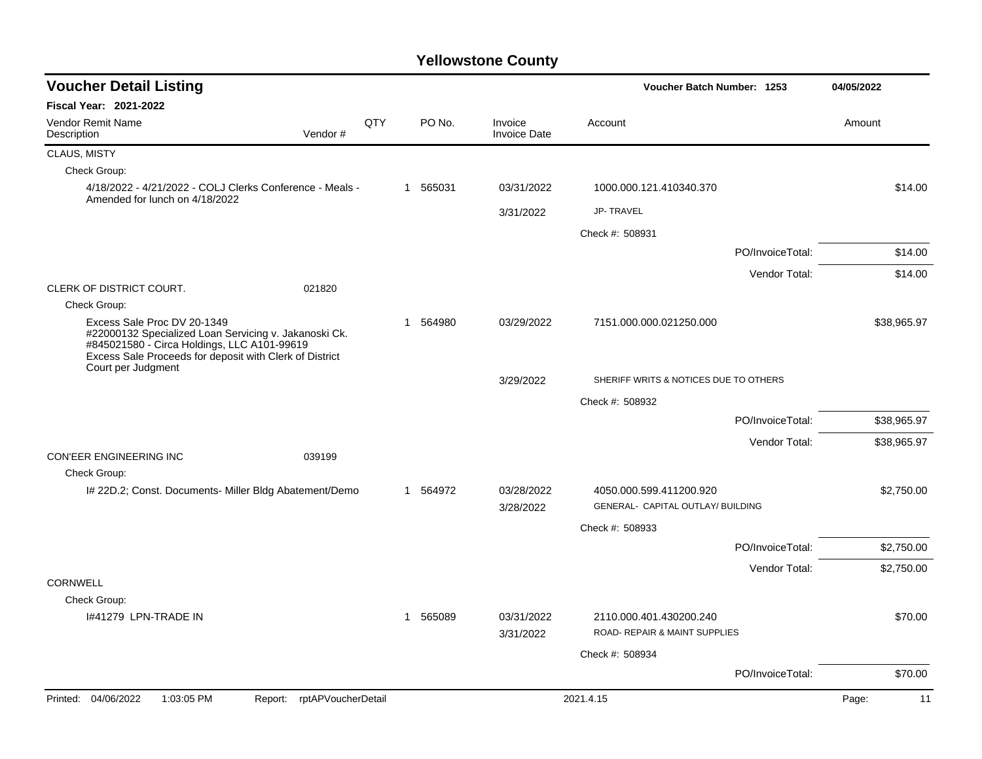| <b>Voucher Detail Listing</b>                                                                                                                                                                                        |     |                       |                                |                                                              | Voucher Batch Number: 1253 |             |  |
|----------------------------------------------------------------------------------------------------------------------------------------------------------------------------------------------------------------------|-----|-----------------------|--------------------------------|--------------------------------------------------------------|----------------------------|-------------|--|
| Fiscal Year: 2021-2022                                                                                                                                                                                               |     |                       |                                |                                                              |                            |             |  |
| <b>Vendor Remit Name</b><br>Description<br>Vendor#                                                                                                                                                                   | QTY | PO No.                | Invoice<br><b>Invoice Date</b> | Account                                                      |                            | Amount      |  |
| CLAUS, MISTY                                                                                                                                                                                                         |     |                       |                                |                                                              |                            |             |  |
| Check Group:                                                                                                                                                                                                         |     |                       |                                |                                                              |                            |             |  |
| 4/18/2022 - 4/21/2022 - COLJ Clerks Conference - Meals -<br>Amended for lunch on 4/18/2022                                                                                                                           |     | 1 565031              | 03/31/2022                     | 1000.000.121.410340.370                                      |                            | \$14.00     |  |
|                                                                                                                                                                                                                      |     |                       | 3/31/2022                      | <b>JP-TRAVEL</b>                                             |                            |             |  |
|                                                                                                                                                                                                                      |     |                       |                                | Check #: 508931                                              |                            |             |  |
|                                                                                                                                                                                                                      |     |                       |                                |                                                              | PO/InvoiceTotal:           | \$14.00     |  |
|                                                                                                                                                                                                                      |     |                       |                                |                                                              | Vendor Total:              | \$14.00     |  |
| CLERK OF DISTRICT COURT.<br>021820                                                                                                                                                                                   |     |                       |                                |                                                              |                            |             |  |
| Check Group:                                                                                                                                                                                                         |     |                       |                                |                                                              |                            |             |  |
| Excess Sale Proc DV 20-1349<br>#22000132 Specialized Loan Servicing v. Jakanoski Ck.<br>#845021580 - Circa Holdings, LLC A101-99619<br>Excess Sale Proceeds for deposit with Clerk of District<br>Court per Judgment |     | 564980<br>$\mathbf 1$ | 03/29/2022                     | 7151.000.000.021250.000                                      |                            | \$38,965.97 |  |
|                                                                                                                                                                                                                      |     |                       | 3/29/2022                      | SHERIFF WRITS & NOTICES DUE TO OTHERS                        |                            |             |  |
|                                                                                                                                                                                                                      |     |                       |                                | Check #: 508932                                              |                            |             |  |
|                                                                                                                                                                                                                      |     |                       |                                |                                                              | PO/InvoiceTotal:           | \$38,965.97 |  |
|                                                                                                                                                                                                                      |     |                       |                                |                                                              | Vendor Total:              | \$38,965.97 |  |
| CON'EER ENGINEERING INC<br>039199<br>Check Group:                                                                                                                                                                    |     |                       |                                |                                                              |                            |             |  |
| I# 22D.2; Const. Documents- Miller Bldg Abatement/Demo                                                                                                                                                               |     | 1 564972              | 03/28/2022<br>3/28/2022        | 4050.000.599.411200.920<br>GENERAL- CAPITAL OUTLAY/ BUILDING |                            | \$2,750.00  |  |
|                                                                                                                                                                                                                      |     |                       |                                | Check #: 508933                                              |                            |             |  |
|                                                                                                                                                                                                                      |     |                       |                                |                                                              | PO/InvoiceTotal:           | \$2,750.00  |  |
|                                                                                                                                                                                                                      |     |                       |                                |                                                              | Vendor Total:              | \$2,750.00  |  |
| <b>CORNWELL</b>                                                                                                                                                                                                      |     |                       |                                |                                                              |                            |             |  |
| Check Group:                                                                                                                                                                                                         |     |                       |                                |                                                              |                            |             |  |
| 1#41279 LPN-TRADE IN                                                                                                                                                                                                 |     | 565089<br>1           | 03/31/2022<br>3/31/2022        | 2110.000.401.430200.240<br>ROAD- REPAIR & MAINT SUPPLIES     |                            | \$70.00     |  |
|                                                                                                                                                                                                                      |     |                       |                                | Check #: 508934                                              |                            |             |  |
|                                                                                                                                                                                                                      |     |                       |                                |                                                              | PO/InvoiceTotal:           | \$70.00     |  |
| Printed: 04/06/2022<br>1:03:05 PM<br>Report: rptAPVoucherDetail                                                                                                                                                      |     |                       |                                | 2021.4.15                                                    |                            | Page:<br>11 |  |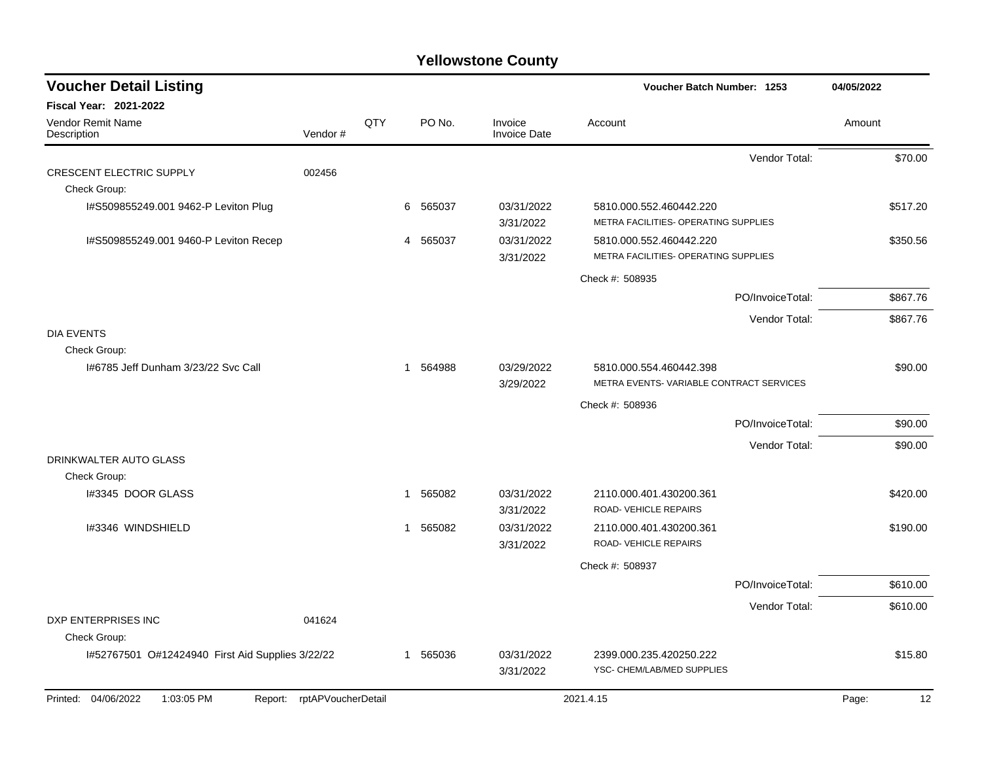| <b>Voucher Detail Listing</b>                    |                    |     |                        |                                | Voucher Batch Number: 1253              |                  | 04/05/2022  |
|--------------------------------------------------|--------------------|-----|------------------------|--------------------------------|-----------------------------------------|------------------|-------------|
| Fiscal Year: 2021-2022                           |                    |     |                        |                                |                                         |                  |             |
| Vendor Remit Name<br>Description                 | Vendor#            | QTY | PO No.                 | Invoice<br><b>Invoice Date</b> | Account                                 |                  | Amount      |
|                                                  |                    |     |                        |                                |                                         | Vendor Total:    | \$70.00     |
| <b>CRESCENT ELECTRIC SUPPLY</b>                  | 002456             |     |                        |                                |                                         |                  |             |
| Check Group:                                     |                    |     |                        |                                |                                         |                  |             |
| I#S509855249.001 9462-P Leviton Plug             |                    |     | 565037<br>6            | 03/31/2022                     | 5810.000.552.460442.220                 |                  | \$517.20    |
|                                                  |                    |     |                        | 3/31/2022                      | METRA FACILITIES- OPERATING SUPPLIES    |                  |             |
| I#S509855249.001 9460-P Leviton Recep            |                    |     | 565037<br>4            | 03/31/2022                     | 5810.000.552.460442.220                 |                  | \$350.56    |
|                                                  |                    |     |                        | 3/31/2022                      | METRA FACILITIES- OPERATING SUPPLIES    |                  |             |
|                                                  |                    |     |                        |                                | Check #: 508935                         |                  |             |
|                                                  |                    |     |                        |                                |                                         | PO/InvoiceTotal: | \$867.76    |
|                                                  |                    |     |                        |                                |                                         | Vendor Total:    | \$867.76    |
| <b>DIA EVENTS</b>                                |                    |     |                        |                                |                                         |                  |             |
| Check Group:                                     |                    |     |                        |                                |                                         |                  |             |
| 1#6785 Jeff Dunham 3/23/22 Svc Call              |                    |     | 564988<br>$\mathbf{1}$ | 03/29/2022                     | 5810.000.554.460442.398                 |                  | \$90.00     |
|                                                  |                    |     |                        | 3/29/2022                      | METRA EVENTS-VARIABLE CONTRACT SERVICES |                  |             |
|                                                  |                    |     |                        |                                | Check #: 508936                         |                  |             |
|                                                  |                    |     |                        |                                |                                         | PO/InvoiceTotal: | \$90.00     |
|                                                  |                    |     |                        |                                |                                         | Vendor Total:    | \$90.00     |
| DRINKWALTER AUTO GLASS                           |                    |     |                        |                                |                                         |                  |             |
| Check Group:                                     |                    |     |                        |                                |                                         |                  |             |
| I#3345 DOOR GLASS                                |                    |     | 565082<br>1            | 03/31/2022                     | 2110.000.401.430200.361                 |                  | \$420.00    |
|                                                  |                    |     |                        | 3/31/2022                      | ROAD-VEHICLE REPAIRS                    |                  |             |
| I#3346 WINDSHIELD                                |                    |     | 565082<br>1            | 03/31/2022                     | 2110.000.401.430200.361                 |                  | \$190.00    |
|                                                  |                    |     |                        | 3/31/2022                      | ROAD-VEHICLE REPAIRS                    |                  |             |
|                                                  |                    |     |                        |                                | Check #: 508937                         |                  |             |
|                                                  |                    |     |                        |                                |                                         | PO/InvoiceTotal: | \$610.00    |
|                                                  |                    |     |                        |                                |                                         | Vendor Total:    | \$610.00    |
| DXP ENTERPRISES INC                              | 041624             |     |                        |                                |                                         |                  |             |
| Check Group:                                     |                    |     |                        |                                |                                         |                  |             |
| I#52767501 O#12424940 First Aid Supplies 3/22/22 |                    |     | 565036<br>1            | 03/31/2022                     | 2399.000.235.420250.222                 |                  | \$15.80     |
|                                                  |                    |     |                        | 3/31/2022                      | YSC- CHEM/LAB/MED SUPPLIES              |                  |             |
| Printed: 04/06/2022<br>1:03:05 PM<br>Report:     | rptAPVoucherDetail |     |                        |                                | 2021.4.15                               |                  | 12<br>Page: |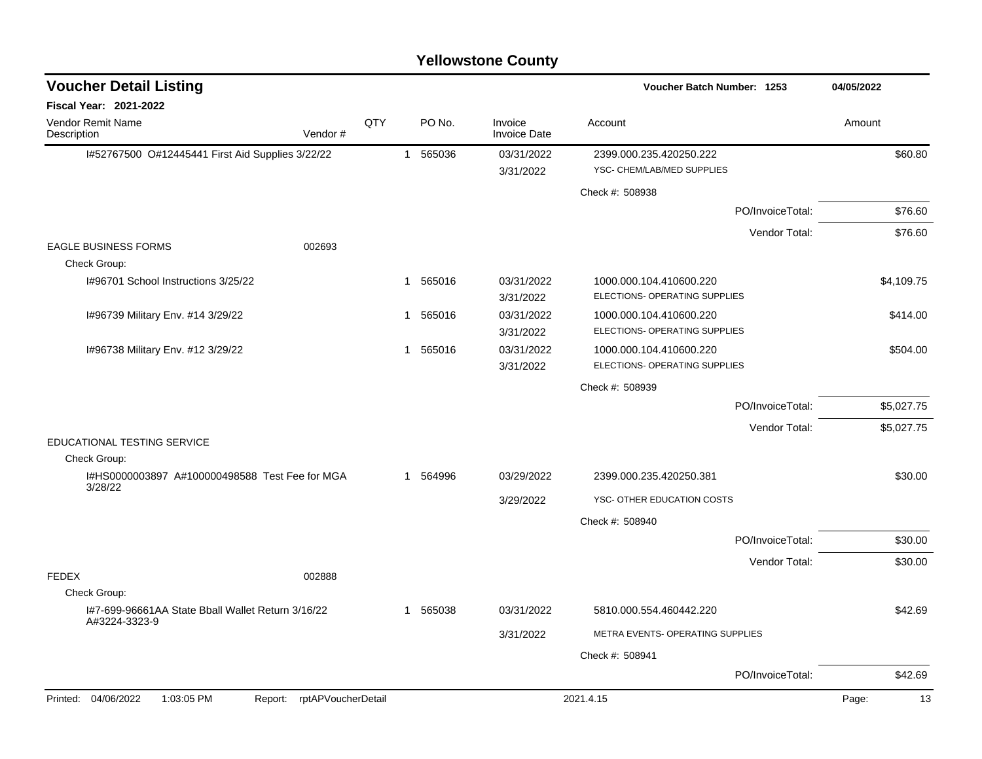| <b>Voucher Detail Listing</b>                                      |                |          |                                | Voucher Batch Number: 1253                               |                  | 04/05/2022  |
|--------------------------------------------------------------------|----------------|----------|--------------------------------|----------------------------------------------------------|------------------|-------------|
| Fiscal Year: 2021-2022                                             |                |          |                                |                                                          |                  |             |
| QTY<br>Vendor Remit Name<br>Description<br>Vendor#                 |                | PO No.   | Invoice<br><b>Invoice Date</b> | Account                                                  |                  | Amount      |
| I#52767500 O#12445441 First Aid Supplies 3/22/22                   | $\overline{1}$ | 565036   | 03/31/2022                     | 2399.000.235.420250.222                                  |                  | \$60.80     |
|                                                                    |                |          | 3/31/2022                      | YSC- CHEM/LAB/MED SUPPLIES                               |                  |             |
|                                                                    |                |          |                                | Check #: 508938                                          |                  |             |
|                                                                    |                |          |                                |                                                          | PO/InvoiceTotal: | \$76.60     |
|                                                                    |                |          |                                |                                                          | Vendor Total:    | \$76.60     |
| <b>EAGLE BUSINESS FORMS</b><br>002693                              |                |          |                                |                                                          |                  |             |
| Check Group:                                                       |                |          |                                |                                                          |                  |             |
| I#96701 School Instructions 3/25/22                                | -1             | 565016   | 03/31/2022                     | 1000.000.104.410600.220                                  |                  | \$4,109.75  |
|                                                                    |                |          | 3/31/2022                      | ELECTIONS- OPERATING SUPPLIES                            |                  |             |
| I#96739 Military Env. #14 3/29/22                                  | 1              | 565016   | 03/31/2022<br>3/31/2022        | 1000.000.104.410600.220<br>ELECTIONS- OPERATING SUPPLIES |                  | \$414.00    |
| I#96738 Military Env. #12 3/29/22                                  | 1              | 565016   | 03/31/2022                     | 1000.000.104.410600.220                                  |                  | \$504.00    |
|                                                                    |                |          | 3/31/2022                      | ELECTIONS- OPERATING SUPPLIES                            |                  |             |
|                                                                    |                |          |                                | Check #: 508939                                          |                  |             |
|                                                                    |                |          |                                |                                                          | PO/InvoiceTotal: | \$5,027.75  |
|                                                                    |                |          |                                |                                                          | Vendor Total:    | \$5,027.75  |
| EDUCATIONAL TESTING SERVICE                                        |                |          |                                |                                                          |                  |             |
| Check Group:                                                       |                |          |                                |                                                          |                  |             |
| I#HS0000003897 A#100000498588 Test Fee for MGA<br>3/28/22          |                | 1 564996 | 03/29/2022                     | 2399.000.235.420250.381                                  |                  | \$30.00     |
|                                                                    |                |          | 3/29/2022                      | YSC- OTHER EDUCATION COSTS                               |                  |             |
|                                                                    |                |          |                                | Check #: 508940                                          |                  |             |
|                                                                    |                |          |                                |                                                          | PO/InvoiceTotal: | \$30.00     |
|                                                                    |                |          |                                |                                                          | Vendor Total:    | \$30.00     |
| <b>FEDEX</b><br>002888                                             |                |          |                                |                                                          |                  |             |
| Check Group:                                                       |                |          |                                |                                                          |                  |             |
| I#7-699-96661AA State Bball Wallet Return 3/16/22<br>A#3224-3323-9 |                | 1 565038 | 03/31/2022                     | 5810.000.554.460442.220                                  |                  | \$42.69     |
|                                                                    |                |          | 3/31/2022                      | METRA EVENTS- OPERATING SUPPLIES                         |                  |             |
|                                                                    |                |          |                                | Check #: 508941                                          |                  |             |
|                                                                    |                |          |                                |                                                          | PO/InvoiceTotal: | \$42.69     |
| Printed: 04/06/2022<br>1:03:05 PM<br>Report: rptAPVoucherDetail    |                |          |                                | 2021.4.15                                                |                  | 13<br>Page: |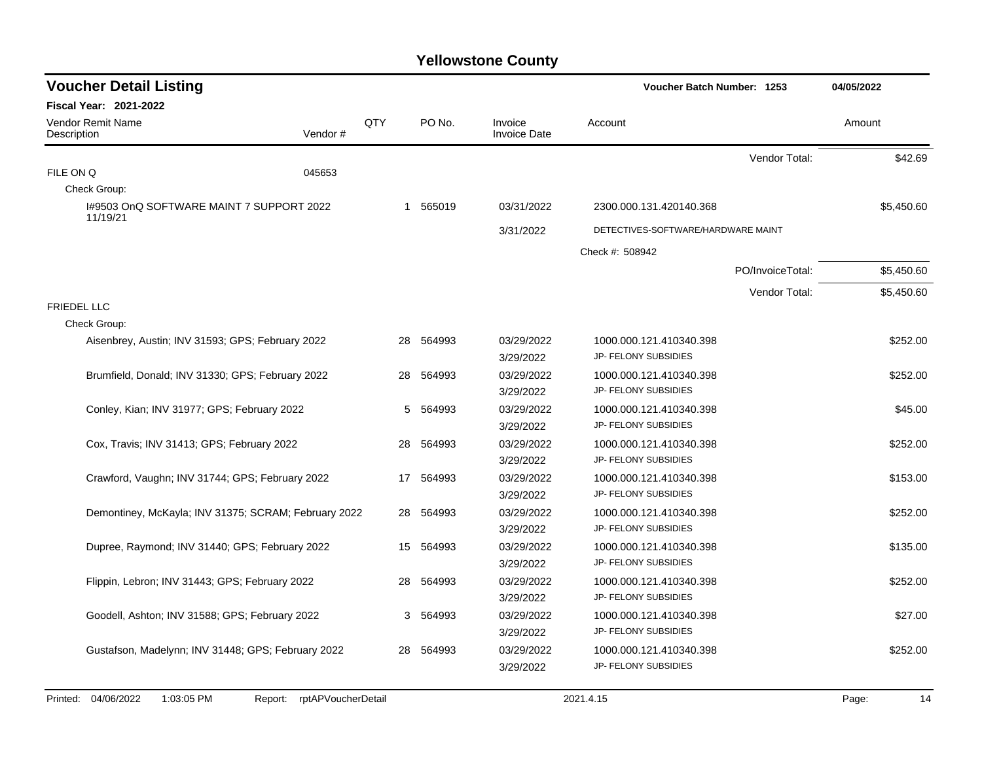| <b>Voucher Detail Listing</b>                        |         |     |    |           |                                |                 | Voucher Batch Number: 1253         | 04/05/2022       |            |
|------------------------------------------------------|---------|-----|----|-----------|--------------------------------|-----------------|------------------------------------|------------------|------------|
| <b>Fiscal Year: 2021-2022</b>                        |         |     |    |           |                                |                 |                                    |                  |            |
| <b>Vendor Remit Name</b><br>Description              | Vendor# | QTY |    | PO No.    | Invoice<br><b>Invoice Date</b> | Account         |                                    |                  | Amount     |
|                                                      |         |     |    |           |                                |                 |                                    | Vendor Total:    | \$42.69    |
| FILE ON Q                                            | 045653  |     |    |           |                                |                 |                                    |                  |            |
| Check Group:                                         |         |     |    |           |                                |                 |                                    |                  |            |
| 1#9503 OnQ SOFTWARE MAINT 7 SUPPORT 2022<br>11/19/21 |         |     |    | 1 565019  | 03/31/2022                     |                 | 2300.000.131.420140.368            |                  | \$5,450.60 |
|                                                      |         |     |    |           | 3/31/2022                      |                 | DETECTIVES-SOFTWARE/HARDWARE MAINT |                  |            |
|                                                      |         |     |    |           |                                | Check #: 508942 |                                    |                  |            |
|                                                      |         |     |    |           |                                |                 |                                    | PO/InvoiceTotal: | \$5,450.60 |
|                                                      |         |     |    |           |                                |                 |                                    | Vendor Total:    | \$5,450.60 |
| <b>FRIEDEL LLC</b>                                   |         |     |    |           |                                |                 |                                    |                  |            |
| Check Group:                                         |         |     |    |           |                                |                 |                                    |                  |            |
| Aisenbrey, Austin; INV 31593; GPS; February 2022     |         |     | 28 | 564993    | 03/29/2022                     |                 | 1000.000.121.410340.398            |                  | \$252.00   |
|                                                      |         |     |    |           | 3/29/2022                      |                 | JP- FELONY SUBSIDIES               |                  |            |
| Brumfield, Donald; INV 31330; GPS; February 2022     |         |     | 28 | 564993    | 03/29/2022                     |                 | 1000.000.121.410340.398            |                  | \$252.00   |
|                                                      |         |     |    |           | 3/29/2022                      |                 | JP- FELONY SUBSIDIES               |                  |            |
| Conley, Kian; INV 31977; GPS; February 2022          |         |     | 5  | 564993    | 03/29/2022                     |                 | 1000.000.121.410340.398            |                  | \$45.00    |
|                                                      |         |     |    |           | 3/29/2022                      |                 | JP- FELONY SUBSIDIES               |                  |            |
| Cox, Travis; INV 31413; GPS; February 2022           |         |     | 28 | 564993    | 03/29/2022                     |                 | 1000.000.121.410340.398            |                  | \$252.00   |
|                                                      |         |     |    |           | 3/29/2022                      |                 | JP- FELONY SUBSIDIES               |                  |            |
| Crawford, Vaughn; INV 31744; GPS; February 2022      |         |     |    | 17 564993 | 03/29/2022                     |                 | 1000.000.121.410340.398            |                  | \$153.00   |
|                                                      |         |     |    |           | 3/29/2022                      |                 | JP- FELONY SUBSIDIES               |                  |            |
| Demontiney, McKayla; INV 31375; SCRAM; February 2022 |         |     | 28 | 564993    | 03/29/2022                     |                 | 1000.000.121.410340.398            |                  | \$252.00   |
|                                                      |         |     |    |           | 3/29/2022                      |                 | JP- FELONY SUBSIDIES               |                  |            |
| Dupree, Raymond; INV 31440; GPS; February 2022       |         |     | 15 | 564993    | 03/29/2022                     |                 | 1000.000.121.410340.398            |                  | \$135.00   |
|                                                      |         |     |    |           | 3/29/2022                      |                 | JP- FELONY SUBSIDIES               |                  |            |
| Flippin, Lebron; INV 31443; GPS; February 2022       |         |     | 28 | 564993    | 03/29/2022                     |                 | 1000.000.121.410340.398            |                  | \$252.00   |
|                                                      |         |     |    |           | 3/29/2022                      |                 | JP- FELONY SUBSIDIES               |                  |            |
| Goodell, Ashton; INV 31588; GPS; February 2022       |         |     | 3  | 564993    | 03/29/2022                     |                 | 1000.000.121.410340.398            |                  | \$27.00    |
|                                                      |         |     |    |           | 3/29/2022                      |                 | JP- FELONY SUBSIDIES               |                  |            |
| Gustafson, Madelynn; INV 31448; GPS; February 2022   |         |     | 28 | 564993    | 03/29/2022                     |                 | 1000.000.121.410340.398            |                  | \$252.00   |
|                                                      |         |     |    |           | 3/29/2022                      |                 | JP- FELONY SUBSIDIES               |                  |            |
|                                                      |         |     |    |           |                                |                 |                                    |                  |            |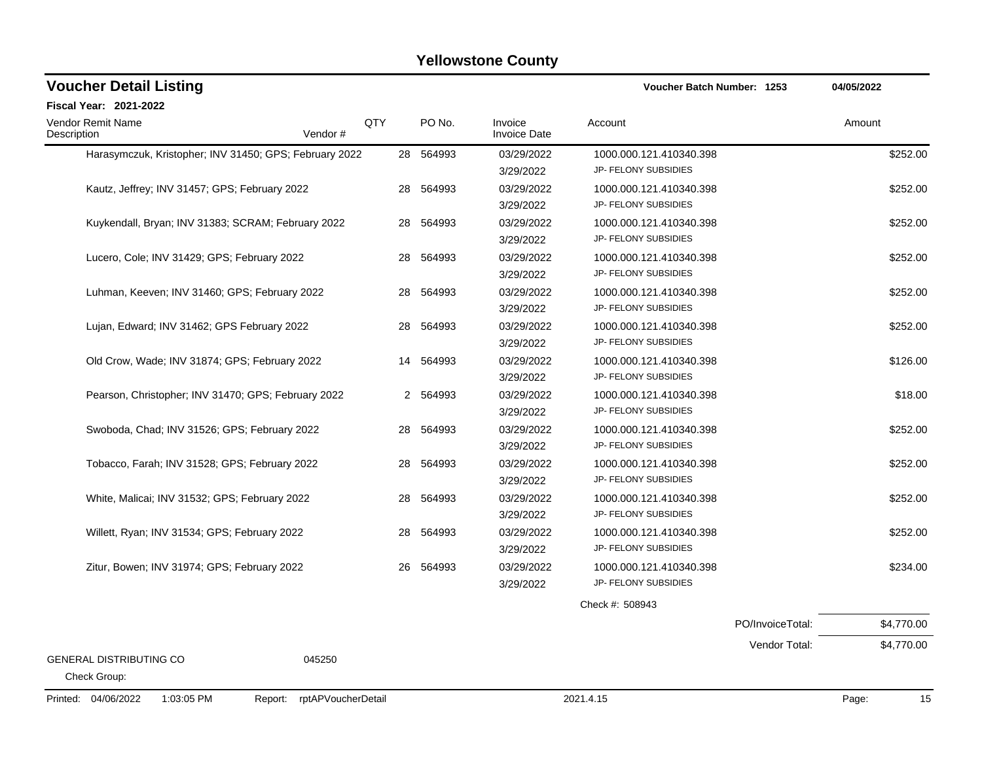| <b>Voucher Detail Listing</b>                                      |                |           | Voucher Batch Number: 1253     |                         | 04/05/2022       |             |
|--------------------------------------------------------------------|----------------|-----------|--------------------------------|-------------------------|------------------|-------------|
| Fiscal Year: 2021-2022                                             |                |           |                                |                         |                  |             |
| Vendor Remit Name<br>Vendor#<br>Description                        | QTY            | PO No.    | Invoice<br><b>Invoice Date</b> | Account                 |                  | Amount      |
| Harasymczuk, Kristopher; INV 31450; GPS; February 2022             |                | 28 564993 | 03/29/2022                     | 1000.000.121.410340.398 |                  | \$252.00    |
|                                                                    |                |           | 3/29/2022                      | JP- FELONY SUBSIDIES    |                  |             |
| Kautz, Jeffrey; INV 31457; GPS; February 2022                      | 28             | 564993    | 03/29/2022                     | 1000.000.121.410340.398 |                  | \$252.00    |
|                                                                    |                |           | 3/29/2022                      | JP- FELONY SUBSIDIES    |                  |             |
| Kuykendall, Bryan; INV 31383; SCRAM; February 2022                 | 28             | 564993    | 03/29/2022                     | 1000.000.121.410340.398 |                  | \$252.00    |
|                                                                    |                |           | 3/29/2022                      | JP- FELONY SUBSIDIES    |                  |             |
| Lucero, Cole; INV 31429; GPS; February 2022                        | 28             | 564993    | 03/29/2022                     | 1000.000.121.410340.398 |                  | \$252.00    |
|                                                                    |                |           | 3/29/2022                      | JP- FELONY SUBSIDIES    |                  |             |
| Luhman, Keeven; INV 31460; GPS; February 2022                      | 28             | 564993    | 03/29/2022                     | 1000.000.121.410340.398 |                  | \$252.00    |
|                                                                    |                |           | 3/29/2022                      | JP- FELONY SUBSIDIES    |                  |             |
| Lujan, Edward; INV 31462; GPS February 2022                        | 28             | 564993    | 03/29/2022                     | 1000.000.121.410340.398 |                  | \$252.00    |
|                                                                    |                |           | 3/29/2022                      | JP- FELONY SUBSIDIES    |                  |             |
| Old Crow, Wade; INV 31874; GPS; February 2022                      | 14             | 564993    | 03/29/2022                     | 1000.000.121.410340.398 |                  | \$126.00    |
|                                                                    |                |           | 3/29/2022                      | JP- FELONY SUBSIDIES    |                  |             |
| Pearson, Christopher; INV 31470; GPS; February 2022                | $\overline{2}$ | 564993    | 03/29/2022                     | 1000.000.121.410340.398 |                  | \$18.00     |
|                                                                    |                |           | 3/29/2022                      | JP- FELONY SUBSIDIES    |                  |             |
| Swoboda, Chad; INV 31526; GPS; February 2022                       | 28             | 564993    | 03/29/2022                     | 1000.000.121.410340.398 |                  | \$252.00    |
|                                                                    |                |           | 3/29/2022                      | JP- FELONY SUBSIDIES    |                  |             |
| Tobacco, Farah; INV 31528; GPS; February 2022                      | 28             | 564993    | 03/29/2022                     | 1000.000.121.410340.398 |                  | \$252.00    |
|                                                                    |                |           | 3/29/2022                      | JP- FELONY SUBSIDIES    |                  |             |
| White, Malicai; INV 31532; GPS; February 2022                      | 28             | 564993    | 03/29/2022                     | 1000.000.121.410340.398 |                  | \$252.00    |
|                                                                    |                |           | 3/29/2022                      | JP- FELONY SUBSIDIES    |                  |             |
| Willett, Ryan; INV 31534; GPS; February 2022                       | 28             | 564993    | 03/29/2022                     | 1000.000.121.410340.398 |                  | \$252.00    |
|                                                                    |                |           | 3/29/2022                      | JP- FELONY SUBSIDIES    |                  |             |
| Zitur, Bowen; INV 31974; GPS; February 2022                        | 26             | 564993    | 03/29/2022                     | 1000.000.121.410340.398 |                  | \$234.00    |
|                                                                    |                |           | 3/29/2022                      | JP- FELONY SUBSIDIES    |                  |             |
|                                                                    |                |           |                                | Check #: 508943         |                  |             |
|                                                                    |                |           |                                |                         | PO/InvoiceTotal: | \$4,770.00  |
|                                                                    |                |           |                                |                         | Vendor Total:    | \$4,770.00  |
| <b>GENERAL DISTRIBUTING CO</b><br>045250<br>Check Group:           |                |           |                                |                         |                  |             |
| Printed: 04/06/2022<br>1:03:05 PM<br>rptAPVoucherDetail<br>Report: |                |           |                                | 2021.4.15               |                  | 15<br>Page: |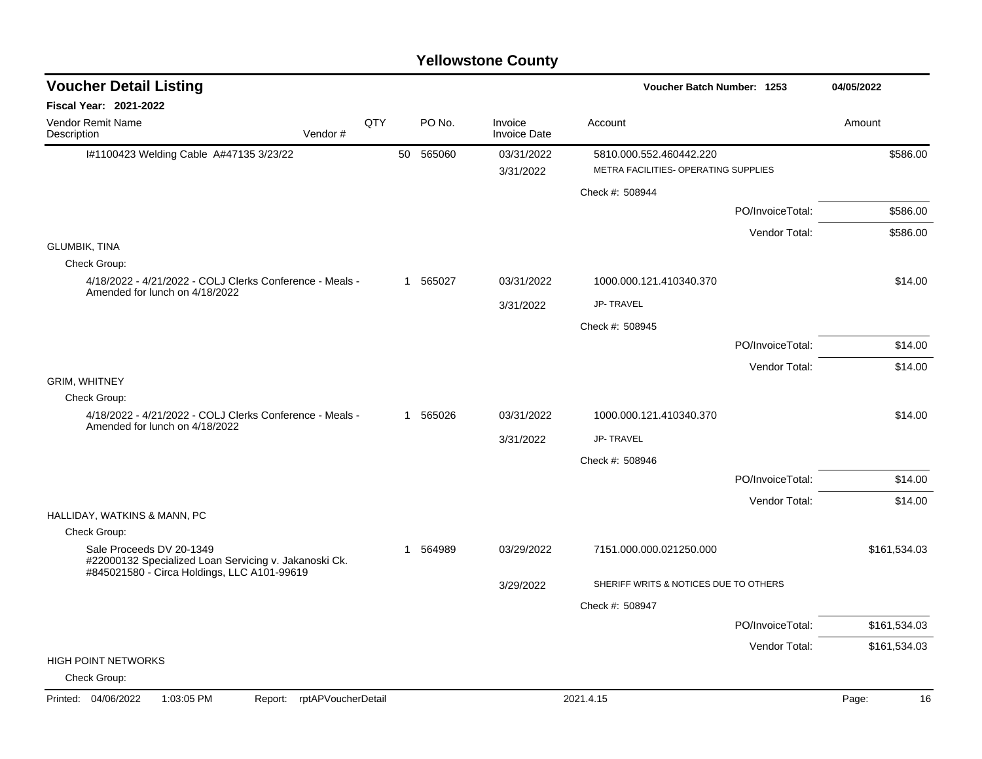| <b>Voucher Detail Listing</b>                                                              |     |           |                                | Voucher Batch Number: 1253            |                  | 04/05/2022   |
|--------------------------------------------------------------------------------------------|-----|-----------|--------------------------------|---------------------------------------|------------------|--------------|
| <b>Fiscal Year: 2021-2022</b>                                                              |     |           |                                |                                       |                  |              |
| <b>Vendor Remit Name</b><br>Vendor#<br>Description                                         | QTY | PO No.    | Invoice<br><b>Invoice Date</b> | Account                               |                  | Amount       |
| I#1100423 Welding Cable A#47135 3/23/22                                                    |     | 50 565060 | 03/31/2022                     | 5810.000.552.460442.220               |                  | \$586.00     |
|                                                                                            |     |           | 3/31/2022                      | METRA FACILITIES- OPERATING SUPPLIES  |                  |              |
|                                                                                            |     |           |                                | Check #: 508944                       |                  |              |
|                                                                                            |     |           |                                |                                       | PO/InvoiceTotal: | \$586.00     |
|                                                                                            |     |           |                                |                                       | Vendor Total:    | \$586.00     |
| <b>GLUMBIK, TINA</b><br>Check Group:                                                       |     |           |                                |                                       |                  |              |
| 4/18/2022 - 4/21/2022 - COLJ Clerks Conference - Meals -<br>Amended for lunch on 4/18/2022 |     | 1 565027  | 03/31/2022                     | 1000.000.121.410340.370               |                  | \$14.00      |
|                                                                                            |     |           | 3/31/2022                      | <b>JP-TRAVEL</b>                      |                  |              |
|                                                                                            |     |           |                                | Check #: 508945                       |                  |              |
|                                                                                            |     |           |                                |                                       | PO/InvoiceTotal: | \$14.00      |
|                                                                                            |     |           |                                |                                       | Vendor Total:    | \$14.00      |
| <b>GRIM, WHITNEY</b>                                                                       |     |           |                                |                                       |                  |              |
| Check Group:<br>4/18/2022 - 4/21/2022 - COLJ Clerks Conference - Meals -                   |     | 1 565026  | 03/31/2022                     | 1000.000.121.410340.370               |                  | \$14.00      |
| Amended for lunch on 4/18/2022                                                             |     |           |                                |                                       |                  |              |
|                                                                                            |     |           | 3/31/2022                      | JP-TRAVEL                             |                  |              |
|                                                                                            |     |           |                                | Check #: 508946                       |                  |              |
|                                                                                            |     |           |                                |                                       | PO/InvoiceTotal: | \$14.00      |
| HALLIDAY, WATKINS & MANN, PC                                                               |     |           |                                |                                       | Vendor Total:    | \$14.00      |
| Check Group:                                                                               |     |           |                                |                                       |                  |              |
| Sale Proceeds DV 20-1349<br>#22000132 Specialized Loan Servicing v. Jakanoski Ck.          |     | 1 564989  | 03/29/2022                     | 7151.000.000.021250.000               |                  | \$161,534.03 |
| #845021580 - Circa Holdings, LLC A101-99619                                                |     |           | 3/29/2022                      | SHERIFF WRITS & NOTICES DUE TO OTHERS |                  |              |
|                                                                                            |     |           |                                | Check #: 508947                       |                  |              |
|                                                                                            |     |           |                                |                                       | PO/InvoiceTotal: | \$161,534.03 |
|                                                                                            |     |           |                                |                                       | Vendor Total:    | \$161,534.03 |
| <b>HIGH POINT NETWORKS</b><br>Check Group:                                                 |     |           |                                |                                       |                  |              |
| rptAPVoucherDetail<br>Printed: 04/06/2022<br>1:03:05 PM<br>Report:                         |     |           |                                | 2021.4.15                             |                  | Page:<br>16  |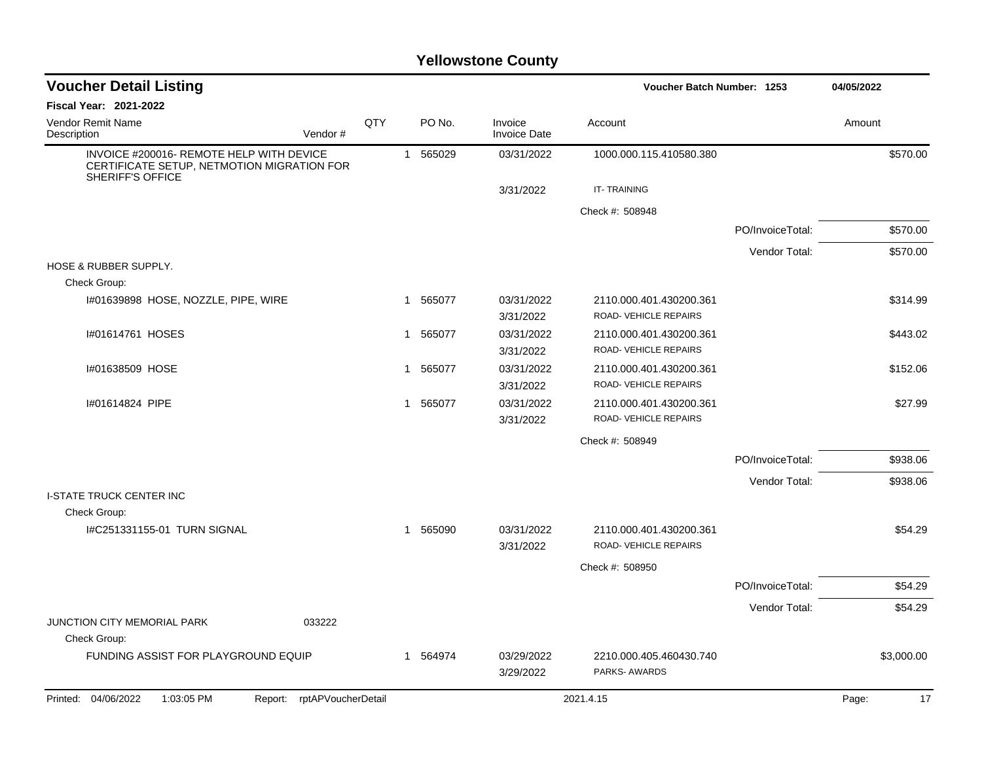| <b>Voucher Detail Listing</b>                                                                                     |     |                        |                                | Voucher Batch Number: 1253                      |                  | 04/05/2022  |
|-------------------------------------------------------------------------------------------------------------------|-----|------------------------|--------------------------------|-------------------------------------------------|------------------|-------------|
| <b>Fiscal Year: 2021-2022</b>                                                                                     |     |                        |                                |                                                 |                  |             |
| Vendor Remit Name<br>Vendor#<br>Description                                                                       | QTY | PO No.                 | Invoice<br><b>Invoice Date</b> | Account                                         |                  | Amount      |
| INVOICE #200016- REMOTE HELP WITH DEVICE<br>CERTIFICATE SETUP, NETMOTION MIGRATION FOR<br><b>SHERIFF'S OFFICE</b> |     | 1 565029               | 03/31/2022                     | 1000.000.115.410580.380                         |                  | \$570.00    |
|                                                                                                                   |     |                        | 3/31/2022                      | IT-TRAINING                                     |                  |             |
|                                                                                                                   |     |                        |                                | Check #: 508948                                 |                  |             |
|                                                                                                                   |     |                        |                                |                                                 | PO/InvoiceTotal: | \$570.00    |
|                                                                                                                   |     |                        |                                |                                                 | Vendor Total:    | \$570.00    |
| <b>HOSE &amp; RUBBER SUPPLY.</b>                                                                                  |     |                        |                                |                                                 |                  |             |
| Check Group:                                                                                                      |     |                        |                                |                                                 |                  |             |
| I#01639898 HOSE, NOZZLE, PIPE, WIRE                                                                               |     | 1 565077               | 03/31/2022<br>3/31/2022        | 2110.000.401.430200.361<br>ROAD-VEHICLE REPAIRS |                  | \$314.99    |
| #01614761 HOSES                                                                                                   |     | 565077<br>$\mathbf{1}$ | 03/31/2022<br>3/31/2022        | 2110.000.401.430200.361<br>ROAD-VEHICLE REPAIRS |                  | \$443.02    |
| I#01638509 HOSE                                                                                                   |     | 565077<br>$\mathbf{1}$ | 03/31/2022<br>3/31/2022        | 2110.000.401.430200.361<br>ROAD-VEHICLE REPAIRS |                  | \$152.06    |
| #01614824 PIPE                                                                                                    |     | 1 565077               | 03/31/2022<br>3/31/2022        | 2110.000.401.430200.361<br>ROAD-VEHICLE REPAIRS |                  | \$27.99     |
|                                                                                                                   |     |                        |                                | Check #: 508949                                 |                  |             |
|                                                                                                                   |     |                        |                                |                                                 | PO/InvoiceTotal: | \$938.06    |
|                                                                                                                   |     |                        |                                |                                                 | Vendor Total:    | \$938.06    |
| <b>I-STATE TRUCK CENTER INC</b>                                                                                   |     |                        |                                |                                                 |                  |             |
| Check Group:                                                                                                      |     |                        |                                |                                                 |                  |             |
| I#C251331155-01 TURN SIGNAL                                                                                       |     | 1 565090               | 03/31/2022<br>3/31/2022        | 2110.000.401.430200.361<br>ROAD-VEHICLE REPAIRS |                  | \$54.29     |
|                                                                                                                   |     |                        |                                | Check #: 508950                                 |                  |             |
|                                                                                                                   |     |                        |                                |                                                 | PO/InvoiceTotal: | \$54.29     |
|                                                                                                                   |     |                        |                                |                                                 | Vendor Total:    | \$54.29     |
| JUNCTION CITY MEMORIAL PARK<br>033222<br>Check Group:                                                             |     |                        |                                |                                                 |                  |             |
| FUNDING ASSIST FOR PLAYGROUND EQUIP                                                                               |     | 1 564974               | 03/29/2022<br>3/29/2022        | 2210.000.405.460430.740<br>PARKS-AWARDS         |                  | \$3,000.00  |
| Report: rptAPVoucherDetail<br>Printed: 04/06/2022<br>1:03:05 PM                                                   |     |                        |                                | 2021.4.15                                       |                  | Page:<br>17 |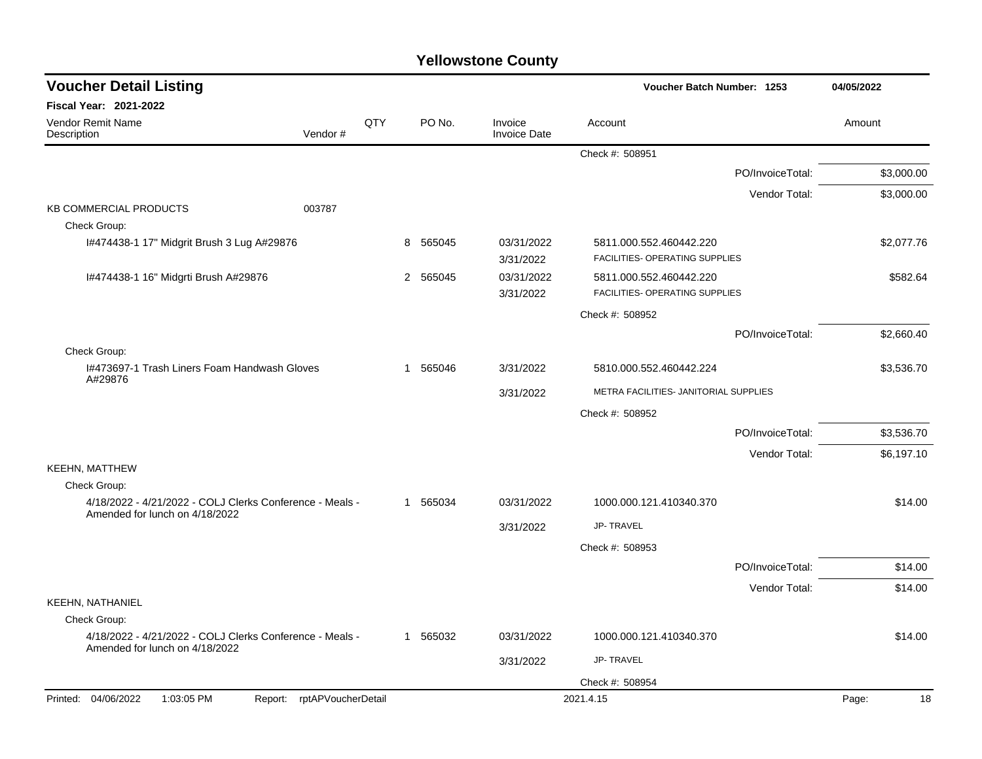| <b>Voucher Detail Listing</b>                                                              |                            |          |             |                                       | Voucher Batch Number: 1253                                |                  | 04/05/2022  |
|--------------------------------------------------------------------------------------------|----------------------------|----------|-------------|---------------------------------------|-----------------------------------------------------------|------------------|-------------|
| Fiscal Year: 2021-2022                                                                     |                            |          |             |                                       |                                                           |                  |             |
| Vendor Remit Name<br>Description                                                           | Vendor#                    | QTY      | PO No.      | Invoice<br><b>Invoice Date</b>        | Account                                                   |                  | Amount      |
|                                                                                            |                            |          |             |                                       | Check #: 508951                                           |                  |             |
|                                                                                            |                            |          |             |                                       |                                                           | PO/InvoiceTotal: | \$3,000.00  |
|                                                                                            |                            |          |             |                                       |                                                           | Vendor Total:    | \$3,000.00  |
| <b>KB COMMERCIAL PRODUCTS</b><br>Check Group:                                              | 003787                     |          |             |                                       |                                                           |                  |             |
| 1#474438-1 17" Midgrit Brush 3 Lug A#29876                                                 |                            |          | 8<br>565045 | 03/31/2022<br>3/31/2022               | 5811.000.552.460442.220<br>FACILITIES- OPERATING SUPPLIES |                  | \$2,077.76  |
| I#474438-1 16" Midgrti Brush A#29876                                                       |                            |          | 565045<br>2 | 03/31/2022<br>3/31/2022               | 5811.000.552.460442.220<br>FACILITIES- OPERATING SUPPLIES |                  | \$582.64    |
|                                                                                            |                            |          |             |                                       | Check #: 508952                                           |                  |             |
|                                                                                            |                            |          |             |                                       |                                                           | PO/InvoiceTotal: | \$2,660.40  |
| Check Group:                                                                               |                            |          |             |                                       |                                                           |                  |             |
| I#473697-1 Trash Liners Foam Handwash Gloves<br>A#29876                                    |                            | 1 565046 | 3/31/2022   | 5810.000.552.460442.224               |                                                           | \$3,536.70       |             |
|                                                                                            |                            |          | 3/31/2022   | METRA FACILITIES- JANITORIAL SUPPLIES |                                                           |                  |             |
|                                                                                            |                            |          |             |                                       | Check #: 508952                                           |                  |             |
|                                                                                            |                            |          |             |                                       |                                                           | PO/InvoiceTotal: | \$3,536.70  |
|                                                                                            |                            |          |             |                                       |                                                           | Vendor Total:    | \$6,197.10  |
| <b>KEEHN, MATTHEW</b><br>Check Group:                                                      |                            |          |             |                                       |                                                           |                  |             |
| 4/18/2022 - 4/21/2022 - COLJ Clerks Conference - Meals -                                   |                            |          | 1 565034    | 03/31/2022                            | 1000.000.121.410340.370                                   |                  | \$14.00     |
| Amended for lunch on 4/18/2022                                                             |                            |          |             | 3/31/2022                             | <b>JP-TRAVEL</b>                                          |                  |             |
|                                                                                            |                            |          |             |                                       | Check #: 508953                                           |                  |             |
|                                                                                            |                            |          |             |                                       |                                                           | PO/InvoiceTotal: | \$14.00     |
|                                                                                            |                            |          |             |                                       |                                                           | Vendor Total:    | \$14.00     |
| KEEHN, NATHANIEL                                                                           |                            |          |             |                                       |                                                           |                  |             |
| Check Group:                                                                               |                            |          |             |                                       |                                                           |                  |             |
| 4/18/2022 - 4/21/2022 - COLJ Clerks Conference - Meals -<br>Amended for lunch on 4/18/2022 |                            |          | 1 565032    | 03/31/2022                            | 1000.000.121.410340.370                                   |                  | \$14.00     |
|                                                                                            |                            |          |             | 3/31/2022                             | JP-TRAVEL                                                 |                  |             |
|                                                                                            |                            |          |             |                                       | Check #: 508954                                           |                  |             |
| Printed: 04/06/2022<br>1:03:05 PM                                                          | Report: rptAPVoucherDetail |          |             |                                       | 2021.4.15                                                 |                  | Page:<br>18 |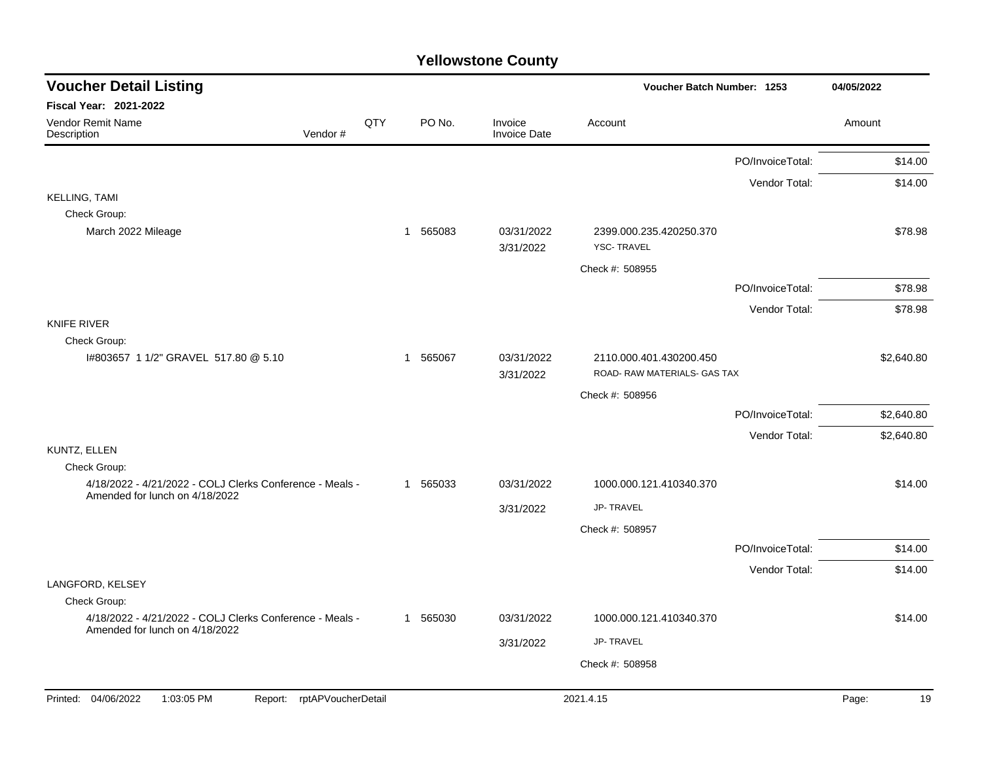| <b>Voucher Detail Listing</b>                                                              |     |          |                                | Voucher Batch Number: 1253                              |                  | 04/05/2022  |
|--------------------------------------------------------------------------------------------|-----|----------|--------------------------------|---------------------------------------------------------|------------------|-------------|
| <b>Fiscal Year: 2021-2022</b>                                                              |     |          |                                |                                                         |                  |             |
| Vendor Remit Name<br>Vendor#<br>Description                                                | QTY | PO No.   | Invoice<br><b>Invoice Date</b> | Account                                                 |                  | Amount      |
|                                                                                            |     |          |                                |                                                         | PO/InvoiceTotal: | \$14.00     |
|                                                                                            |     |          |                                |                                                         | Vendor Total:    | \$14.00     |
| <b>KELLING, TAMI</b>                                                                       |     |          |                                |                                                         |                  |             |
| Check Group:                                                                               |     |          |                                |                                                         |                  |             |
| March 2022 Mileage                                                                         |     | 1 565083 | 03/31/2022<br>3/31/2022        | 2399.000.235.420250.370<br><b>YSC-TRAVEL</b>            |                  | \$78.98     |
|                                                                                            |     |          |                                | Check #: 508955                                         |                  |             |
|                                                                                            |     |          |                                |                                                         | PO/InvoiceTotal: | \$78.98     |
|                                                                                            |     |          |                                |                                                         | Vendor Total:    | \$78.98     |
| <b>KNIFE RIVER</b>                                                                         |     |          |                                |                                                         |                  |             |
| Check Group:                                                                               |     |          |                                |                                                         |                  |             |
| 1#803657 1 1/2" GRAVEL 517.80 @ 5.10                                                       |     | 1 565067 | 03/31/2022<br>3/31/2022        | 2110.000.401.430200.450<br>ROAD- RAW MATERIALS- GAS TAX |                  | \$2,640.80  |
|                                                                                            |     |          |                                | Check #: 508956                                         |                  |             |
|                                                                                            |     |          |                                |                                                         | PO/InvoiceTotal: | \$2,640.80  |
|                                                                                            |     |          |                                |                                                         | Vendor Total:    | \$2,640.80  |
| KUNTZ, ELLEN                                                                               |     |          |                                |                                                         |                  |             |
| Check Group:                                                                               |     |          |                                |                                                         |                  |             |
| 4/18/2022 - 4/21/2022 - COLJ Clerks Conference - Meals -<br>Amended for lunch on 4/18/2022 |     | 1 565033 | 03/31/2022                     | 1000.000.121.410340.370                                 |                  | \$14.00     |
|                                                                                            |     |          | 3/31/2022                      | JP-TRAVEL                                               |                  |             |
|                                                                                            |     |          |                                | Check #: 508957                                         |                  |             |
|                                                                                            |     |          |                                |                                                         | PO/InvoiceTotal: | \$14.00     |
|                                                                                            |     |          |                                |                                                         | Vendor Total:    | \$14.00     |
| LANGFORD, KELSEY                                                                           |     |          |                                |                                                         |                  |             |
| Check Group:<br>4/18/2022 - 4/21/2022 - COLJ Clerks Conference - Meals -                   |     | 1 565030 | 03/31/2022                     | 1000.000.121.410340.370                                 |                  | \$14.00     |
| Amended for lunch on 4/18/2022                                                             |     |          |                                |                                                         |                  |             |
|                                                                                            |     |          | 3/31/2022                      | <b>JP-TRAVEL</b>                                        |                  |             |
|                                                                                            |     |          |                                | Check #: 508958                                         |                  |             |
| Printed: 04/06/2022<br>1:03:05 PM<br>rptAPVoucherDetail<br>Report:                         |     |          |                                | 2021.4.15                                               |                  | 19<br>Page: |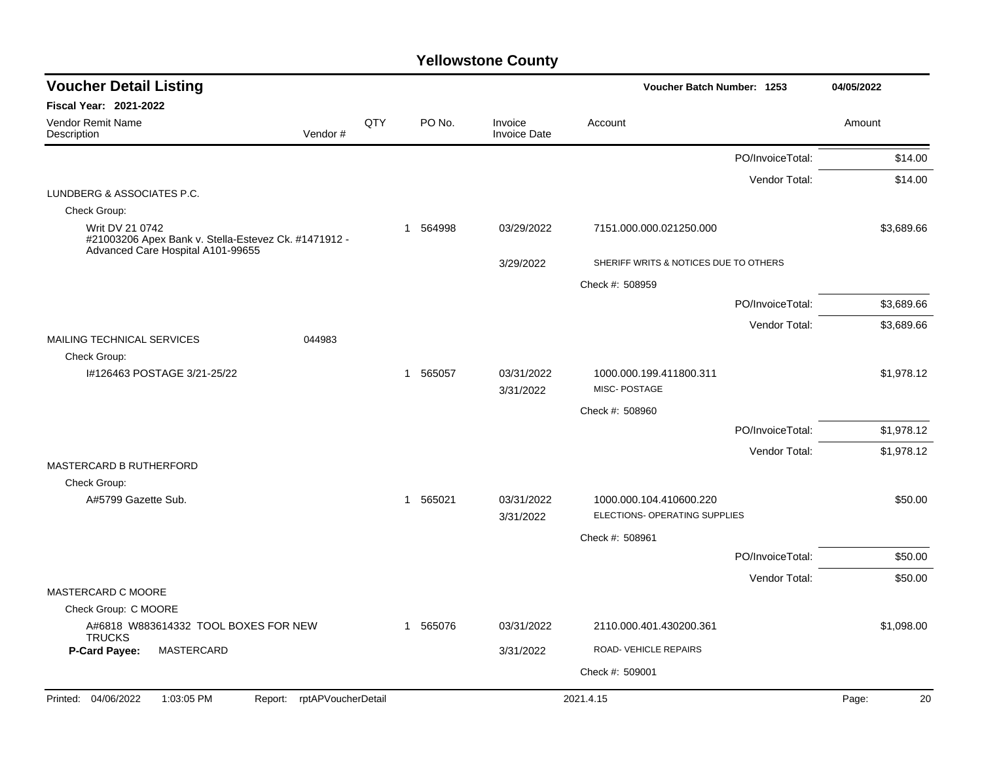| <b>Voucher Detail Listing</b>                                                                                |     |             |                                | Voucher Batch Number: 1253                               |                  | 04/05/2022  |
|--------------------------------------------------------------------------------------------------------------|-----|-------------|--------------------------------|----------------------------------------------------------|------------------|-------------|
| <b>Fiscal Year: 2021-2022</b>                                                                                |     |             |                                |                                                          |                  |             |
| Vendor Remit Name<br>Vendor#<br>Description                                                                  | QTY | PO No.      | Invoice<br><b>Invoice Date</b> | Account                                                  |                  | Amount      |
|                                                                                                              |     |             |                                |                                                          | PO/InvoiceTotal: | \$14.00     |
|                                                                                                              |     |             |                                |                                                          | Vendor Total:    | \$14.00     |
| LUNDBERG & ASSOCIATES P.C.                                                                                   |     |             |                                |                                                          |                  |             |
| Check Group:                                                                                                 |     |             |                                |                                                          |                  |             |
| Writ DV 21 0742<br>#21003206 Apex Bank v. Stella-Estevez Ck. #1471912 -<br>Advanced Care Hospital A101-99655 |     | 1 564998    | 03/29/2022                     | 7151.000.000.021250.000                                  |                  | \$3,689.66  |
|                                                                                                              |     |             | 3/29/2022                      | SHERIFF WRITS & NOTICES DUE TO OTHERS                    |                  |             |
|                                                                                                              |     |             |                                | Check #: 508959                                          |                  |             |
|                                                                                                              |     |             |                                |                                                          | PO/InvoiceTotal: | \$3,689.66  |
|                                                                                                              |     |             |                                |                                                          | Vendor Total:    | \$3,689.66  |
| <b>MAILING TECHNICAL SERVICES</b><br>044983                                                                  |     |             |                                |                                                          |                  |             |
| Check Group:                                                                                                 |     |             |                                |                                                          |                  |             |
| I#126463 POSTAGE 3/21-25/22                                                                                  |     | 1 565057    | 03/31/2022<br>3/31/2022        | 1000.000.199.411800.311<br>MISC-POSTAGE                  |                  | \$1,978.12  |
|                                                                                                              |     |             |                                | Check #: 508960                                          |                  |             |
|                                                                                                              |     |             |                                |                                                          | PO/InvoiceTotal: | \$1,978.12  |
|                                                                                                              |     |             |                                |                                                          | Vendor Total:    | \$1,978.12  |
| MASTERCARD B RUTHERFORD                                                                                      |     |             |                                |                                                          |                  |             |
| Check Group:                                                                                                 |     |             |                                |                                                          |                  |             |
| A#5799 Gazette Sub.                                                                                          |     | 1 565021    | 03/31/2022<br>3/31/2022        | 1000.000.104.410600.220<br>ELECTIONS- OPERATING SUPPLIES |                  | \$50.00     |
|                                                                                                              |     |             |                                | Check #: 508961                                          |                  |             |
|                                                                                                              |     |             |                                |                                                          | PO/InvoiceTotal: | \$50.00     |
|                                                                                                              |     |             |                                |                                                          | Vendor Total:    | \$50.00     |
| MASTERCARD C MOORE                                                                                           |     |             |                                |                                                          |                  |             |
| Check Group: C MOORE                                                                                         |     |             |                                |                                                          |                  |             |
| A#6818 W883614332 TOOL BOXES FOR NEW<br><b>TRUCKS</b>                                                        |     | 565076<br>1 | 03/31/2022                     | 2110.000.401.430200.361                                  |                  | \$1,098.00  |
| MASTERCARD<br>P-Card Payee:                                                                                  |     |             | 3/31/2022                      | ROAD-VEHICLE REPAIRS                                     |                  |             |
|                                                                                                              |     |             |                                | Check #: 509001                                          |                  |             |
| Printed: 04/06/2022<br>1:03:05 PM<br>rptAPVoucherDetail<br>Report:                                           |     |             |                                | 2021.4.15                                                |                  | 20<br>Page: |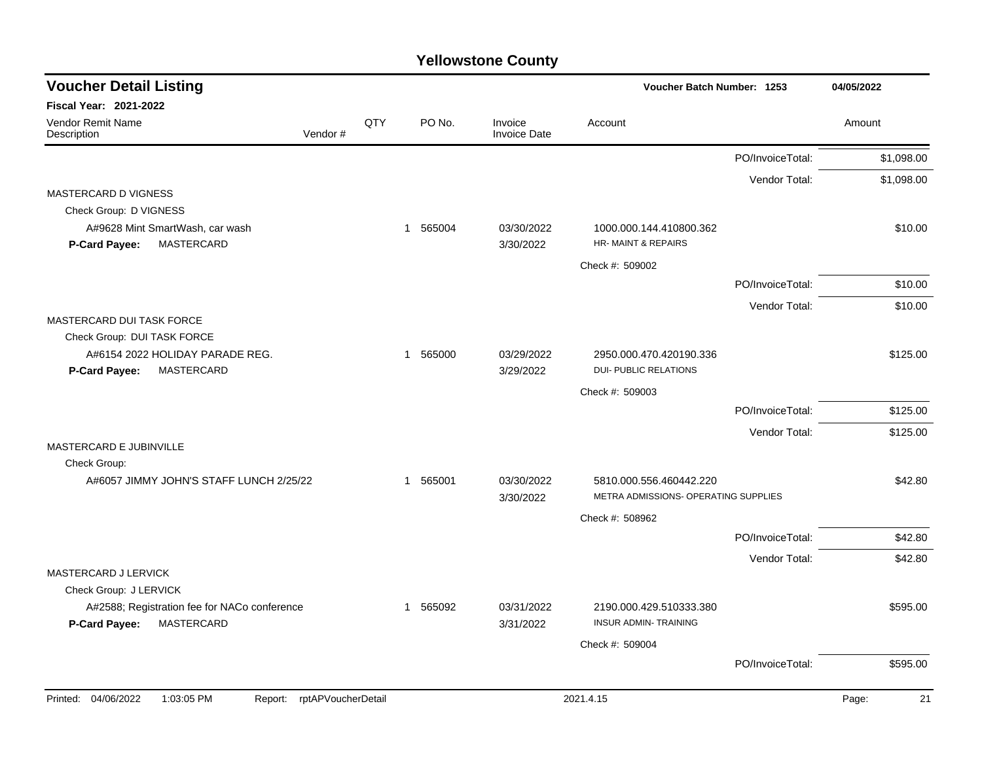| <b>Voucher Detail Listing</b>                                               |     |                        |                                | Voucher Batch Number: 1253                             |                  | 04/05/2022 |
|-----------------------------------------------------------------------------|-----|------------------------|--------------------------------|--------------------------------------------------------|------------------|------------|
| <b>Fiscal Year: 2021-2022</b>                                               |     |                        |                                |                                                        |                  |            |
| Vendor Remit Name<br>Vendor#<br>Description                                 | QTY | PO No.                 | Invoice<br><b>Invoice Date</b> | Account                                                |                  | Amount     |
|                                                                             |     |                        |                                |                                                        | PO/InvoiceTotal: | \$1,098.00 |
|                                                                             |     |                        |                                |                                                        | Vendor Total:    | \$1,098.00 |
| MASTERCARD D VIGNESS                                                        |     |                        |                                |                                                        |                  |            |
| Check Group: D VIGNESS                                                      |     |                        |                                |                                                        |                  |            |
| A#9628 Mint SmartWash, car wash                                             |     | 565004<br>$\mathbf{1}$ | 03/30/2022                     | 1000.000.144.410800.362                                |                  | \$10.00    |
| <b>MASTERCARD</b><br><b>P-Card Payee:</b>                                   |     |                        | 3/30/2022                      | <b>HR-MAINT &amp; REPAIRS</b>                          |                  |            |
|                                                                             |     |                        |                                | Check #: 509002                                        |                  |            |
|                                                                             |     |                        |                                |                                                        | PO/InvoiceTotal: | \$10.00    |
|                                                                             |     |                        |                                |                                                        | Vendor Total:    | \$10.00    |
| MASTERCARD DUI TASK FORCE                                                   |     |                        |                                |                                                        |                  |            |
| Check Group: DUI TASK FORCE                                                 |     |                        |                                |                                                        |                  |            |
| A#6154 2022 HOLIDAY PARADE REG.                                             |     | 565000<br>$\mathbf{1}$ | 03/29/2022                     | 2950.000.470.420190.336                                |                  | \$125.00   |
| <b>MASTERCARD</b><br><b>P-Card Payee:</b>                                   |     |                        | 3/29/2022                      | <b>DUI- PUBLIC RELATIONS</b>                           |                  |            |
|                                                                             |     |                        |                                | Check #: 509003                                        |                  |            |
|                                                                             |     |                        |                                |                                                        | PO/InvoiceTotal: | \$125.00   |
|                                                                             |     |                        |                                |                                                        | Vendor Total:    | \$125.00   |
| MASTERCARD E JUBINVILLE                                                     |     |                        |                                |                                                        |                  |            |
| Check Group:                                                                |     |                        |                                |                                                        |                  |            |
| A#6057 JIMMY JOHN'S STAFF LUNCH 2/25/22                                     |     | 565001<br>$\mathbf 1$  | 03/30/2022                     | 5810.000.556.460442.220                                |                  | \$42.80    |
|                                                                             |     |                        | 3/30/2022                      | METRA ADMISSIONS- OPERATING SUPPLIES                   |                  |            |
|                                                                             |     |                        |                                | Check #: 508962                                        |                  |            |
|                                                                             |     |                        |                                |                                                        | PO/InvoiceTotal: | \$42.80    |
|                                                                             |     |                        |                                |                                                        | Vendor Total:    | \$42.80    |
| <b>MASTERCARD J LERVICK</b>                                                 |     |                        |                                |                                                        |                  |            |
| Check Group: J LERVICK                                                      |     |                        |                                |                                                        |                  |            |
| A#2588; Registration fee for NACo conference<br>MASTERCARD<br>P-Card Payee: |     | 565092<br>$\mathbf 1$  | 03/31/2022<br>3/31/2022        | 2190.000.429.510333.380<br><b>INSUR ADMIN-TRAINING</b> |                  | \$595.00   |
|                                                                             |     |                        |                                | Check #: 509004                                        |                  |            |
|                                                                             |     |                        |                                |                                                        | PO/InvoiceTotal: | \$595.00   |
|                                                                             |     |                        |                                |                                                        |                  |            |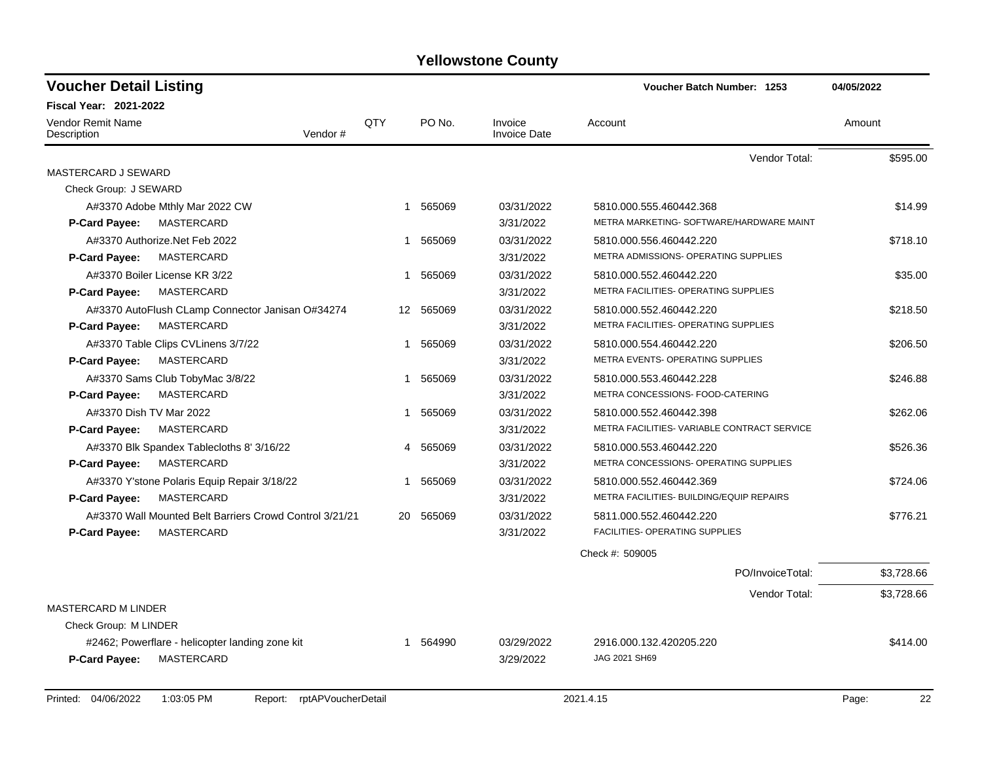| <b>Voucher Detail Listing</b>                           |             |           |                                | Voucher Batch Number: 1253                  | 04/05/2022 |
|---------------------------------------------------------|-------------|-----------|--------------------------------|---------------------------------------------|------------|
| Fiscal Year: 2021-2022                                  |             |           |                                |                                             |            |
| <b>Vendor Remit Name</b><br>Vendor#<br>Description      | QTY         | PO No.    | Invoice<br><b>Invoice Date</b> | Account                                     | Amount     |
|                                                         |             |           |                                | Vendor Total:                               | \$595.00   |
| <b>MASTERCARD J SEWARD</b>                              |             |           |                                |                                             |            |
| Check Group: J SEWARD                                   |             |           |                                |                                             |            |
| A#3370 Adobe Mthly Mar 2022 CW                          | $\mathbf 1$ | 565069    | 03/31/2022                     | 5810.000.555.460442.368                     | \$14.99    |
| <b>MASTERCARD</b><br>P-Card Payee:                      |             |           | 3/31/2022                      | METRA MARKETING- SOFTWARE/HARDWARE MAINT    |            |
| A#3370 Authorize.Net Feb 2022                           | $\mathbf 1$ | 565069    | 03/31/2022                     | 5810.000.556.460442.220                     | \$718.10   |
| P-Card Payee:<br>MASTERCARD                             |             |           | 3/31/2022                      | METRA ADMISSIONS- OPERATING SUPPLIES        |            |
| A#3370 Boiler License KR 3/22                           |             | 1 565069  | 03/31/2022                     | 5810.000.552.460442.220                     | \$35.00    |
| <b>MASTERCARD</b><br>P-Card Payee:                      |             |           | 3/31/2022                      | METRA FACILITIES- OPERATING SUPPLIES        |            |
| A#3370 AutoFlush CLamp Connector Janisan O#34274        |             | 12 565069 | 03/31/2022                     | 5810.000.552.460442.220                     | \$218.50   |
| <b>MASTERCARD</b><br>P-Card Payee:                      |             |           | 3/31/2022                      | METRA FACILITIES- OPERATING SUPPLIES        |            |
| A#3370 Table Clips CVLinens 3/7/22                      | 1           | 565069    | 03/31/2022                     | 5810.000.554.460442.220                     | \$206.50   |
| <b>MASTERCARD</b><br><b>P-Card Payee:</b>               |             |           | 3/31/2022                      | METRA EVENTS- OPERATING SUPPLIES            |            |
| A#3370 Sams Club TobyMac 3/8/22                         | $\mathbf 1$ | 565069    | 03/31/2022                     | 5810.000.553.460442.228                     | \$246.88   |
| P-Card Payee:<br>MASTERCARD                             |             |           | 3/31/2022                      | METRA CONCESSIONS- FOOD-CATERING            |            |
| A#3370 Dish TV Mar 2022                                 | 1           | 565069    | 03/31/2022                     | 5810.000.552.460442.398                     | \$262.06   |
| MASTERCARD<br><b>P-Card Payee:</b>                      |             |           | 3/31/2022                      | METRA FACILITIES- VARIABLE CONTRACT SERVICE |            |
| A#3370 Blk Spandex Tablecloths 8' 3/16/22               | 4           | 565069    | 03/31/2022                     | 5810.000.553.460442.220                     | \$526.36   |
| MASTERCARD<br>P-Card Payee:                             |             |           | 3/31/2022                      | METRA CONCESSIONS- OPERATING SUPPLIES       |            |
| A#3370 Y'stone Polaris Equip Repair 3/18/22             | 1           | 565069    | 03/31/2022                     | 5810.000.552.460442.369                     | \$724.06   |
| P-Card Payee:<br>MASTERCARD                             |             |           | 3/31/2022                      | METRA FACILITIES- BUILDING/EQUIP REPAIRS    |            |
| A#3370 Wall Mounted Belt Barriers Crowd Control 3/21/21 | 20          | 565069    | 03/31/2022                     | 5811.000.552.460442.220                     | \$776.21   |
| MASTERCARD<br><b>P-Card Payee:</b>                      |             |           | 3/31/2022                      | <b>FACILITIES- OPERATING SUPPLIES</b>       |            |
|                                                         |             |           |                                | Check #: 509005                             |            |
|                                                         |             |           |                                | PO/InvoiceTotal:                            | \$3,728.66 |
|                                                         |             |           |                                | Vendor Total:                               | \$3,728.66 |
| <b>MASTERCARD M LINDER</b>                              |             |           |                                |                                             |            |
| Check Group: M LINDER                                   |             |           |                                |                                             |            |
| #2462; Powerflare - helicopter landing zone kit         |             | 1 564990  | 03/29/2022                     | 2916.000.132.420205.220                     | \$414.00   |
| P-Card Payee:<br>MASTERCARD                             |             |           | 3/29/2022                      | JAG 2021 SH69                               |            |
|                                                         |             |           |                                |                                             |            |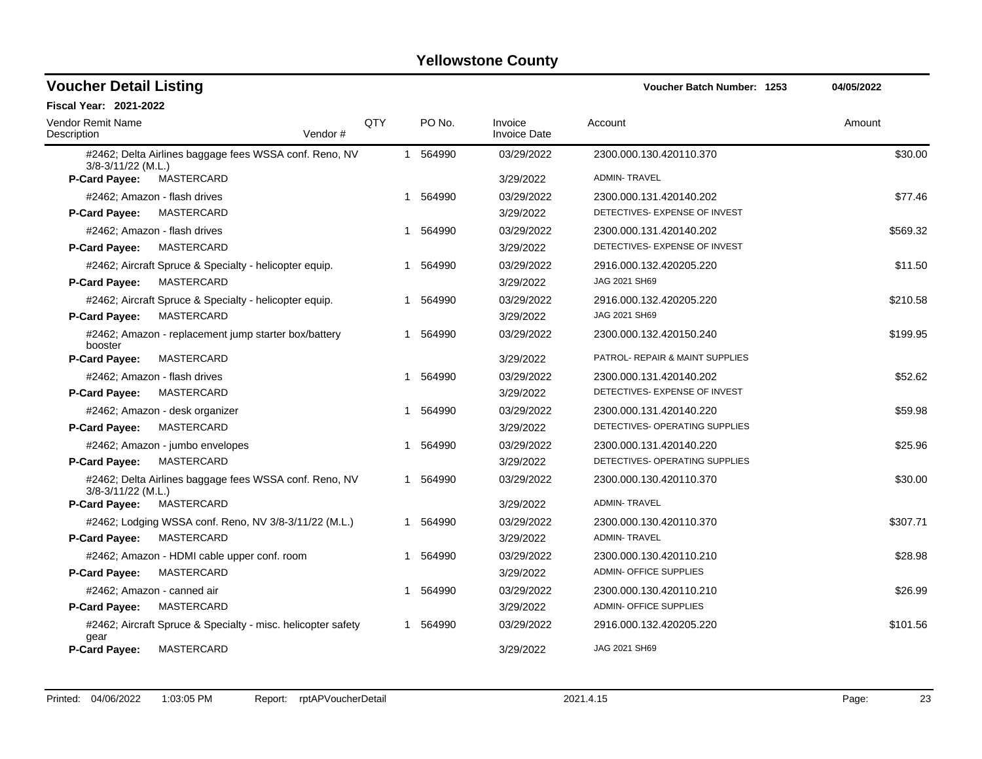| <b>Voucher Detail Listing</b>           |                                                              |            |             |                                | Voucher Batch Number: 1253      | 04/05/2022 |
|-----------------------------------------|--------------------------------------------------------------|------------|-------------|--------------------------------|---------------------------------|------------|
| <b>Fiscal Year: 2021-2022</b>           |                                                              |            |             |                                |                                 |            |
| <b>Vendor Remit Name</b><br>Description | Vendor#                                                      | <b>QTY</b> | PO No.      | Invoice<br><b>Invoice Date</b> | Account                         | Amount     |
| $3/8 - 3/11/22$ (M.L.)                  | #2462; Delta Airlines baggage fees WSSA conf. Reno, NV       |            | 1 564990    | 03/29/2022                     | 2300.000.130.420110.370         | \$30.00    |
| <b>P-Card Payee:</b>                    | MASTERCARD                                                   |            |             | 3/29/2022                      | <b>ADMIN-TRAVEL</b>             |            |
|                                         | #2462; Amazon - flash drives                                 |            | 1 564990    | 03/29/2022                     | 2300.000.131.420140.202         | \$77.46    |
| <b>P-Card Payee:</b>                    | MASTERCARD                                                   |            |             | 3/29/2022                      | DETECTIVES- EXPENSE OF INVEST   |            |
|                                         | #2462; Amazon - flash drives                                 |            | 564990      | 03/29/2022                     | 2300.000.131.420140.202         | \$569.32   |
| <b>P-Card Payee:</b>                    | MASTERCARD                                                   |            |             | 3/29/2022                      | DETECTIVES- EXPENSE OF INVEST   |            |
|                                         | #2462; Aircraft Spruce & Specialty - helicopter equip.       |            | 564990      | 03/29/2022                     | 2916.000.132.420205.220         | \$11.50    |
| <b>P-Card Payee:</b>                    | MASTERCARD                                                   |            |             | 3/29/2022                      | JAG 2021 SH69                   |            |
|                                         | #2462; Aircraft Spruce & Specialty - helicopter equip.       | 1          | 564990      | 03/29/2022                     | 2916.000.132.420205.220         | \$210.58   |
| <b>P-Card Payee:</b>                    | MASTERCARD                                                   |            |             | 3/29/2022                      | JAG 2021 SH69                   |            |
| booster                                 | #2462; Amazon - replacement jump starter box/battery         |            | 564990<br>1 | 03/29/2022                     | 2300.000.132.420150.240         | \$199.95   |
| <b>P-Card Payee:</b>                    | MASTERCARD                                                   |            |             | 3/29/2022                      | PATROL- REPAIR & MAINT SUPPLIES |            |
|                                         | #2462; Amazon - flash drives                                 |            | 564990<br>1 | 03/29/2022                     | 2300.000.131.420140.202         | \$52.62    |
| P-Card Payee:                           | MASTERCARD                                                   |            |             | 3/29/2022                      | DETECTIVES- EXPENSE OF INVEST   |            |
|                                         | #2462; Amazon - desk organizer                               |            | 564990      | 03/29/2022                     | 2300.000.131.420140.220         | \$59.98    |
| P-Card Payee:                           | MASTERCARD                                                   |            |             | 3/29/2022                      | DETECTIVES- OPERATING SUPPLIES  |            |
|                                         | #2462; Amazon - jumbo envelopes                              |            | 1 564990    | 03/29/2022                     | 2300.000.131.420140.220         | \$25.96    |
| <b>P-Card Payee:</b>                    | <b>MASTERCARD</b>                                            |            |             | 3/29/2022                      | DETECTIVES- OPERATING SUPPLIES  |            |
| 3/8-3/11/22 (M.L.)                      | #2462; Delta Airlines baggage fees WSSA conf. Reno, NV       |            | 1 564990    | 03/29/2022                     | 2300.000.130.420110.370         | \$30.00    |
| <b>P-Card Payee:</b>                    | MASTERCARD                                                   |            |             | 3/29/2022                      | <b>ADMIN-TRAVEL</b>             |            |
|                                         | #2462; Lodging WSSA conf. Reno, NV 3/8-3/11/22 (M.L.)        |            | 1 564990    | 03/29/2022                     | 2300.000.130.420110.370         | \$307.71   |
| <b>P-Card Payee:</b>                    | MASTERCARD                                                   |            |             | 3/29/2022                      | <b>ADMIN-TRAVEL</b>             |            |
|                                         | #2462; Amazon - HDMI cable upper conf. room                  |            | 564990      | 03/29/2022                     | 2300.000.130.420110.210         | \$28.98    |
| <b>P-Card Payee:</b>                    | MASTERCARD                                                   |            |             | 3/29/2022                      | <b>ADMIN- OFFICE SUPPLIES</b>   |            |
|                                         | #2462; Amazon - canned air                                   |            | 1 564990    | 03/29/2022                     | 2300.000.130.420110.210         | \$26.99    |
| P-Card Payee:                           | MASTERCARD                                                   |            |             | 3/29/2022                      | ADMIN- OFFICE SUPPLIES          |            |
| qear                                    | #2462; Aircraft Spruce & Specialty - misc. helicopter safety |            | 1 564990    | 03/29/2022                     | 2916.000.132.420205.220         | \$101.56   |
| <b>P-Card Payee:</b>                    | MASTERCARD                                                   |            |             | 3/29/2022                      | JAG 2021 SH69                   |            |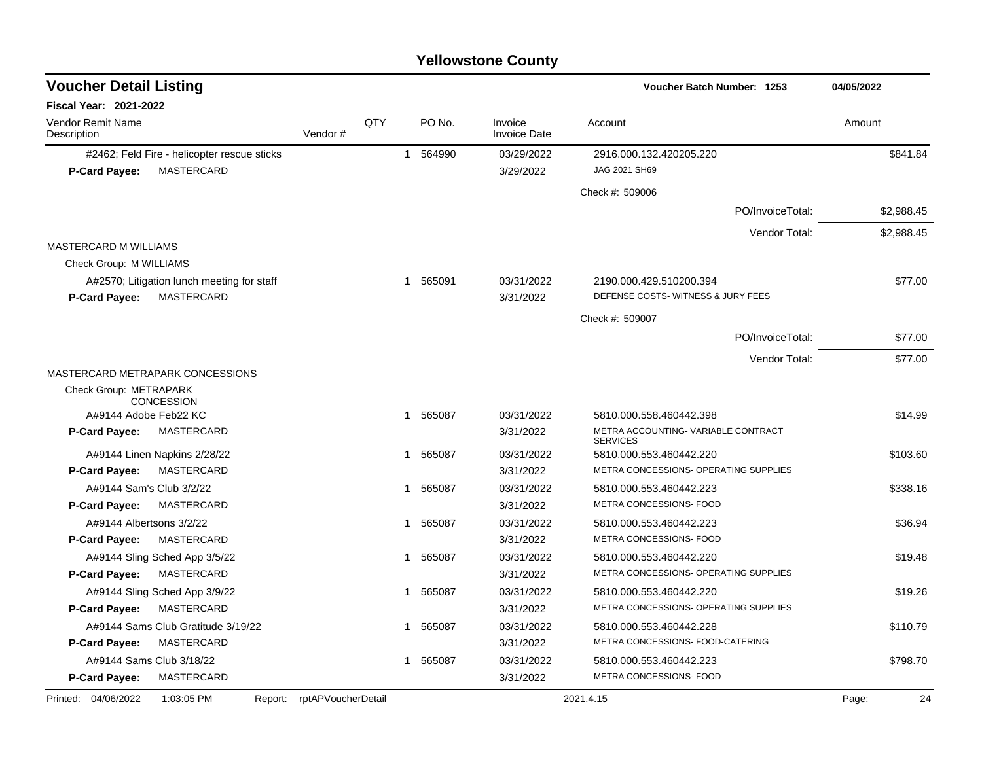| <b>Voucher Detail Listing</b>                |                    |     |             |                                | Voucher Batch Number: 1253            | 04/05/2022  |
|----------------------------------------------|--------------------|-----|-------------|--------------------------------|---------------------------------------|-------------|
| <b>Fiscal Year: 2021-2022</b>                |                    |     |             |                                |                                       |             |
| <b>Vendor Remit Name</b><br>Description      | Vendor#            | QTY | PO No.      | Invoice<br><b>Invoice Date</b> | Account                               | Amount      |
| #2462; Feld Fire - helicopter rescue sticks  |                    |     | 1 564990    | 03/29/2022                     | 2916.000.132.420205.220               | \$841.84    |
| <b>MASTERCARD</b><br>P-Card Payee:           |                    |     |             | 3/29/2022                      | JAG 2021 SH69                         |             |
|                                              |                    |     |             |                                | Check #: 509006                       |             |
|                                              |                    |     |             |                                | PO/InvoiceTotal:                      | \$2,988.45  |
|                                              |                    |     |             |                                | Vendor Total:                         | \$2,988.45  |
| <b>MASTERCARD M WILLIAMS</b>                 |                    |     |             |                                |                                       |             |
| Check Group: M WILLIAMS                      |                    |     |             |                                |                                       |             |
| A#2570; Litigation lunch meeting for staff   |                    |     | 1 565091    | 03/31/2022                     | 2190.000.429.510200.394               | \$77.00     |
| P-Card Payee:<br>MASTERCARD                  |                    |     |             | 3/31/2022                      | DEFENSE COSTS-WITNESS & JURY FEES     |             |
|                                              |                    |     |             |                                | Check #: 509007                       |             |
|                                              |                    |     |             |                                | PO/InvoiceTotal:                      | \$77.00     |
|                                              |                    |     |             |                                | Vendor Total:                         | \$77.00     |
| MASTERCARD METRAPARK CONCESSIONS             |                    |     |             |                                |                                       |             |
| Check Group: METRAPARK                       |                    |     |             |                                |                                       |             |
| <b>CONCESSION</b><br>A#9144 Adobe Feb22 KC   |                    |     | 1 565087    | 03/31/2022                     | 5810.000.558.460442.398               | \$14.99     |
| MASTERCARD<br><b>P-Card Payee:</b>           |                    |     |             | 3/31/2022                      | METRA ACCOUNTING-VARIABLE CONTRACT    |             |
|                                              |                    |     |             |                                | <b>SERVICES</b>                       |             |
| A#9144 Linen Napkins 2/28/22                 |                    |     | 565087<br>1 | 03/31/2022                     | 5810.000.553.460442.220               | \$103.60    |
| P-Card Payee:<br>MASTERCARD                  |                    |     |             | 3/31/2022                      | METRA CONCESSIONS- OPERATING SUPPLIES |             |
| A#9144 Sam's Club 3/2/22                     |                    |     | 565087<br>1 | 03/31/2022                     | 5810.000.553.460442.223               | \$338.16    |
| <b>P-Card Payee:</b><br>MASTERCARD           |                    |     |             | 3/31/2022                      | METRA CONCESSIONS- FOOD               |             |
| A#9144 Albertsons 3/2/22                     |                    |     | 565087<br>1 | 03/31/2022                     | 5810.000.553.460442.223               | \$36.94     |
| <b>P-Card Payee:</b><br>MASTERCARD           |                    |     |             | 3/31/2022                      | METRA CONCESSIONS- FOOD               |             |
| A#9144 Sling Sched App 3/5/22                |                    |     | 565087<br>1 | 03/31/2022                     | 5810.000.553.460442.220               | \$19.48     |
| <b>P-Card Payee:</b><br><b>MASTERCARD</b>    |                    |     |             | 3/31/2022                      | METRA CONCESSIONS- OPERATING SUPPLIES |             |
| A#9144 Sling Sched App 3/9/22                |                    |     | 1 565087    | 03/31/2022                     | 5810.000.553.460442.220               | \$19.26     |
| <b>P-Card Payee:</b><br>MASTERCARD           |                    |     |             | 3/31/2022                      | METRA CONCESSIONS- OPERATING SUPPLIES |             |
| A#9144 Sams Club Gratitude 3/19/22           |                    |     | 1 565087    | 03/31/2022                     | 5810.000.553.460442.228               | \$110.79    |
| <b>P-Card Payee:</b><br>MASTERCARD           |                    |     |             | 3/31/2022                      | METRA CONCESSIONS- FOOD-CATERING      |             |
| A#9144 Sams Club 3/18/22                     |                    |     | 1 565087    | 03/31/2022                     | 5810.000.553.460442.223               | \$798.70    |
| <b>MASTERCARD</b><br><b>P-Card Payee:</b>    |                    |     |             | 3/31/2022                      | METRA CONCESSIONS- FOOD               |             |
| Printed: 04/06/2022<br>1:03:05 PM<br>Report: | rptAPVoucherDetail |     |             |                                | 2021.4.15                             | 24<br>Page: |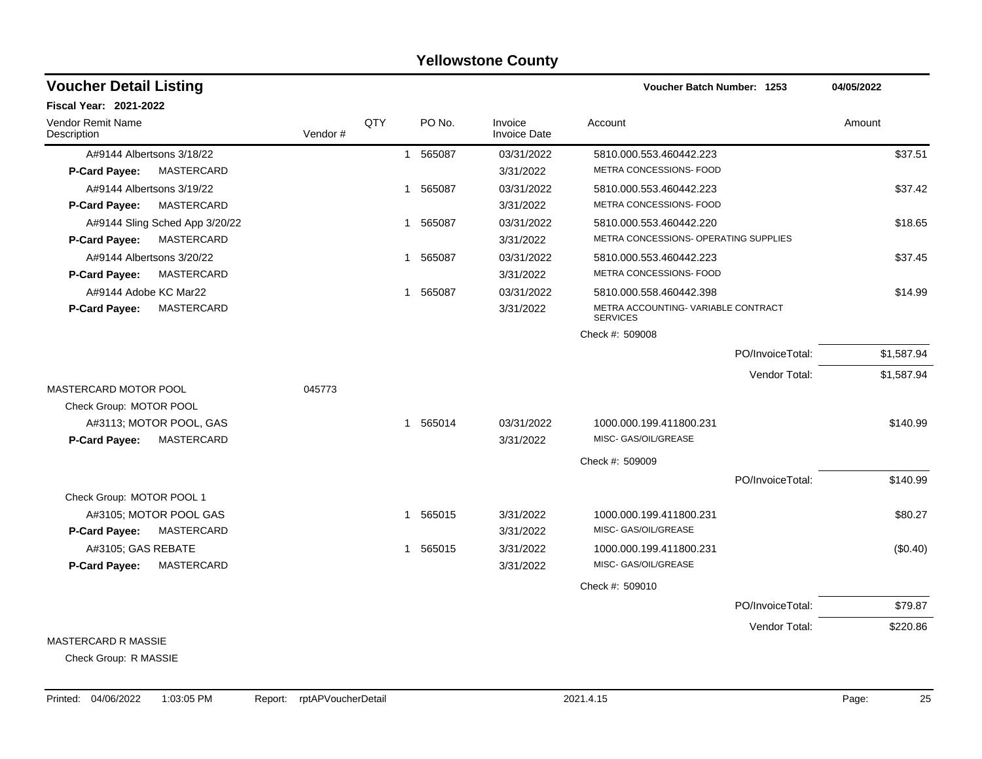#### A#9144 Albertsons 3/18/22 1 565087 03/31/2022 5810.000.553.460442.223 \$37.51 **P-Card Payee:** MASTERCARD 3/31/2022 METRA CONCESSIONS- FOOD A#9144 Albertsons 3/19/22 \$37.42 \$67.42 1 565087 03/31/2022 5810.000.553.460442.223 **P-Card Payee:** MASTERCARD 3/31/2022 METRA CONCESSIONS- FOOD A#9144 Sling Sched App 3/20/22 1 565087 1 565087 03/31/2022 5810.000.553.460442.220 **P-Card Payee:** MASTERCARD **ARRIEGENT CONCESSIONS- OPERATING SUPPLIES 3/31/2022** METRA CONCESSIONS- OPERATING SUPPLIES A#9144 Albertsons 3/20/22 \$37.45 **P-Card Payee:** MASTERCARD 3/31/2022 METRA CONCESSIONS- FOOD A#9144 Adobe KC Mar22 614.99 **1 565087** 03/31/2022 5810.000.558.460442.398 5810.000 **S58.460442.398** METRA ACCOUNTING- VARIABLE CONTRACT **SERVICES P-Card Payee:** MASTERCARD 3/31/2022 Check #: 509008 PO/InvoiceTotal: \$1,587.94 Vendor Total: \$1,587.94 MASTERCARD MOTOR POOL **CONTRACT CONTROL** Check Group: MOTOR POOL A#3113; MOTOR POOL, GAS 65014 1 565014 03/31/2022 1000.000.199.411800.231 5640.99 **P-Card Payee:** MASTERCARD 3/31/2022 MISC- GAS/OIL/GREASE Check #: 509009 PO/InvoiceTotal: \$140.99 Check Group: MOTOR POOL 1 A#3105; MOTOR POOL GAS 1 565015 1 565015 3/31/2022 1000.000.199.411800.231 580.27 **P-Card Payee:** MASTERCARD 3/31/2022 MISC- GAS/OIL/GREASE A#3105; GAS REBATE 1 1 565015 1 565015 3/31/2022 1000.000.199.411800.231 (\$0.40) **P-Card Payee:** MASTERCARD 3/31/2022 MISC- GAS/OIL/GREASE Check #: 509010 PO/InvoiceTotal: \$79.87 Vendor Total: \$220.86 **Voucher Batch Number: Yellowstone County** Vendor Remit Name **Description Voucher Detail Listing Fiscal Year: 2021-2022 1253 04/05/2022** PO No. Invoice Account Amount Amount Amount Amount Vendor # QTY Invoice Date

#### MASTERCARD R MASSIE

Check Group: R MASSIE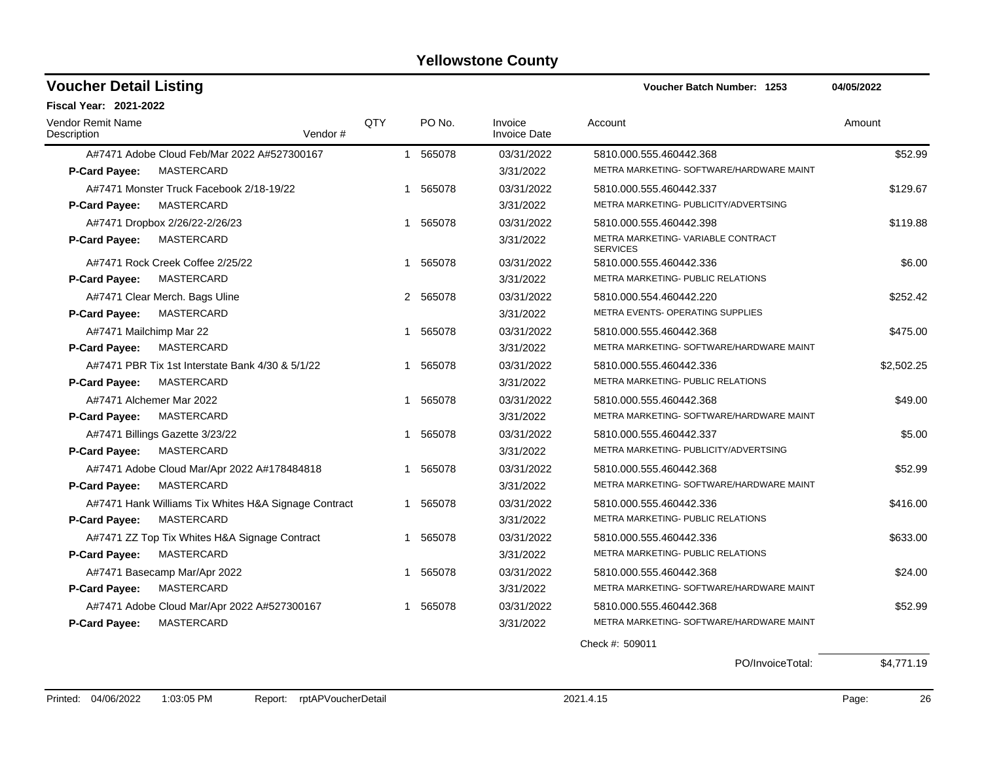| <b>Voucher Detail Listing</b>           |                                                      |         |     |          |                         | Voucher Batch Number: 1253                            | 04/05/2022 |
|-----------------------------------------|------------------------------------------------------|---------|-----|----------|-------------------------|-------------------------------------------------------|------------|
| <b>Fiscal Year: 2021-2022</b>           |                                                      |         |     |          |                         |                                                       |            |
| <b>Vendor Remit Name</b><br>Description |                                                      | Vendor# | QTY | PO No.   | Invoice<br>Invoice Date | Account                                               | Amount     |
|                                         | A#7471 Adobe Cloud Feb/Mar 2022 A#527300167          |         |     | 1 565078 | 03/31/2022              | 5810.000.555.460442.368                               | \$52.99    |
| P-Card Payee:                           | MASTERCARD                                           |         |     |          | 3/31/2022               | METRA MARKETING- SOFTWARE/HARDWARE MAINT              |            |
|                                         | A#7471 Monster Truck Facebook 2/18-19/22             |         |     | 1 565078 | 03/31/2022              | 5810.000.555.460442.337                               | \$129.67   |
| <b>P-Card Payee:</b>                    | MASTERCARD                                           |         |     |          | 3/31/2022               | METRA MARKETING- PUBLICITY/ADVERTSING                 |            |
|                                         | A#7471 Dropbox 2/26/22-2/26/23                       |         | 1   | 565078   | 03/31/2022              | 5810.000.555.460442.398                               | \$119.88   |
| P-Card Payee:                           | MASTERCARD                                           |         |     |          | 3/31/2022               | METRA MARKETING- VARIABLE CONTRACT<br><b>SERVICES</b> |            |
|                                         | A#7471 Rock Creek Coffee 2/25/22                     |         |     | 1 565078 | 03/31/2022              | 5810.000.555.460442.336                               | \$6.00     |
| P-Card Payee:                           | MASTERCARD                                           |         |     |          | 3/31/2022               | METRA MARKETING- PUBLIC RELATIONS                     |            |
|                                         | A#7471 Clear Merch. Bags Uline                       |         |     | 2 565078 | 03/31/2022              | 5810.000.554.460442.220                               | \$252.42   |
| P-Card Payee:                           | MASTERCARD                                           |         |     |          | 3/31/2022               | METRA EVENTS- OPERATING SUPPLIES                      |            |
| A#7471 Mailchimp Mar 22                 |                                                      |         | 1   | 565078   | 03/31/2022              | 5810.000.555.460442.368                               | \$475.00   |
| P-Card Payee:                           | MASTERCARD                                           |         |     |          | 3/31/2022               | METRA MARKETING- SOFTWARE/HARDWARE MAINT              |            |
|                                         | A#7471 PBR Tix 1st Interstate Bank 4/30 & 5/1/22     |         | 1   | 565078   | 03/31/2022              | 5810.000.555.460442.336                               | \$2,502.25 |
| <b>P-Card Payee:</b>                    | MASTERCARD                                           |         |     |          | 3/31/2022               | METRA MARKETING- PUBLIC RELATIONS                     |            |
|                                         | A#7471 Alchemer Mar 2022                             |         | 1   | 565078   | 03/31/2022              | 5810.000.555.460442.368                               | \$49.00    |
| <b>P-Card Payee:</b>                    | MASTERCARD                                           |         |     |          | 3/31/2022               | METRA MARKETING- SOFTWARE/HARDWARE MAINT              |            |
|                                         | A#7471 Billings Gazette 3/23/22                      |         | 1   | 565078   | 03/31/2022              | 5810.000.555.460442.337                               | \$5.00     |
| P-Card Payee:                           | MASTERCARD                                           |         |     |          | 3/31/2022               | METRA MARKETING- PUBLICITY/ADVERTSING                 |            |
|                                         | A#7471 Adobe Cloud Mar/Apr 2022 A#178484818          |         |     | 1 565078 | 03/31/2022              | 5810.000.555.460442.368                               | \$52.99    |
| <b>P-Card Payee:</b>                    | MASTERCARD                                           |         |     |          | 3/31/2022               | METRA MARKETING- SOFTWARE/HARDWARE MAINT              |            |
|                                         | A#7471 Hank Williams Tix Whites H&A Signage Contract |         |     | 1 565078 | 03/31/2022              | 5810.000.555.460442.336                               | \$416.00   |
| P-Card Payee:                           | MASTERCARD                                           |         |     |          | 3/31/2022               | METRA MARKETING- PUBLIC RELATIONS                     |            |
|                                         | A#7471 ZZ Top Tix Whites H&A Signage Contract        |         |     | 1 565078 | 03/31/2022              | 5810.000.555.460442.336                               | \$633.00   |
| P-Card Payee:                           | MASTERCARD                                           |         |     |          | 3/31/2022               | METRA MARKETING- PUBLIC RELATIONS                     |            |
|                                         | A#7471 Basecamp Mar/Apr 2022                         |         | 1   | 565078   | 03/31/2022              | 5810.000.555.460442.368                               | \$24.00    |
| P-Card Payee:                           | MASTERCARD                                           |         |     |          | 3/31/2022               | METRA MARKETING- SOFTWARE/HARDWARE MAINT              |            |
|                                         | A#7471 Adobe Cloud Mar/Apr 2022 A#527300167          |         |     | 1 565078 | 03/31/2022              | 5810.000.555.460442.368                               | \$52.99    |
| <b>P-Card Payee:</b>                    | MASTERCARD                                           |         |     |          | 3/31/2022               | METRA MARKETING- SOFTWARE/HARDWARE MAINT              |            |

Check #: 509011

PO/InvoiceTotal: \$4,771.19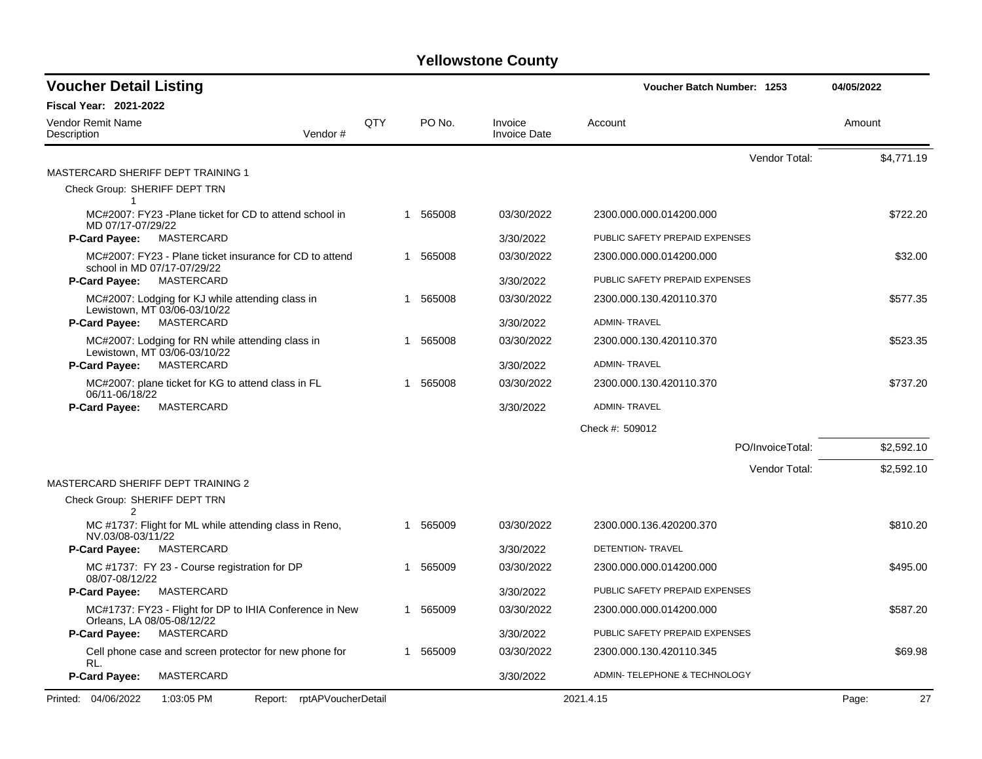| <b>Voucher Detail Listing</b>                                                          |                            |     |          |                                |                                | Voucher Batch Number: 1253 |             |  |
|----------------------------------------------------------------------------------------|----------------------------|-----|----------|--------------------------------|--------------------------------|----------------------------|-------------|--|
| Fiscal Year: 2021-2022                                                                 |                            |     |          |                                |                                |                            |             |  |
| Vendor Remit Name<br>Description                                                       | Vendor#                    | QTY | PO No.   | Invoice<br><b>Invoice Date</b> | Account                        |                            | Amount      |  |
|                                                                                        |                            |     |          |                                |                                | Vendor Total:              | \$4,771.19  |  |
| MASTERCARD SHERIFF DEPT TRAINING 1                                                     |                            |     |          |                                |                                |                            |             |  |
| Check Group: SHERIFF DEPT TRN<br>$\mathbf{1}$                                          |                            |     |          |                                |                                |                            |             |  |
| MC#2007: FY23 -Plane ticket for CD to attend school in<br>MD 07/17-07/29/22            |                            |     | 1 565008 | 03/30/2022                     | 2300.000.000.014200.000        |                            | \$722.20    |  |
| MASTERCARD<br><b>P-Card Payee:</b>                                                     |                            |     |          | 3/30/2022                      | PUBLIC SAFETY PREPAID EXPENSES |                            |             |  |
| MC#2007: FY23 - Plane ticket insurance for CD to attend<br>school in MD 07/17-07/29/22 |                            |     | 1 565008 | 03/30/2022                     | 2300.000.000.014200.000        |                            | \$32.00     |  |
| <b>P-Card Payee:</b><br>MASTERCARD                                                     |                            |     |          | 3/30/2022                      | PUBLIC SAFETY PREPAID EXPENSES |                            |             |  |
| MC#2007: Lodging for KJ while attending class in<br>Lewistown, MT 03/06-03/10/22       |                            |     | 565008   | 03/30/2022                     | 2300.000.130.420110.370        |                            | \$577.35    |  |
| <b>P-Card Payee:</b><br>MASTERCARD                                                     |                            |     |          | 3/30/2022                      | <b>ADMIN-TRAVEL</b>            |                            |             |  |
| MC#2007: Lodging for RN while attending class in                                       |                            |     | 565008   | 03/30/2022                     | 2300.000.130.420110.370        |                            | \$523.35    |  |
| Lewistown, MT 03/06-03/10/22<br>MASTERCARD<br><b>P-Card Payee:</b>                     |                            |     |          | 3/30/2022                      | <b>ADMIN-TRAVEL</b>            |                            |             |  |
| MC#2007: plane ticket for KG to attend class in FL                                     |                            |     | 565008   | 03/30/2022                     | 2300.000.130.420110.370        |                            | \$737.20    |  |
| 06/11-06/18/22<br>P-Card Payee:<br>MASTERCARD                                          |                            |     |          | 3/30/2022                      | <b>ADMIN-TRAVEL</b>            |                            |             |  |
|                                                                                        |                            |     |          |                                | Check #: 509012                |                            |             |  |
|                                                                                        |                            |     |          |                                |                                | PO/InvoiceTotal:           | \$2,592.10  |  |
|                                                                                        |                            |     |          |                                |                                | Vendor Total:              | \$2,592.10  |  |
| MASTERCARD SHERIFF DEPT TRAINING 2                                                     |                            |     |          |                                |                                |                            |             |  |
| Check Group: SHERIFF DEPT TRN<br>$\mathfrak{p}$                                        |                            |     |          |                                |                                |                            |             |  |
| MC #1737: Flight for ML while attending class in Reno,<br>NV.03/08-03/11/22            |                            |     | 1 565009 | 03/30/2022                     | 2300.000.136.420200.370        |                            | \$810.20    |  |
| <b>P-Card Payee:</b><br>MASTERCARD                                                     |                            |     |          | 3/30/2022                      | DETENTION-TRAVEL               |                            |             |  |
| MC #1737: FY 23 - Course registration for DP<br>08/07-08/12/22                         |                            |     | 1 565009 | 03/30/2022                     | 2300.000.000.014200.000        |                            | \$495.00    |  |
| MASTERCARD<br><b>P-Card Payee:</b>                                                     |                            |     |          | 3/30/2022                      | PUBLIC SAFETY PREPAID EXPENSES |                            |             |  |
| MC#1737: FY23 - Flight for DP to IHIA Conference in New<br>Orleans, LA 08/05-08/12/22  |                            |     | 1 565009 | 03/30/2022                     | 2300.000.000.014200.000        |                            | \$587.20    |  |
| MASTERCARD<br><b>P-Card Payee:</b>                                                     |                            |     |          | 3/30/2022                      | PUBLIC SAFETY PREPAID EXPENSES |                            |             |  |
| Cell phone case and screen protector for new phone for<br>RL.                          |                            |     | 1 565009 | 03/30/2022                     | 2300.000.130.420110.345        |                            | \$69.98     |  |
| P-Card Payee:<br>MASTERCARD                                                            |                            |     |          | 3/30/2022                      | ADMIN- TELEPHONE & TECHNOLOGY  |                            |             |  |
| Printed: 04/06/2022<br>1:03:05 PM                                                      | Report: rptAPVoucherDetail |     |          |                                | 2021.4.15                      |                            | 27<br>Page: |  |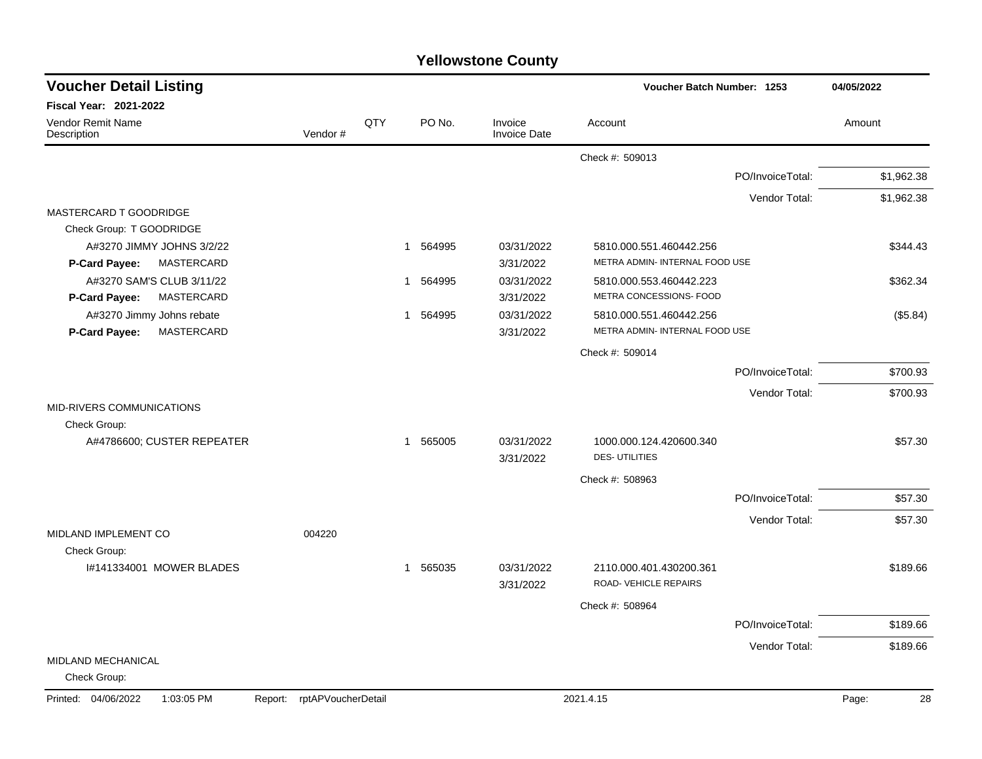| <b>Yellowstone County</b> |  |
|---------------------------|--|
|---------------------------|--|

| <b>Voucher Detail Listing</b>                |                    |              |          |                                | Voucher Batch Number: 1253     |                  | 04/05/2022  |  |
|----------------------------------------------|--------------------|--------------|----------|--------------------------------|--------------------------------|------------------|-------------|--|
| Fiscal Year: 2021-2022                       |                    |              |          |                                |                                |                  |             |  |
| Vendor Remit Name<br>Description             | Vendor#            | QTY          | PO No.   | Invoice<br><b>Invoice Date</b> | Account                        |                  | Amount      |  |
|                                              |                    |              |          |                                | Check #: 509013                |                  |             |  |
|                                              |                    |              |          |                                |                                | PO/InvoiceTotal: | \$1,962.38  |  |
|                                              |                    |              |          |                                |                                | Vendor Total:    | \$1,962.38  |  |
| MASTERCARD T GOODRIDGE                       |                    |              |          |                                |                                |                  |             |  |
| Check Group: T GOODRIDGE                     |                    |              |          |                                |                                |                  |             |  |
| A#3270 JIMMY JOHNS 3/2/22                    |                    |              | 1 564995 | 03/31/2022                     | 5810.000.551.460442.256        |                  | \$344.43    |  |
| MASTERCARD<br>P-Card Payee:                  |                    |              |          | 3/31/2022                      | METRA ADMIN- INTERNAL FOOD USE |                  |             |  |
| A#3270 SAM'S CLUB 3/11/22                    |                    |              | 1 564995 | 03/31/2022                     | 5810.000.553.460442.223        |                  | \$362.34    |  |
| MASTERCARD<br>P-Card Payee:                  |                    |              |          | 3/31/2022                      | METRA CONCESSIONS- FOOD        |                  |             |  |
| A#3270 Jimmy Johns rebate                    |                    | $\mathbf{1}$ | 564995   | 03/31/2022                     | 5810.000.551.460442.256        |                  | (\$5.84)    |  |
| MASTERCARD<br>P-Card Payee:                  |                    |              |          | 3/31/2022                      | METRA ADMIN- INTERNAL FOOD USE |                  |             |  |
|                                              |                    |              |          |                                | Check #: 509014                |                  |             |  |
|                                              |                    |              |          |                                |                                | PO/InvoiceTotal: | \$700.93    |  |
|                                              |                    |              |          |                                |                                | Vendor Total:    | \$700.93    |  |
| MID-RIVERS COMMUNICATIONS                    |                    |              |          |                                |                                |                  |             |  |
| Check Group:                                 |                    |              |          |                                |                                |                  |             |  |
| A#4786600; CUSTER REPEATER                   |                    |              | 1 565005 | 03/31/2022                     | 1000.000.124.420600.340        |                  | \$57.30     |  |
|                                              |                    |              |          | 3/31/2022                      | <b>DES-UTILITIES</b>           |                  |             |  |
|                                              |                    |              |          |                                | Check #: 508963                |                  |             |  |
|                                              |                    |              |          |                                |                                | PO/InvoiceTotal: | \$57.30     |  |
|                                              |                    |              |          |                                |                                | Vendor Total:    | \$57.30     |  |
| MIDLAND IMPLEMENT CO<br>Check Group:         | 004220             |              |          |                                |                                |                  |             |  |
| I#141334001 MOWER BLADES                     |                    | $\mathbf{1}$ | 565035   | 03/31/2022                     | 2110.000.401.430200.361        |                  | \$189.66    |  |
|                                              |                    |              |          | 3/31/2022                      | ROAD-VEHICLE REPAIRS           |                  |             |  |
|                                              |                    |              |          |                                | Check #: 508964                |                  |             |  |
|                                              |                    |              |          |                                |                                | PO/InvoiceTotal: | \$189.66    |  |
|                                              |                    |              |          |                                |                                | Vendor Total:    | \$189.66    |  |
| MIDLAND MECHANICAL                           |                    |              |          |                                |                                |                  |             |  |
| Check Group:                                 |                    |              |          |                                |                                |                  |             |  |
| Printed: 04/06/2022<br>1:03:05 PM<br>Report: | rptAPVoucherDetail |              |          |                                | 2021.4.15                      |                  | 28<br>Page: |  |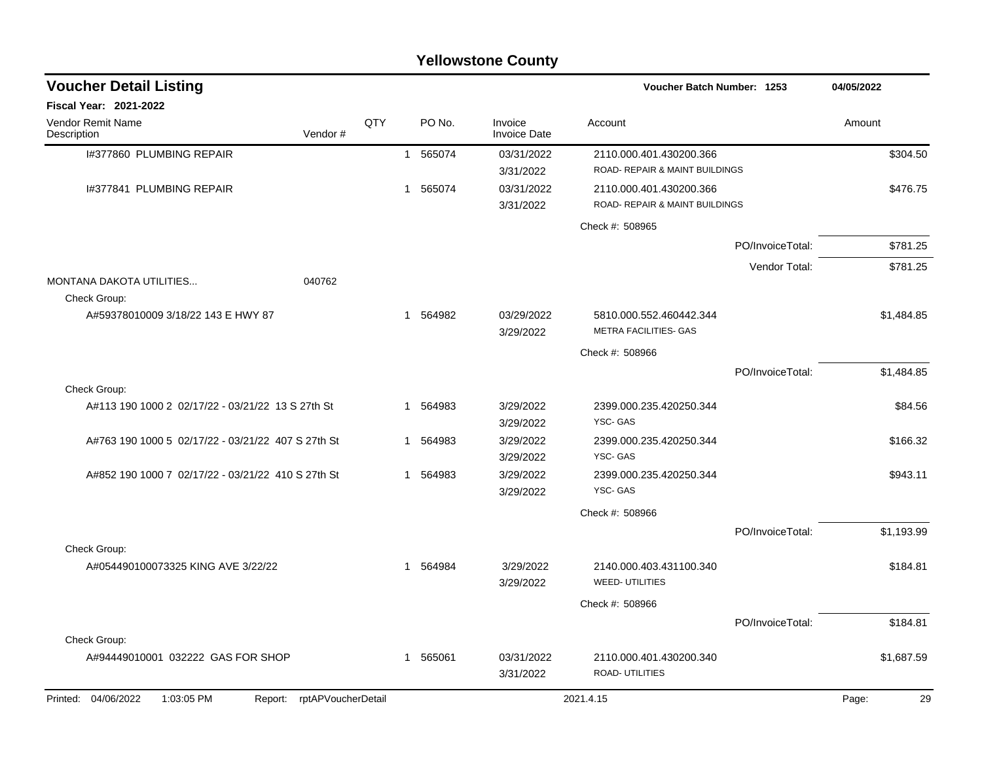|                                                                 |     |              |          | <b>Yellowstone County</b>      |                                                           |                  |             |
|-----------------------------------------------------------------|-----|--------------|----------|--------------------------------|-----------------------------------------------------------|------------------|-------------|
| <b>Voucher Detail Listing</b>                                   |     |              |          |                                | Voucher Batch Number: 1253                                |                  | 04/05/2022  |
| <b>Fiscal Year: 2021-2022</b>                                   |     |              |          |                                |                                                           |                  |             |
| Vendor Remit Name<br>Description<br>Vendor#                     | QTY |              | PO No.   | Invoice<br><b>Invoice Date</b> | Account                                                   |                  | Amount      |
| I#377860 PLUMBING REPAIR                                        |     |              | 1 565074 | 03/31/2022<br>3/31/2022        | 2110.000.401.430200.366<br>ROAD-REPAIR & MAINT BUILDINGS  |                  | \$304.50    |
| 1#377841 PLUMBING REPAIR                                        |     | $\mathbf{1}$ | 565074   | 03/31/2022<br>3/31/2022        | 2110.000.401.430200.366<br>ROAD- REPAIR & MAINT BUILDINGS |                  | \$476.75    |
|                                                                 |     |              |          |                                | Check #: 508965                                           |                  |             |
|                                                                 |     |              |          |                                |                                                           | PO/InvoiceTotal: | \$781.25    |
|                                                                 |     |              |          |                                |                                                           | Vendor Total:    | \$781.25    |
| MONTANA DAKOTA UTILITIES<br>040762                              |     |              |          |                                |                                                           |                  |             |
| Check Group:<br>A#59378010009 3/18/22 143 E HWY 87              |     | 1            | 564982   | 03/29/2022<br>3/29/2022        | 5810.000.552.460442.344<br><b>METRA FACILITIES- GAS</b>   |                  | \$1,484.85  |
|                                                                 |     |              |          |                                | Check #: 508966                                           |                  |             |
|                                                                 |     |              |          |                                |                                                           | PO/InvoiceTotal: | \$1,484.85  |
| Check Group:                                                    |     |              |          |                                |                                                           |                  |             |
| A#113 190 1000 2 02/17/22 - 03/21/22 13 S 27th St               |     | 1            | 564983   | 3/29/2022<br>3/29/2022         | 2399.000.235.420250.344<br>YSC-GAS                        |                  | \$84.56     |
| A#763 190 1000 5 02/17/22 - 03/21/22 407 S 27th St              |     | 1            | 564983   | 3/29/2022<br>3/29/2022         | 2399.000.235.420250.344<br>YSC-GAS                        |                  | \$166.32    |
| A#852 190 1000 7 02/17/22 - 03/21/22 410 S 27th St              |     |              | 1 564983 | 3/29/2022<br>3/29/2022         | 2399.000.235.420250.344<br>YSC-GAS                        |                  | \$943.11    |
|                                                                 |     |              |          |                                | Check #: 508966                                           |                  |             |
|                                                                 |     |              |          |                                |                                                           | PO/InvoiceTotal: | \$1,193.99  |
| Check Group:<br>A#054490100073325 KING AVE 3/22/22              |     | 1            | 564984   | 3/29/2022<br>3/29/2022         | 2140.000.403.431100.340<br><b>WEED- UTILITIES</b>         |                  | \$184.81    |
|                                                                 |     |              |          |                                | Check #: 508966                                           |                  |             |
|                                                                 |     |              |          |                                |                                                           | PO/InvoiceTotal: | \$184.81    |
| Check Group:                                                    |     |              |          |                                |                                                           |                  |             |
| A#94449010001 032222 GAS FOR SHOP                               |     |              | 1 565061 | 03/31/2022<br>3/31/2022        | 2110.000.401.430200.340<br>ROAD- UTILITIES                |                  | \$1,687.59  |
| Printed: 04/06/2022<br>1:03:05 PM<br>Report: rptAPVoucherDetail |     |              |          |                                | 2021.4.15                                                 |                  | 29<br>Page: |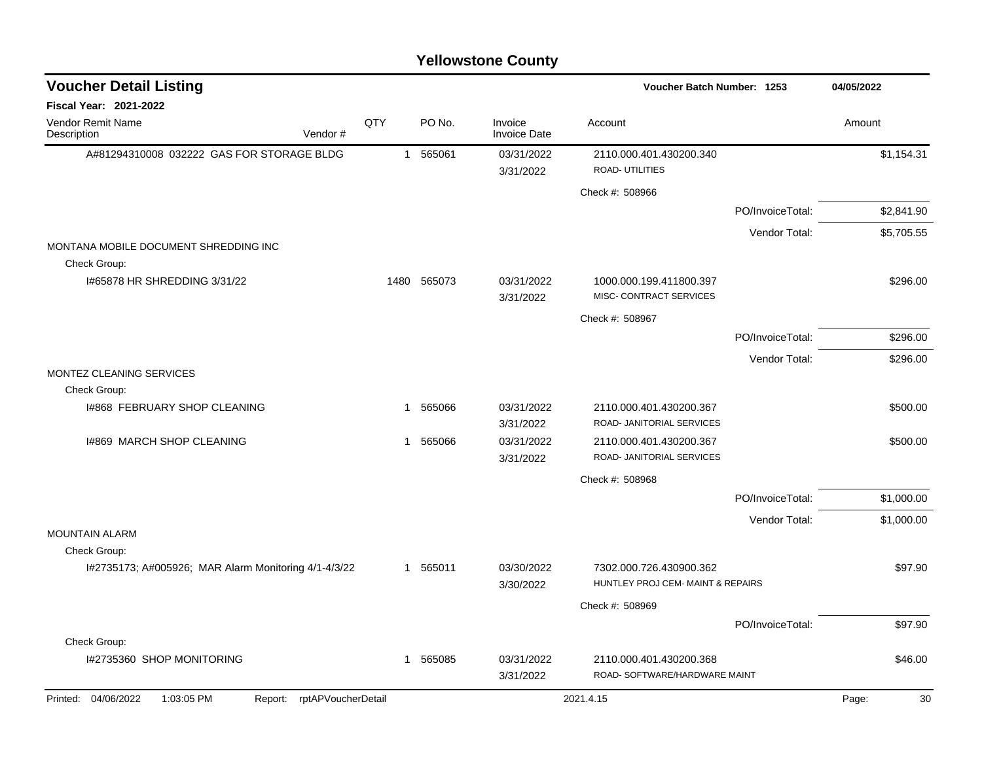| <b>Voucher Detail Listing</b>                                        |              |             |                                | Voucher Batch Number: 1253        |                  | 04/05/2022  |
|----------------------------------------------------------------------|--------------|-------------|--------------------------------|-----------------------------------|------------------|-------------|
| Fiscal Year: 2021-2022                                               |              |             |                                |                                   |                  |             |
| Vendor Remit Name<br>Description<br>Vendor#                          | QTY          | PO No.      | Invoice<br><b>Invoice Date</b> | Account                           |                  | Amount      |
| A#81294310008 032222 GAS FOR STORAGE BLDG                            |              | 1 565061    | 03/31/2022                     | 2110.000.401.430200.340           |                  | \$1,154.31  |
|                                                                      |              |             | 3/31/2022                      | ROAD- UTILITIES                   |                  |             |
|                                                                      |              |             |                                | Check #: 508966                   |                  |             |
|                                                                      |              |             |                                |                                   | PO/InvoiceTotal: | \$2,841.90  |
|                                                                      |              |             |                                |                                   | Vendor Total:    | \$5,705.55  |
| MONTANA MOBILE DOCUMENT SHREDDING INC<br>Check Group:                |              |             |                                |                                   |                  |             |
| 1#65878 HR SHREDDING 3/31/22                                         |              | 1480 565073 | 03/31/2022                     | 1000.000.199.411800.397           |                  | \$296.00    |
|                                                                      |              |             | 3/31/2022                      | MISC- CONTRACT SERVICES           |                  |             |
|                                                                      |              |             |                                | Check #: 508967                   |                  |             |
|                                                                      |              |             |                                |                                   | PO/InvoiceTotal: | \$296.00    |
| MONTEZ CLEANING SERVICES                                             |              |             |                                |                                   | Vendor Total:    | \$296.00    |
| Check Group:                                                         |              |             |                                |                                   |                  |             |
| 1#868 FEBRUARY SHOP CLEANING                                         | -1           | 565066      | 03/31/2022                     | 2110.000.401.430200.367           |                  | \$500.00    |
|                                                                      |              |             | 3/31/2022                      | ROAD- JANITORIAL SERVICES         |                  |             |
| 1#869 MARCH SHOP CLEANING                                            |              | 1 565066    | 03/31/2022                     | 2110.000.401.430200.367           |                  | \$500.00    |
|                                                                      |              |             | 3/31/2022                      | ROAD- JANITORIAL SERVICES         |                  |             |
|                                                                      |              |             |                                | Check #: 508968                   |                  |             |
|                                                                      |              |             |                                |                                   | PO/InvoiceTotal: | \$1,000.00  |
|                                                                      |              |             |                                |                                   | Vendor Total:    | \$1,000.00  |
| <b>MOUNTAIN ALARM</b>                                                |              |             |                                |                                   |                  |             |
| Check Group:<br>I#2735173; A#005926; MAR Alarm Monitoring 4/1-4/3/22 | 1            | 565011      | 03/30/2022                     | 7302.000.726.430900.362           |                  | \$97.90     |
|                                                                      |              |             | 3/30/2022                      | HUNTLEY PROJ CEM- MAINT & REPAIRS |                  |             |
|                                                                      |              |             |                                | Check #: 508969                   |                  |             |
|                                                                      |              |             |                                |                                   | PO/InvoiceTotal: | \$97.90     |
| Check Group:                                                         |              |             |                                |                                   |                  |             |
| I#2735360 SHOP MONITORING                                            | $\mathbf{1}$ | 565085      | 03/31/2022                     | 2110.000.401.430200.368           |                  | \$46.00     |
|                                                                      |              |             | 3/31/2022                      | ROAD- SOFTWARE/HARDWARE MAINT     |                  |             |
| Printed: 04/06/2022<br>1:03:05 PM<br>rptAPVoucherDetail<br>Report:   |              |             |                                | 2021.4.15                         |                  | Page:<br>30 |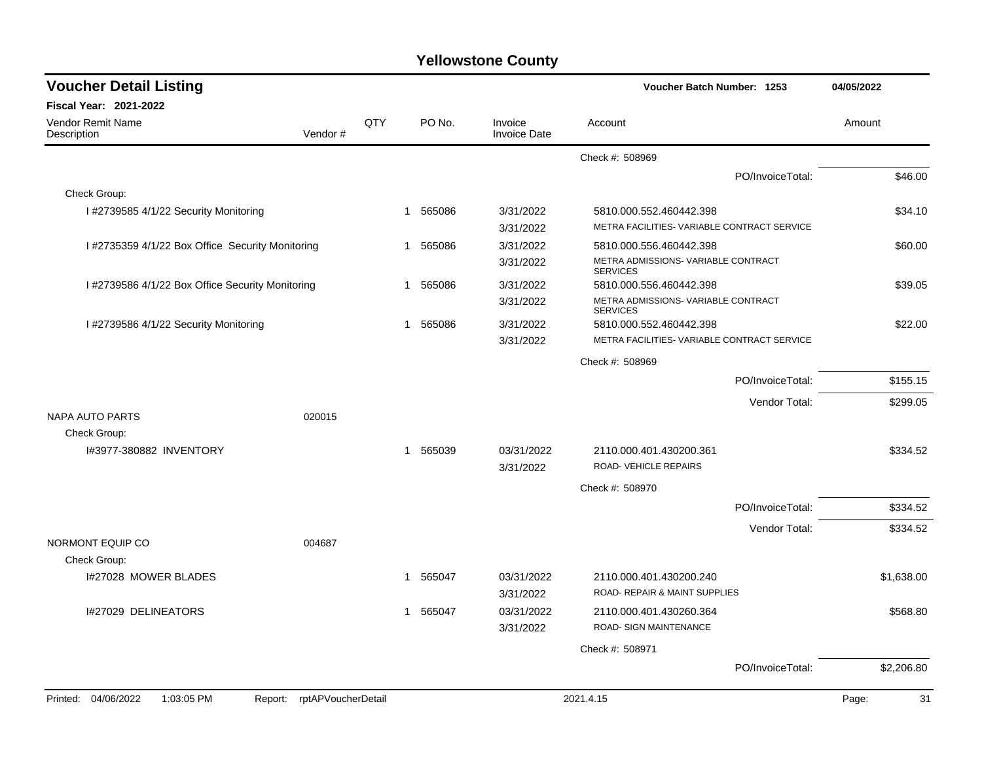| <b>Voucher Detail Listing</b>                    |                               |     |              |                                | Voucher Batch Number: 1253                               |                  |             |  |
|--------------------------------------------------|-------------------------------|-----|--------------|--------------------------------|----------------------------------------------------------|------------------|-------------|--|
| Fiscal Year: 2021-2022                           |                               |     |              |                                |                                                          |                  |             |  |
| Vendor Remit Name<br>Description                 | Vendor#                       | QTY | PO No.       | Invoice<br><b>Invoice Date</b> | Account                                                  |                  | Amount      |  |
|                                                  |                               |     |              |                                | Check #: 508969                                          |                  |             |  |
|                                                  |                               |     |              |                                |                                                          | PO/InvoiceTotal: | \$46.00     |  |
| Check Group:                                     |                               |     |              |                                |                                                          |                  |             |  |
| I #2739585 4/1/22 Security Monitoring            |                               |     | 565086<br>1  | 3/31/2022                      | 5810.000.552.460442.398                                  |                  | \$34.10     |  |
|                                                  |                               |     |              | 3/31/2022                      | METRA FACILITIES- VARIABLE CONTRACT SERVICE              |                  |             |  |
| I #2735359 4/1/22 Box Office Security Monitoring |                               |     | 565086<br>-1 | 3/31/2022                      | 5810.000.556.460442.398                                  |                  | \$60.00     |  |
|                                                  |                               |     |              | 3/31/2022                      | METRA ADMISSIONS- VARIABLE CONTRACT<br><b>SERVICES</b>   |                  |             |  |
| I #2739586 4/1/22 Box Office Security Monitoring |                               |     | 565086<br>-1 | 3/31/2022                      | 5810.000.556.460442.398                                  |                  | \$39.05     |  |
|                                                  |                               |     |              | 3/31/2022                      | METRA ADMISSIONS- VARIABLE CONTRACT<br><b>SERVICES</b>   |                  |             |  |
| I #2739586 4/1/22 Security Monitoring            |                               |     | 1 565086     | 3/31/2022                      | 5810.000.552.460442.398                                  |                  | \$22.00     |  |
|                                                  |                               |     |              | 3/31/2022                      | METRA FACILITIES- VARIABLE CONTRACT SERVICE              |                  |             |  |
|                                                  |                               |     |              |                                | Check #: 508969                                          |                  |             |  |
|                                                  |                               |     |              |                                |                                                          | PO/InvoiceTotal: | \$155.15    |  |
|                                                  |                               |     |              |                                |                                                          | Vendor Total:    | \$299.05    |  |
| NAPA AUTO PARTS                                  | 020015                        |     |              |                                |                                                          |                  |             |  |
| Check Group:                                     |                               |     |              |                                |                                                          |                  |             |  |
| 1#3977-380882 INVENTORY                          |                               |     | 1 565039     | 03/31/2022                     | 2110.000.401.430200.361                                  |                  | \$334.52    |  |
|                                                  |                               |     |              | 3/31/2022                      | ROAD-VEHICLE REPAIRS                                     |                  |             |  |
|                                                  |                               |     |              |                                | Check #: 508970                                          |                  |             |  |
|                                                  |                               |     |              |                                |                                                          | PO/InvoiceTotal: | \$334.52    |  |
|                                                  |                               |     |              |                                |                                                          | Vendor Total:    | \$334.52    |  |
| NORMONT EQUIP CO                                 | 004687                        |     |              |                                |                                                          |                  |             |  |
| Check Group:                                     |                               |     |              |                                |                                                          |                  |             |  |
| I#27028 MOWER BLADES                             |                               |     | 1 565047     | 03/31/2022<br>3/31/2022        | 2110.000.401.430200.240<br>ROAD- REPAIR & MAINT SUPPLIES |                  | \$1,638.00  |  |
| I#27029 DELINEATORS                              |                               |     | 1 565047     | 03/31/2022                     | 2110.000.401.430260.364                                  |                  | \$568.80    |  |
|                                                  |                               |     |              | 3/31/2022                      | ROAD- SIGN MAINTENANCE                                   |                  |             |  |
|                                                  |                               |     |              |                                | Check #: 508971                                          |                  |             |  |
|                                                  |                               |     |              |                                |                                                          | PO/InvoiceTotal: | \$2,206.80  |  |
| Printed: 04/06/2022<br>1:03:05 PM                | rptAPVoucherDetail<br>Report: |     |              |                                | 2021.4.15                                                |                  | 31<br>Page: |  |
|                                                  |                               |     |              |                                |                                                          |                  |             |  |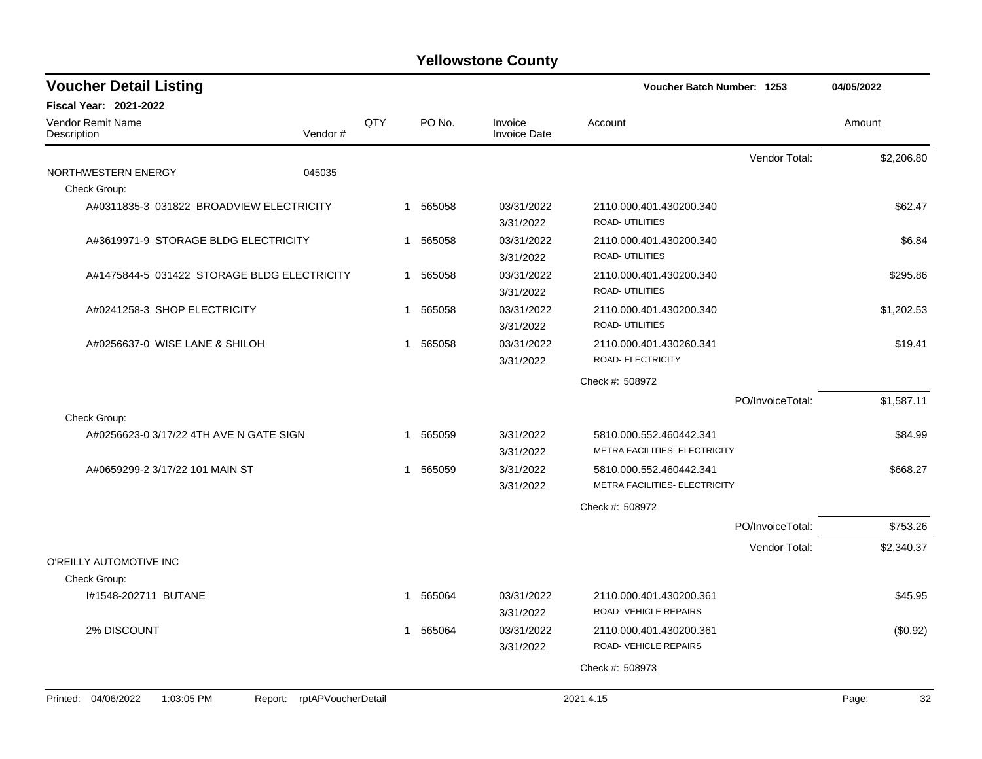| <b>Fiscal Year: 2021-2022</b><br><b>Vendor Remit Name</b><br>QTY<br>PO No.<br>Invoice<br>Account<br>Amount<br>Vendor#<br><b>Invoice Date</b><br>Description<br>Vendor Total:<br>\$2,206.80<br>NORTHWESTERN ENERGY<br>045035<br>Check Group:<br>A#0311835-3 031822 BROADVIEW ELECTRICITY<br>1 565058<br>03/31/2022<br>2110.000.401.430200.340<br>\$62.47<br>ROAD- UTILITIES<br>3/31/2022<br>A#3619971-9 STORAGE BLDG ELECTRICITY<br>1 565058<br>03/31/2022<br>2110.000.401.430200.340<br>\$6.84<br>ROAD- UTILITIES<br>3/31/2022<br>03/31/2022<br>A#1475844-5 031422 STORAGE BLDG ELECTRICITY<br>1 565058<br>2110.000.401.430200.340<br>\$295.86<br>ROAD- UTILITIES<br>3/31/2022<br>03/31/2022<br>A#0241258-3 SHOP ELECTRICITY<br>1 565058<br>\$1,202.53<br>2110.000.401.430200.340<br>ROAD- UTILITIES<br>3/31/2022<br>1 565058<br>03/31/2022<br>\$19.41<br>A#0256637-0 WISE LANE & SHILOH<br>2110.000.401.430260.341<br>ROAD- ELECTRICITY<br>3/31/2022<br>Check #: 508972<br>\$1,587.11<br>PO/InvoiceTotal:<br>Check Group:<br>A#0256623-0 3/17/22 4TH AVE N GATE SIGN<br>1 565059<br>3/31/2022<br>5810.000.552.460442.341<br>\$84.99<br>METRA FACILITIES- ELECTRICITY<br>3/31/2022<br>3/31/2022<br>A#0659299-2 3/17/22 101 MAIN ST<br>1 565059<br>5810.000.552.460442.341<br>\$668.27<br>METRA FACILITIES- ELECTRICITY<br>3/31/2022<br>Check #: 508972<br>\$753.26<br>PO/InvoiceTotal:<br>\$2,340.37<br>Vendor Total:<br>O'REILLY AUTOMOTIVE INC<br>Check Group:<br>1 565064<br>03/31/2022<br>\$45.95<br>#1548-202711 BUTANE<br>2110.000.401.430200.361<br>ROAD-VEHICLE REPAIRS<br>3/31/2022<br>2% DISCOUNT<br>1 565064<br>03/31/2022<br>2110.000.401.430200.361<br>(\$0.92)<br>ROAD-VEHICLE REPAIRS<br>3/31/2022<br>Check #: 508973<br>Printed: 04/06/2022<br>Report: rptAPVoucherDetail<br>1:03:05 PM<br>2021.4.15<br>Page: | <b>Voucher Detail Listing</b> |  |  |  |  | Voucher Batch Number: 1253 | 04/05/2022 |  |
|-------------------------------------------------------------------------------------------------------------------------------------------------------------------------------------------------------------------------------------------------------------------------------------------------------------------------------------------------------------------------------------------------------------------------------------------------------------------------------------------------------------------------------------------------------------------------------------------------------------------------------------------------------------------------------------------------------------------------------------------------------------------------------------------------------------------------------------------------------------------------------------------------------------------------------------------------------------------------------------------------------------------------------------------------------------------------------------------------------------------------------------------------------------------------------------------------------------------------------------------------------------------------------------------------------------------------------------------------------------------------------------------------------------------------------------------------------------------------------------------------------------------------------------------------------------------------------------------------------------------------------------------------------------------------------------------------------------------------------------------------------------------------------------------------------------------------------|-------------------------------|--|--|--|--|----------------------------|------------|--|
|                                                                                                                                                                                                                                                                                                                                                                                                                                                                                                                                                                                                                                                                                                                                                                                                                                                                                                                                                                                                                                                                                                                                                                                                                                                                                                                                                                                                                                                                                                                                                                                                                                                                                                                                                                                                                               |                               |  |  |  |  |                            |            |  |
|                                                                                                                                                                                                                                                                                                                                                                                                                                                                                                                                                                                                                                                                                                                                                                                                                                                                                                                                                                                                                                                                                                                                                                                                                                                                                                                                                                                                                                                                                                                                                                                                                                                                                                                                                                                                                               |                               |  |  |  |  |                            |            |  |
|                                                                                                                                                                                                                                                                                                                                                                                                                                                                                                                                                                                                                                                                                                                                                                                                                                                                                                                                                                                                                                                                                                                                                                                                                                                                                                                                                                                                                                                                                                                                                                                                                                                                                                                                                                                                                               |                               |  |  |  |  |                            |            |  |
|                                                                                                                                                                                                                                                                                                                                                                                                                                                                                                                                                                                                                                                                                                                                                                                                                                                                                                                                                                                                                                                                                                                                                                                                                                                                                                                                                                                                                                                                                                                                                                                                                                                                                                                                                                                                                               |                               |  |  |  |  |                            |            |  |
|                                                                                                                                                                                                                                                                                                                                                                                                                                                                                                                                                                                                                                                                                                                                                                                                                                                                                                                                                                                                                                                                                                                                                                                                                                                                                                                                                                                                                                                                                                                                                                                                                                                                                                                                                                                                                               |                               |  |  |  |  |                            |            |  |
|                                                                                                                                                                                                                                                                                                                                                                                                                                                                                                                                                                                                                                                                                                                                                                                                                                                                                                                                                                                                                                                                                                                                                                                                                                                                                                                                                                                                                                                                                                                                                                                                                                                                                                                                                                                                                               |                               |  |  |  |  |                            |            |  |
|                                                                                                                                                                                                                                                                                                                                                                                                                                                                                                                                                                                                                                                                                                                                                                                                                                                                                                                                                                                                                                                                                                                                                                                                                                                                                                                                                                                                                                                                                                                                                                                                                                                                                                                                                                                                                               |                               |  |  |  |  |                            |            |  |
|                                                                                                                                                                                                                                                                                                                                                                                                                                                                                                                                                                                                                                                                                                                                                                                                                                                                                                                                                                                                                                                                                                                                                                                                                                                                                                                                                                                                                                                                                                                                                                                                                                                                                                                                                                                                                               |                               |  |  |  |  |                            |            |  |
|                                                                                                                                                                                                                                                                                                                                                                                                                                                                                                                                                                                                                                                                                                                                                                                                                                                                                                                                                                                                                                                                                                                                                                                                                                                                                                                                                                                                                                                                                                                                                                                                                                                                                                                                                                                                                               |                               |  |  |  |  |                            |            |  |
|                                                                                                                                                                                                                                                                                                                                                                                                                                                                                                                                                                                                                                                                                                                                                                                                                                                                                                                                                                                                                                                                                                                                                                                                                                                                                                                                                                                                                                                                                                                                                                                                                                                                                                                                                                                                                               |                               |  |  |  |  |                            |            |  |
|                                                                                                                                                                                                                                                                                                                                                                                                                                                                                                                                                                                                                                                                                                                                                                                                                                                                                                                                                                                                                                                                                                                                                                                                                                                                                                                                                                                                                                                                                                                                                                                                                                                                                                                                                                                                                               |                               |  |  |  |  |                            |            |  |
|                                                                                                                                                                                                                                                                                                                                                                                                                                                                                                                                                                                                                                                                                                                                                                                                                                                                                                                                                                                                                                                                                                                                                                                                                                                                                                                                                                                                                                                                                                                                                                                                                                                                                                                                                                                                                               |                               |  |  |  |  |                            |            |  |
|                                                                                                                                                                                                                                                                                                                                                                                                                                                                                                                                                                                                                                                                                                                                                                                                                                                                                                                                                                                                                                                                                                                                                                                                                                                                                                                                                                                                                                                                                                                                                                                                                                                                                                                                                                                                                               |                               |  |  |  |  |                            |            |  |
|                                                                                                                                                                                                                                                                                                                                                                                                                                                                                                                                                                                                                                                                                                                                                                                                                                                                                                                                                                                                                                                                                                                                                                                                                                                                                                                                                                                                                                                                                                                                                                                                                                                                                                                                                                                                                               |                               |  |  |  |  |                            |            |  |
|                                                                                                                                                                                                                                                                                                                                                                                                                                                                                                                                                                                                                                                                                                                                                                                                                                                                                                                                                                                                                                                                                                                                                                                                                                                                                                                                                                                                                                                                                                                                                                                                                                                                                                                                                                                                                               |                               |  |  |  |  |                            |            |  |
|                                                                                                                                                                                                                                                                                                                                                                                                                                                                                                                                                                                                                                                                                                                                                                                                                                                                                                                                                                                                                                                                                                                                                                                                                                                                                                                                                                                                                                                                                                                                                                                                                                                                                                                                                                                                                               |                               |  |  |  |  |                            |            |  |
|                                                                                                                                                                                                                                                                                                                                                                                                                                                                                                                                                                                                                                                                                                                                                                                                                                                                                                                                                                                                                                                                                                                                                                                                                                                                                                                                                                                                                                                                                                                                                                                                                                                                                                                                                                                                                               |                               |  |  |  |  |                            |            |  |
|                                                                                                                                                                                                                                                                                                                                                                                                                                                                                                                                                                                                                                                                                                                                                                                                                                                                                                                                                                                                                                                                                                                                                                                                                                                                                                                                                                                                                                                                                                                                                                                                                                                                                                                                                                                                                               |                               |  |  |  |  |                            |            |  |
|                                                                                                                                                                                                                                                                                                                                                                                                                                                                                                                                                                                                                                                                                                                                                                                                                                                                                                                                                                                                                                                                                                                                                                                                                                                                                                                                                                                                                                                                                                                                                                                                                                                                                                                                                                                                                               |                               |  |  |  |  |                            |            |  |
|                                                                                                                                                                                                                                                                                                                                                                                                                                                                                                                                                                                                                                                                                                                                                                                                                                                                                                                                                                                                                                                                                                                                                                                                                                                                                                                                                                                                                                                                                                                                                                                                                                                                                                                                                                                                                               |                               |  |  |  |  |                            |            |  |
|                                                                                                                                                                                                                                                                                                                                                                                                                                                                                                                                                                                                                                                                                                                                                                                                                                                                                                                                                                                                                                                                                                                                                                                                                                                                                                                                                                                                                                                                                                                                                                                                                                                                                                                                                                                                                               |                               |  |  |  |  |                            |            |  |
|                                                                                                                                                                                                                                                                                                                                                                                                                                                                                                                                                                                                                                                                                                                                                                                                                                                                                                                                                                                                                                                                                                                                                                                                                                                                                                                                                                                                                                                                                                                                                                                                                                                                                                                                                                                                                               |                               |  |  |  |  |                            |            |  |
|                                                                                                                                                                                                                                                                                                                                                                                                                                                                                                                                                                                                                                                                                                                                                                                                                                                                                                                                                                                                                                                                                                                                                                                                                                                                                                                                                                                                                                                                                                                                                                                                                                                                                                                                                                                                                               |                               |  |  |  |  |                            | 32         |  |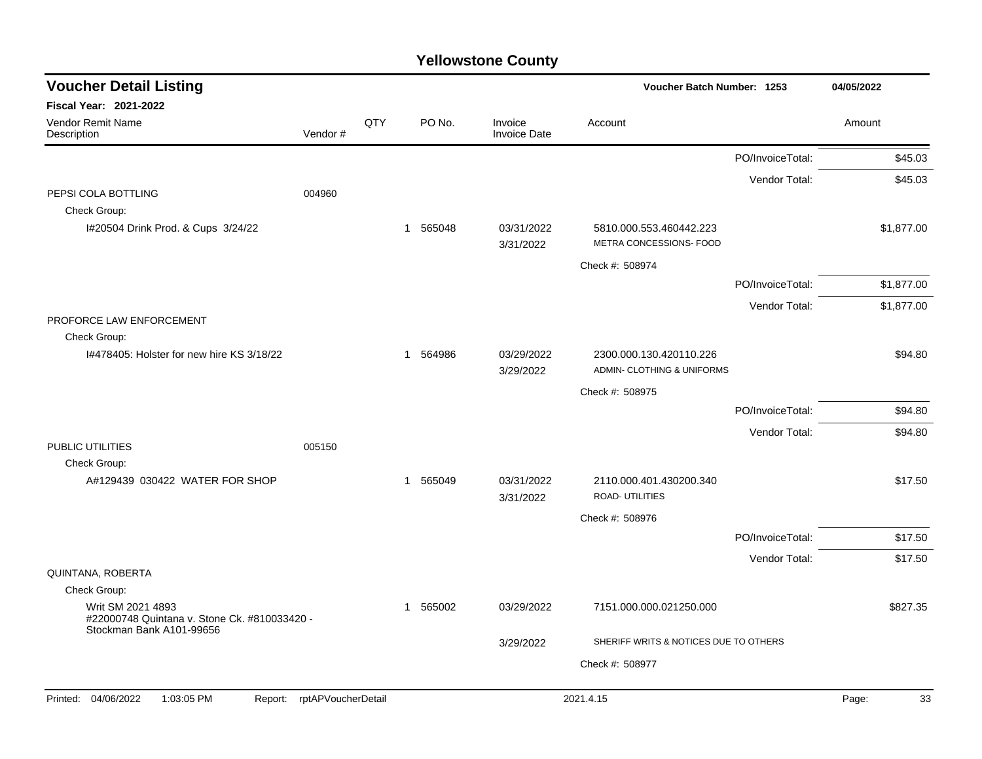| <b>Voucher Detail Listing</b>                                                                 |                    |     |          |                                | Voucher Batch Number: 1253                            | 04/05/2022       |             |
|-----------------------------------------------------------------------------------------------|--------------------|-----|----------|--------------------------------|-------------------------------------------------------|------------------|-------------|
| <b>Fiscal Year: 2021-2022</b>                                                                 |                    |     |          |                                |                                                       |                  |             |
| Vendor Remit Name<br>Description                                                              | Vendor#            | QTY | PO No.   | Invoice<br><b>Invoice Date</b> | Account                                               |                  | Amount      |
|                                                                                               |                    |     |          |                                |                                                       | PO/InvoiceTotal: | \$45.03     |
|                                                                                               |                    |     |          |                                |                                                       | Vendor Total:    | \$45.03     |
| PEPSI COLA BOTTLING<br>Check Group:                                                           | 004960             |     |          |                                |                                                       |                  |             |
| I#20504 Drink Prod. & Cups 3/24/22                                                            |                    |     | 1 565048 | 03/31/2022<br>3/31/2022        | 5810.000.553.460442.223<br>METRA CONCESSIONS- FOOD    |                  | \$1,877.00  |
|                                                                                               |                    |     |          |                                | Check #: 508974                                       |                  |             |
|                                                                                               |                    |     |          |                                |                                                       | PO/InvoiceTotal: | \$1,877.00  |
| PROFORCE LAW ENFORCEMENT                                                                      |                    |     |          |                                |                                                       | Vendor Total:    | \$1,877.00  |
| Check Group:                                                                                  |                    |     |          |                                |                                                       |                  |             |
| 1#478405: Holster for new hire KS 3/18/22                                                     |                    |     | 1 564986 | 03/29/2022<br>3/29/2022        | 2300.000.130.420110.226<br>ADMIN- CLOTHING & UNIFORMS |                  | \$94.80     |
|                                                                                               |                    |     |          |                                | Check #: 508975                                       |                  |             |
|                                                                                               |                    |     |          |                                |                                                       | PO/InvoiceTotal: | \$94.80     |
|                                                                                               |                    |     |          |                                |                                                       | Vendor Total:    | \$94.80     |
| PUBLIC UTILITIES                                                                              | 005150             |     |          |                                |                                                       |                  |             |
| Check Group:<br>A#129439 030422 WATER FOR SHOP                                                |                    |     | 1 565049 | 03/31/2022<br>3/31/2022        | 2110.000.401.430200.340<br><b>ROAD- UTILITIES</b>     |                  | \$17.50     |
|                                                                                               |                    |     |          |                                | Check #: 508976                                       |                  |             |
|                                                                                               |                    |     |          |                                |                                                       | PO/InvoiceTotal: | \$17.50     |
|                                                                                               |                    |     |          |                                |                                                       | Vendor Total:    | \$17.50     |
| QUINTANA, ROBERTA                                                                             |                    |     |          |                                |                                                       |                  |             |
| Check Group:                                                                                  |                    |     |          |                                |                                                       |                  |             |
| Writ SM 2021 4893<br>#22000748 Quintana v. Stone Ck. #810033420 -<br>Stockman Bank A101-99656 |                    |     | 1 565002 | 03/29/2022                     | 7151.000.000.021250.000                               |                  | \$827.35    |
|                                                                                               |                    |     |          | 3/29/2022                      | SHERIFF WRITS & NOTICES DUE TO OTHERS                 |                  |             |
|                                                                                               |                    |     |          |                                | Check #: 508977                                       |                  |             |
|                                                                                               |                    |     |          |                                |                                                       |                  |             |
| 04/06/2022<br>1:03:05 PM<br>Printed:<br>Report:                                               | rptAPVoucherDetail |     |          |                                | 2021.4.15                                             |                  | Page:<br>33 |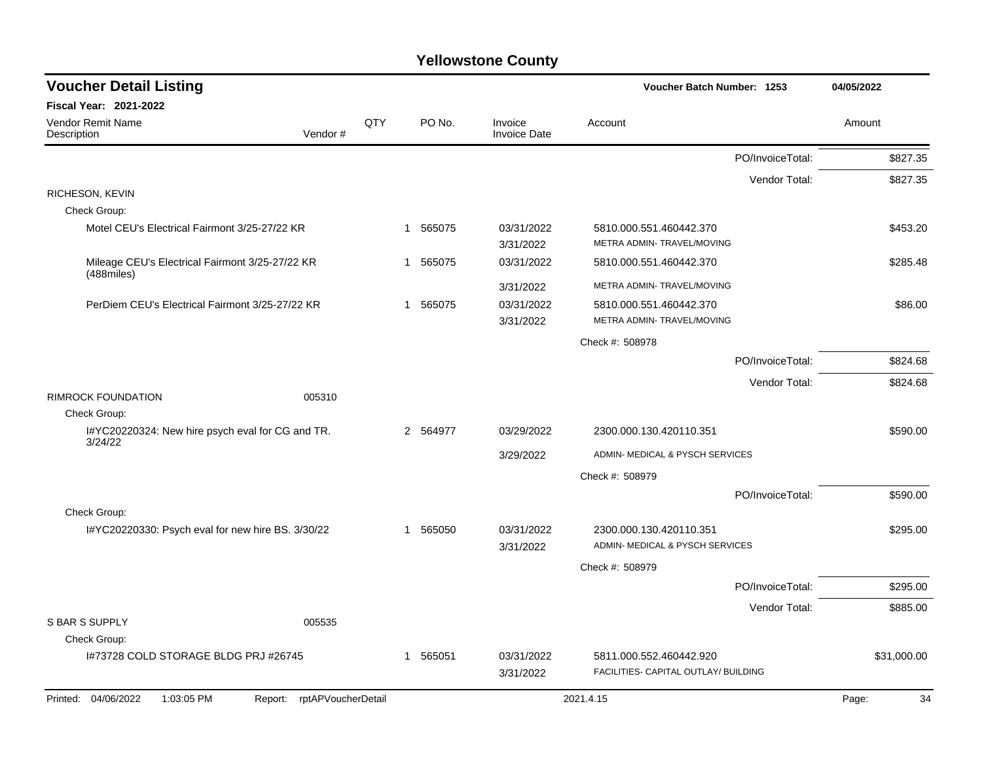| <b>Voucher Detail Listing</b>                                       |     |                        |                                | Voucher Batch Number: 1253           | 04/05/2022  |
|---------------------------------------------------------------------|-----|------------------------|--------------------------------|--------------------------------------|-------------|
| Fiscal Year: 2021-2022                                              |     |                        |                                |                                      |             |
| Vendor Remit Name<br>Vendor#<br>Description                         | QTY | PO No.                 | Invoice<br><b>Invoice Date</b> | Account                              | Amount      |
|                                                                     |     |                        |                                | PO/InvoiceTotal:                     | \$827.35    |
|                                                                     |     |                        |                                | Vendor Total:                        | \$827.35    |
| RICHESON, KEVIN                                                     |     |                        |                                |                                      |             |
| Check Group:                                                        |     |                        |                                |                                      |             |
| Motel CEU's Electrical Fairmont 3/25-27/22 KR                       |     | 565075<br>$\mathbf{1}$ | 03/31/2022                     | 5810.000.551.460442.370              | \$453.20    |
|                                                                     |     |                        | 3/31/2022                      | METRA ADMIN- TRAVEL/MOVING           |             |
| Mileage CEU's Electrical Fairmont 3/25-27/22 KR<br>$(488$ miles $)$ |     | 1 565075               | 03/31/2022                     | 5810.000.551.460442.370              | \$285.48    |
|                                                                     |     |                        | 3/31/2022                      | METRA ADMIN- TRAVEL/MOVING           |             |
| PerDiem CEU's Electrical Fairmont 3/25-27/22 KR                     |     | 1 565075               | 03/31/2022                     | 5810.000.551.460442.370              | \$86.00     |
|                                                                     |     |                        | 3/31/2022                      | METRA ADMIN- TRAVEL/MOVING           |             |
|                                                                     |     |                        |                                | Check #: 508978                      |             |
|                                                                     |     |                        |                                | PO/InvoiceTotal:                     | \$824.68    |
|                                                                     |     |                        |                                | Vendor Total:                        | \$824.68    |
| <b>RIMROCK FOUNDATION</b><br>005310                                 |     |                        |                                |                                      |             |
| Check Group:                                                        |     |                        |                                |                                      |             |
| I#YC20220324: New hire psych eval for CG and TR.<br>3/24/22         |     | 2 564977               | 03/29/2022                     | 2300.000.130.420110.351              | \$590.00    |
|                                                                     |     |                        | 3/29/2022                      | ADMIN- MEDICAL & PYSCH SERVICES      |             |
|                                                                     |     |                        |                                | Check #: 508979                      |             |
|                                                                     |     |                        |                                | PO/InvoiceTotal:                     | \$590.00    |
| Check Group:                                                        |     |                        |                                |                                      |             |
| I#YC20220330: Psych eval for new hire BS. 3/30/22                   |     | 565050<br>$\mathbf{1}$ | 03/31/2022                     | 2300.000.130.420110.351              | \$295.00    |
|                                                                     |     |                        | 3/31/2022                      | ADMIN- MEDICAL & PYSCH SERVICES      |             |
|                                                                     |     |                        |                                | Check #: 508979                      |             |
|                                                                     |     |                        |                                | PO/InvoiceTotal:                     | \$295.00    |
|                                                                     |     |                        |                                | Vendor Total:                        | \$885.00    |
| <b>S BAR S SUPPLY</b><br>005535                                     |     |                        |                                |                                      |             |
| Check Group:                                                        |     |                        |                                |                                      |             |
| 1#73728 COLD STORAGE BLDG PRJ #26745                                |     | 1 565051               | 03/31/2022                     | 5811.000.552.460442.920              | \$31,000.00 |
|                                                                     |     |                        | 3/31/2022                      | FACILITIES- CAPITAL OUTLAY/ BUILDING |             |
| rptAPVoucherDetail<br>Printed: 04/06/2022<br>1:03:05 PM<br>Report:  |     |                        |                                | 2021.4.15                            | 34<br>Page: |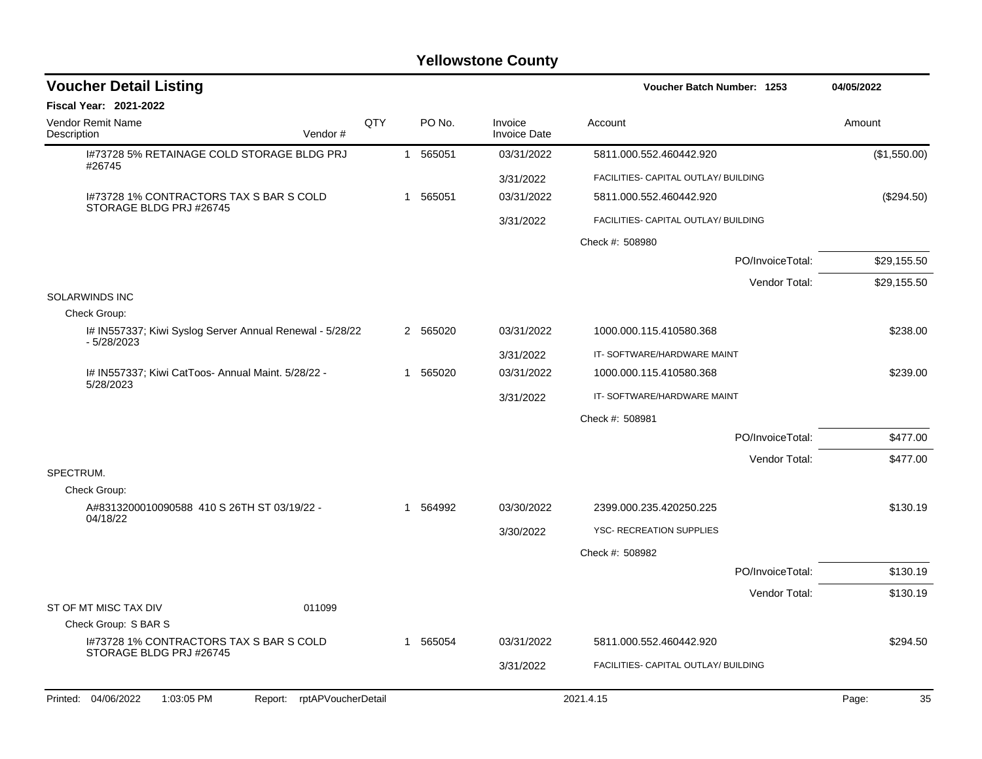| <b>Voucher Detail Listing</b><br>Voucher Batch Number: 1253              |     |              |          | 04/05/2022                     |                                      |                  |              |
|--------------------------------------------------------------------------|-----|--------------|----------|--------------------------------|--------------------------------------|------------------|--------------|
| Fiscal Year: 2021-2022                                                   |     |              |          |                                |                                      |                  |              |
| Vendor Remit Name<br>Description<br>Vendor#                              | QTY |              | PO No.   | Invoice<br><b>Invoice Date</b> | Account                              |                  | Amount       |
| I#73728 5% RETAINAGE COLD STORAGE BLDG PRJ<br>#26745                     |     | $\mathbf{1}$ | 565051   | 03/31/2022                     | 5811.000.552.460442.920              |                  | (\$1,550.00) |
|                                                                          |     |              |          | 3/31/2022                      | FACILITIES- CAPITAL OUTLAY/ BUILDING |                  |              |
| 1#73728 1% CONTRACTORS TAX S BAR S COLD                                  |     | 1            | 565051   | 03/31/2022                     | 5811.000.552.460442.920              |                  | (\$294.50)   |
| STORAGE BLDG PRJ #26745                                                  |     |              |          | 3/31/2022                      | FACILITIES- CAPITAL OUTLAY/ BUILDING |                  |              |
|                                                                          |     |              |          |                                | Check #: 508980                      |                  |              |
|                                                                          |     |              |          |                                |                                      | PO/InvoiceTotal: | \$29,155.50  |
|                                                                          |     |              |          |                                |                                      | Vendor Total:    | \$29,155.50  |
| <b>SOLARWINDS INC</b>                                                    |     |              |          |                                |                                      |                  |              |
| Check Group:                                                             |     |              |          |                                |                                      |                  |              |
| I# IN557337; Kiwi Syslog Server Annual Renewal - 5/28/22<br>$-5/28/2023$ |     |              | 2 565020 | 03/31/2022                     | 1000.000.115.410580.368              |                  | \$238.00     |
|                                                                          |     |              |          | 3/31/2022                      | IT-SOFTWARE/HARDWARE MAINT           |                  |              |
| I# IN557337; Kiwi CatToos- Annual Maint. 5/28/22 -<br>5/28/2023          |     | 1            | 565020   | 03/31/2022                     | 1000.000.115.410580.368              |                  | \$239.00     |
|                                                                          |     |              |          | 3/31/2022                      | IT-SOFTWARE/HARDWARE MAINT           |                  |              |
|                                                                          |     |              |          |                                | Check #: 508981                      |                  |              |
|                                                                          |     |              |          |                                |                                      | PO/InvoiceTotal: | \$477.00     |
|                                                                          |     |              |          |                                |                                      | Vendor Total:    | \$477.00     |
| SPECTRUM.                                                                |     |              |          |                                |                                      |                  |              |
| Check Group:<br>A#8313200010090588 410 S 26TH ST 03/19/22 -              |     | -1           | 564992   | 03/30/2022                     | 2399.000.235.420250.225              |                  | \$130.19     |
| 04/18/22                                                                 |     |              |          |                                | YSC- RECREATION SUPPLIES             |                  |              |
|                                                                          |     |              |          | 3/30/2022                      |                                      |                  |              |
|                                                                          |     |              |          |                                | Check #: 508982                      |                  |              |
|                                                                          |     |              |          |                                |                                      | PO/InvoiceTotal: | \$130.19     |
| ST OF MT MISC TAX DIV<br>011099                                          |     |              |          |                                |                                      | Vendor Total:    | \$130.19     |
| Check Group: S BAR S                                                     |     |              |          |                                |                                      |                  |              |
| 1#73728 1% CONTRACTORS TAX S BAR S COLD                                  |     | 1            | 565054   | 03/31/2022                     | 5811.000.552.460442.920              |                  | \$294.50     |
| STORAGE BLDG PRJ #26745                                                  |     |              |          | 3/31/2022                      | FACILITIES- CAPITAL OUTLAY/ BUILDING |                  |              |
|                                                                          |     |              |          |                                |                                      |                  |              |
| 04/06/2022<br>1:03:05 PM<br>Printed:<br>Report:<br>rptAPVoucherDetail    |     |              |          |                                | 2021.4.15                            |                  | 35<br>Page:  |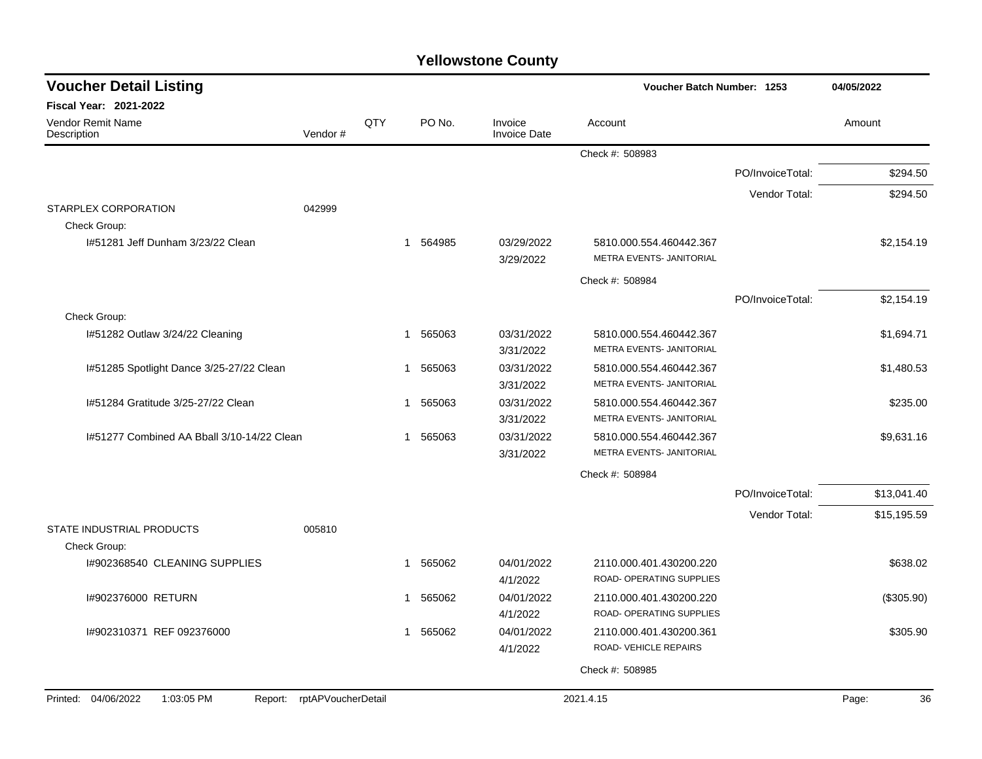| <b>Voucher Detail Listing</b>              |                            |     |             |                                | Voucher Batch Number: 1253                          |                  | 04/05/2022  |
|--------------------------------------------|----------------------------|-----|-------------|--------------------------------|-----------------------------------------------------|------------------|-------------|
| <b>Fiscal Year: 2021-2022</b>              |                            |     |             |                                |                                                     |                  |             |
| <b>Vendor Remit Name</b><br>Description    | Vendor#                    | QTY | PO No.      | Invoice<br><b>Invoice Date</b> | Account                                             |                  | Amount      |
|                                            |                            |     |             |                                | Check #: 508983                                     |                  |             |
|                                            |                            |     |             |                                |                                                     | PO/InvoiceTotal: | \$294.50    |
|                                            |                            |     |             |                                |                                                     | Vendor Total:    | \$294.50    |
| STARPLEX CORPORATION<br>Check Group:       | 042999                     |     |             |                                |                                                     |                  |             |
| 1#51281 Jeff Dunham 3/23/22 Clean          |                            |     | 1 564985    | 03/29/2022<br>3/29/2022        | 5810.000.554.460442.367<br>METRA EVENTS- JANITORIAL |                  | \$2,154.19  |
|                                            |                            |     |             |                                | Check #: 508984                                     |                  |             |
|                                            |                            |     |             |                                |                                                     | PO/InvoiceTotal: | \$2,154.19  |
| Check Group:                               |                            |     |             |                                |                                                     |                  |             |
| 1#51282 Outlaw 3/24/22 Cleaning            |                            |     | 565063<br>1 | 03/31/2022<br>3/31/2022        | 5810.000.554.460442.367<br>METRA EVENTS- JANITORIAL |                  | \$1,694.71  |
| I#51285 Spotlight Dance 3/25-27/22 Clean   |                            |     | 565063<br>1 | 03/31/2022<br>3/31/2022        | 5810.000.554.460442.367<br>METRA EVENTS- JANITORIAL |                  | \$1,480.53  |
| 1#51284 Gratitude 3/25-27/22 Clean         |                            |     | 565063<br>1 | 03/31/2022<br>3/31/2022        | 5810.000.554.460442.367<br>METRA EVENTS- JANITORIAL |                  | \$235.00    |
| 1#51277 Combined AA Bball 3/10-14/22 Clean |                            |     | 565063<br>1 | 03/31/2022<br>3/31/2022        | 5810.000.554.460442.367<br>METRA EVENTS- JANITORIAL |                  | \$9,631.16  |
|                                            |                            |     |             |                                | Check #: 508984                                     |                  |             |
|                                            |                            |     |             |                                |                                                     | PO/InvoiceTotal: | \$13,041.40 |
| STATE INDUSTRIAL PRODUCTS                  | 005810                     |     |             |                                |                                                     | Vendor Total:    | \$15,195.59 |
| Check Group:                               |                            |     |             |                                |                                                     |                  |             |
| 1#902368540 CLEANING SUPPLIES              |                            |     | 565062<br>1 | 04/01/2022<br>4/1/2022         | 2110.000.401.430200.220<br>ROAD- OPERATING SUPPLIES |                  | \$638.02    |
| I#902376000 RETURN                         |                            |     | 565062<br>1 | 04/01/2022                     | 2110.000.401.430200.220                             |                  | (\$305.90)  |
|                                            |                            |     |             | 4/1/2022                       | ROAD- OPERATING SUPPLIES                            |                  |             |
| I#902310371 REF 092376000                  |                            |     | 565062<br>1 | 04/01/2022<br>4/1/2022         | 2110.000.401.430200.361<br>ROAD-VEHICLE REPAIRS     |                  | \$305.90    |
|                                            |                            |     |             |                                | Check #: 508985                                     |                  |             |
|                                            |                            |     |             |                                |                                                     |                  |             |
| Printed: 04/06/2022<br>1:03:05 PM          | Report: rptAPVoucherDetail |     |             |                                | 2021.4.15                                           |                  | Page:<br>36 |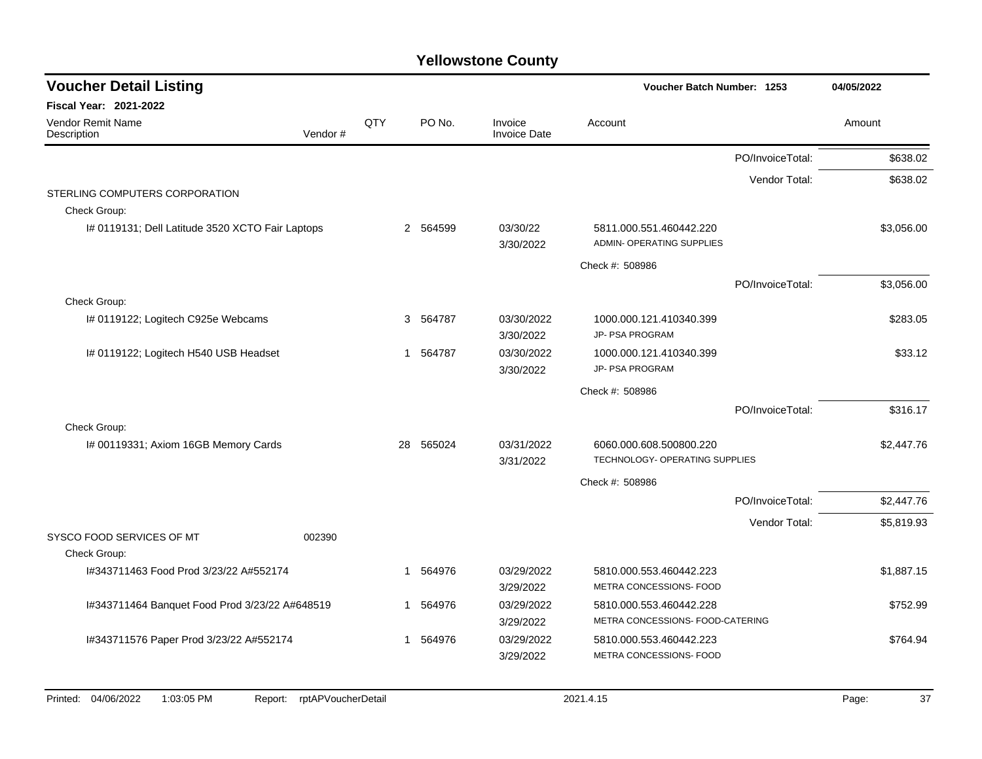| <b>Voucher Detail Listing</b>                    |         |     |          |                                |                                                      | Voucher Batch Number: 1253 |            |  |
|--------------------------------------------------|---------|-----|----------|--------------------------------|------------------------------------------------------|----------------------------|------------|--|
| <b>Fiscal Year: 2021-2022</b>                    |         |     |          |                                |                                                      |                            |            |  |
| <b>Vendor Remit Name</b><br>Description          | Vendor# | QTY | PO No.   | Invoice<br><b>Invoice Date</b> | Account                                              |                            | Amount     |  |
|                                                  |         |     |          |                                |                                                      | PO/InvoiceTotal:           | \$638.02   |  |
|                                                  |         |     |          |                                |                                                      | Vendor Total:              | \$638.02   |  |
| STERLING COMPUTERS CORPORATION                   |         |     |          |                                |                                                      |                            |            |  |
| Check Group:                                     |         |     |          |                                |                                                      |                            |            |  |
| I# 0119131; Dell Latitude 3520 XCTO Fair Laptops |         |     | 2 564599 | 03/30/22<br>3/30/2022          | 5811.000.551.460442.220<br>ADMIN- OPERATING SUPPLIES |                            | \$3,056.00 |  |
|                                                  |         |     |          |                                | Check #: 508986                                      |                            |            |  |
|                                                  |         |     |          |                                |                                                      | PO/InvoiceTotal:           | \$3,056.00 |  |
| Check Group:                                     |         |     |          |                                |                                                      |                            |            |  |
| I# 0119122; Logitech C925e Webcams               |         |     | 3 564787 | 03/30/2022                     | 1000.000.121.410340.399                              |                            | \$283.05   |  |
|                                                  |         |     |          | 3/30/2022                      | JP- PSA PROGRAM                                      |                            |            |  |
| I# 0119122; Logitech H540 USB Headset            |         | 1   | 564787   | 03/30/2022                     | 1000.000.121.410340.399                              |                            | \$33.12    |  |
|                                                  |         |     |          | 3/30/2022                      | JP- PSA PROGRAM                                      |                            |            |  |
|                                                  |         |     |          |                                | Check #: 508986                                      |                            |            |  |
|                                                  |         |     |          |                                |                                                      | PO/InvoiceTotal:           | \$316.17   |  |
| Check Group:                                     |         |     |          |                                |                                                      |                            |            |  |
| I# 00119331; Axiom 16GB Memory Cards             |         | 28  | 565024   | 03/31/2022                     | 6060.000.608.500800.220                              |                            | \$2,447.76 |  |
|                                                  |         |     |          | 3/31/2022                      | TECHNOLOGY- OPERATING SUPPLIES                       |                            |            |  |
|                                                  |         |     |          |                                | Check #: 508986                                      |                            |            |  |
|                                                  |         |     |          |                                |                                                      | PO/InvoiceTotal:           | \$2,447.76 |  |
|                                                  |         |     |          |                                |                                                      | Vendor Total:              | \$5,819.93 |  |
| SYSCO FOOD SERVICES OF MT                        | 002390  |     |          |                                |                                                      |                            |            |  |
| Check Group:                                     |         |     |          |                                |                                                      |                            |            |  |
| I#343711463 Food Prod 3/23/22 A#552174           |         | 1   | 564976   | 03/29/2022                     | 5810.000.553.460442.223                              |                            | \$1,887.15 |  |
|                                                  |         |     |          | 3/29/2022                      | METRA CONCESSIONS- FOOD                              |                            |            |  |
| I#343711464 Banquet Food Prod 3/23/22 A#648519   |         | 1   | 564976   | 03/29/2022                     | 5810.000.553.460442.228                              |                            | \$752.99   |  |
|                                                  |         |     |          | 3/29/2022                      | METRA CONCESSIONS- FOOD-CATERING                     |                            |            |  |
| I#343711576 Paper Prod 3/23/22 A#552174          |         | 1   | 564976   | 03/29/2022                     | 5810.000.553.460442.223                              |                            | \$764.94   |  |
|                                                  |         |     |          | 3/29/2022                      | METRA CONCESSIONS- FOOD                              |                            |            |  |
|                                                  |         |     |          |                                |                                                      |                            |            |  |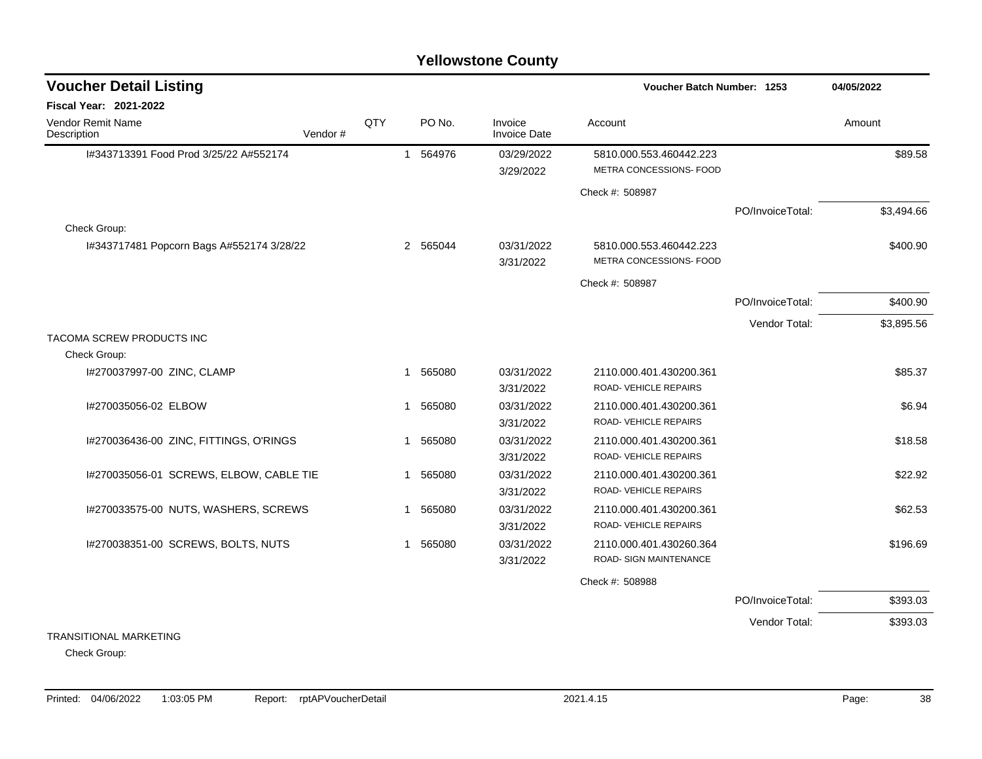| <b>Voucher Detail Listing</b>             |         |     |             |          |                                | Voucher Batch Number: 1253                         | 04/05/2022       |            |
|-------------------------------------------|---------|-----|-------------|----------|--------------------------------|----------------------------------------------------|------------------|------------|
| Fiscal Year: 2021-2022                    |         |     |             |          |                                |                                                    |                  |            |
| Vendor Remit Name<br>Description          | Vendor# | QTY |             | PO No.   | Invoice<br><b>Invoice Date</b> | Account                                            |                  | Amount     |
| I#343713391 Food Prod 3/25/22 A#552174    |         |     |             | 1 564976 | 03/29/2022<br>3/29/2022        | 5810.000.553.460442.223<br>METRA CONCESSIONS- FOOD |                  | \$89.58    |
|                                           |         |     |             |          |                                | Check #: 508987                                    |                  |            |
|                                           |         |     |             |          |                                |                                                    | PO/InvoiceTotal: | \$3,494.66 |
| Check Group:                              |         |     |             |          |                                |                                                    |                  |            |
| I#343717481 Popcorn Bags A#552174 3/28/22 |         |     |             | 2 565044 | 03/31/2022<br>3/31/2022        | 5810.000.553.460442.223<br>METRA CONCESSIONS- FOOD |                  | \$400.90   |
|                                           |         |     |             |          |                                | Check #: 508987                                    |                  |            |
|                                           |         |     |             |          |                                |                                                    | PO/InvoiceTotal: | \$400.90   |
|                                           |         |     |             |          |                                |                                                    | Vendor Total:    | \$3,895.56 |
| TACOMA SCREW PRODUCTS INC                 |         |     |             |          |                                |                                                    |                  |            |
| Check Group:                              |         |     |             |          |                                |                                                    |                  |            |
| I#270037997-00 ZINC, CLAMP                |         |     | $\mathbf 1$ | 565080   | 03/31/2022                     | 2110.000.401.430200.361                            |                  | \$85.37    |
|                                           |         |     |             |          | 3/31/2022                      | ROAD-VEHICLE REPAIRS                               |                  |            |
| I#270035056-02 ELBOW                      |         |     | 1           | 565080   | 03/31/2022                     | 2110.000.401.430200.361                            |                  | \$6.94     |
|                                           |         |     |             |          | 3/31/2022                      | ROAD- VEHICLE REPAIRS                              |                  |            |
| I#270036436-00 ZINC, FITTINGS, O'RINGS    |         |     | 1           | 565080   | 03/31/2022                     | 2110.000.401.430200.361                            |                  | \$18.58    |
|                                           |         |     |             |          | 3/31/2022                      | ROAD- VEHICLE REPAIRS                              |                  |            |
| I#270035056-01 SCREWS, ELBOW, CABLE TIE   |         |     |             | 1 565080 | 03/31/2022                     | 2110.000.401.430200.361                            |                  | \$22.92    |
|                                           |         |     |             |          | 3/31/2022                      | ROAD-VEHICLE REPAIRS                               |                  |            |
| I#270033575-00 NUTS, WASHERS, SCREWS      |         |     | $\mathbf 1$ | 565080   | 03/31/2022                     | 2110.000.401.430200.361                            |                  | \$62.53    |
|                                           |         |     |             |          | 3/31/2022                      | ROAD- VEHICLE REPAIRS                              |                  |            |
| I#270038351-00 SCREWS, BOLTS, NUTS        |         |     |             | 1 565080 | 03/31/2022                     | 2110.000.401.430260.364                            |                  | \$196.69   |
|                                           |         |     |             |          | 3/31/2022                      | ROAD- SIGN MAINTENANCE                             |                  |            |
|                                           |         |     |             |          |                                | Check #: 508988                                    |                  |            |
|                                           |         |     |             |          |                                |                                                    | PO/InvoiceTotal: | \$393.03   |
|                                           |         |     |             |          |                                |                                                    | Vendor Total:    | \$393.03   |
| <b>TRANSITIONAL MARKETING</b>             |         |     |             |          |                                |                                                    |                  |            |

Check Group: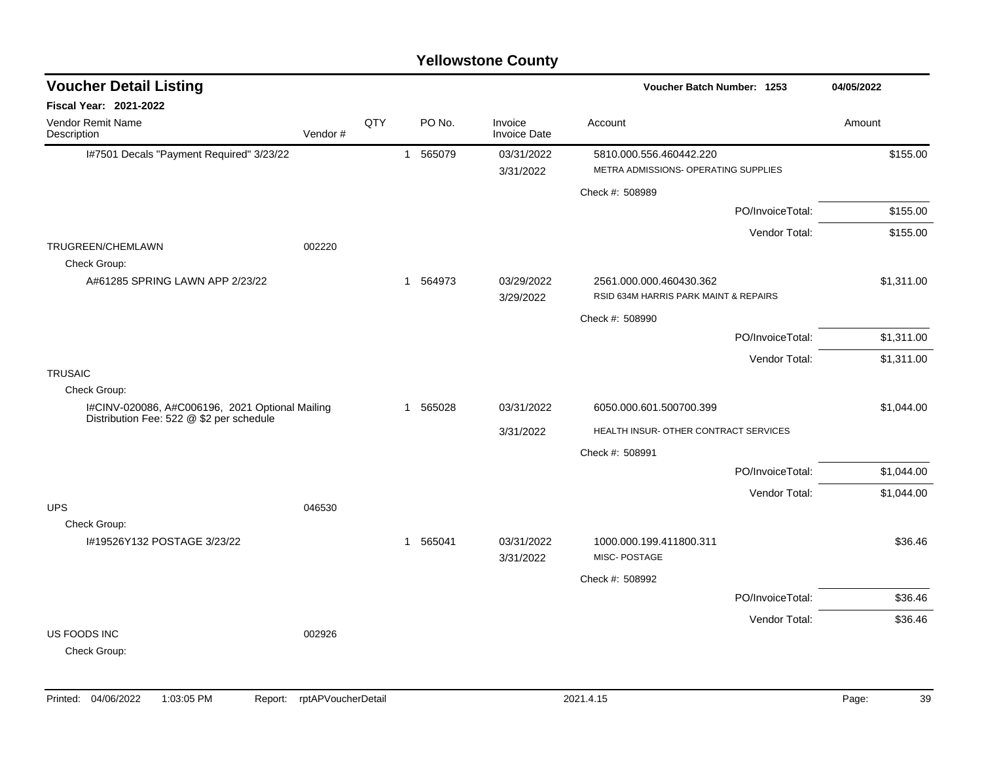| <b>Voucher Detail Listing</b>                                   |         |     |              |        |                                | Voucher Batch Number: 1253                                       |                  | 04/05/2022 |  |
|-----------------------------------------------------------------|---------|-----|--------------|--------|--------------------------------|------------------------------------------------------------------|------------------|------------|--|
| Fiscal Year: 2021-2022                                          |         |     |              |        |                                |                                                                  |                  |            |  |
| <b>Vendor Remit Name</b><br>Description                         | Vendor# | QTY |              | PO No. | Invoice<br><b>Invoice Date</b> | Account                                                          |                  | Amount     |  |
| I#7501 Decals "Payment Required" 3/23/22                        |         |     | $\mathbf{1}$ | 565079 | 03/31/2022<br>3/31/2022        | 5810.000.556.460442.220<br>METRA ADMISSIONS- OPERATING SUPPLIES  |                  | \$155.00   |  |
|                                                                 |         |     |              |        |                                | Check #: 508989                                                  |                  |            |  |
|                                                                 |         |     |              |        |                                |                                                                  | PO/InvoiceTotal: | \$155.00   |  |
|                                                                 |         |     |              |        |                                |                                                                  | Vendor Total:    | \$155.00   |  |
| TRUGREEN/CHEMLAWN<br>Check Group:                               | 002220  |     |              |        |                                |                                                                  |                  |            |  |
| A#61285 SPRING LAWN APP 2/23/22                                 |         |     | $\mathbf{1}$ | 564973 | 03/29/2022<br>3/29/2022        | 2561.000.000.460430.362<br>RSID 634M HARRIS PARK MAINT & REPAIRS |                  | \$1,311.00 |  |
|                                                                 |         |     |              |        |                                | Check #: 508990                                                  |                  |            |  |
|                                                                 |         |     |              |        |                                |                                                                  | PO/InvoiceTotal: | \$1,311.00 |  |
|                                                                 |         |     |              |        |                                |                                                                  | Vendor Total:    | \$1,311.00 |  |
| <b>TRUSAIC</b>                                                  |         |     |              |        |                                |                                                                  |                  |            |  |
| Check Group:<br>I#CINV-020086, A#C006196, 2021 Optional Mailing |         |     | 1            | 565028 | 03/31/2022                     | 6050.000.601.500700.399                                          |                  | \$1,044.00 |  |
| Distribution Fee: 522 @ \$2 per schedule                        |         |     |              |        | 3/31/2022                      | HEALTH INSUR- OTHER CONTRACT SERVICES                            |                  |            |  |
|                                                                 |         |     |              |        |                                |                                                                  |                  |            |  |
|                                                                 |         |     |              |        |                                | Check #: 508991                                                  | PO/InvoiceTotal: | \$1,044.00 |  |
|                                                                 |         |     |              |        |                                |                                                                  | Vendor Total:    | \$1,044.00 |  |
| <b>UPS</b>                                                      | 046530  |     |              |        |                                |                                                                  |                  |            |  |
| Check Group:                                                    |         |     |              |        |                                |                                                                  |                  |            |  |
| I#19526Y132 POSTAGE 3/23/22                                     |         |     | 1            | 565041 | 03/31/2022<br>3/31/2022        | 1000.000.199.411800.311<br>MISC-POSTAGE                          |                  | \$36.46    |  |
|                                                                 |         |     |              |        |                                | Check #: 508992                                                  |                  |            |  |
|                                                                 |         |     |              |        |                                |                                                                  | PO/InvoiceTotal: | \$36.46    |  |
|                                                                 |         |     |              |        |                                |                                                                  | Vendor Total:    | \$36.46    |  |
| US FOODS INC<br>Check Group:                                    | 002926  |     |              |        |                                |                                                                  |                  |            |  |
|                                                                 |         |     |              |        |                                |                                                                  |                  |            |  |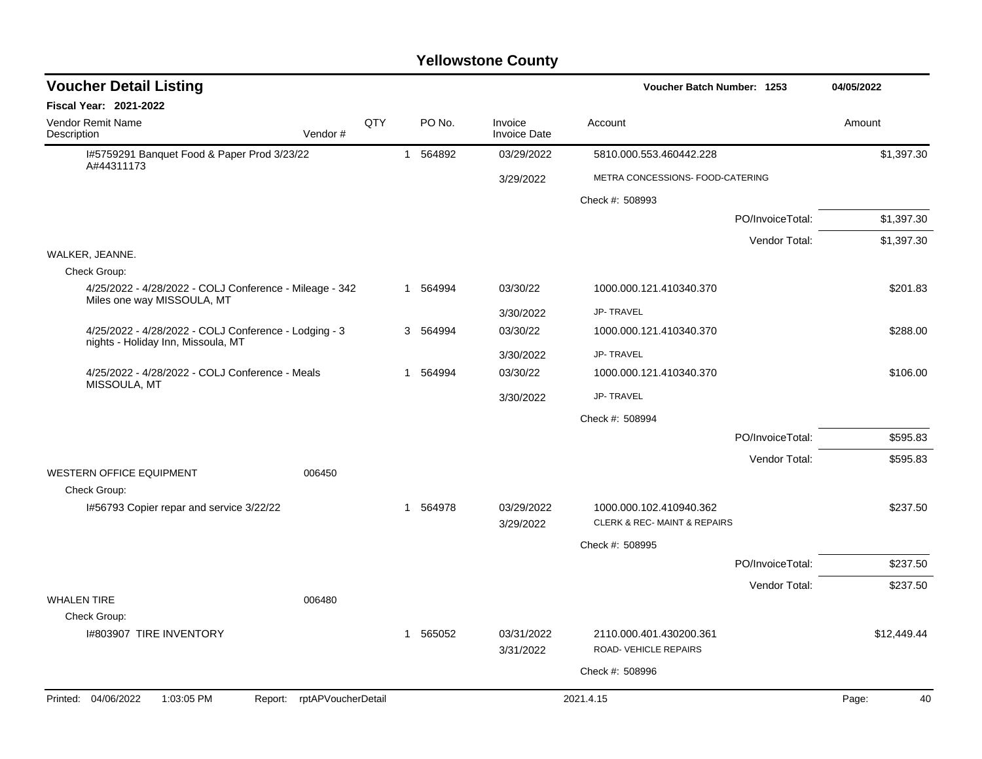| <b>Voucher Detail Listing</b>                                                               |                            |     |    |          |                                | Voucher Batch Number: 1253                             |                  | 04/05/2022  |
|---------------------------------------------------------------------------------------------|----------------------------|-----|----|----------|--------------------------------|--------------------------------------------------------|------------------|-------------|
| <b>Fiscal Year: 2021-2022</b>                                                               |                            |     |    |          |                                |                                                        |                  |             |
| Vendor Remit Name<br>Description                                                            | Vendor#                    | QTY |    | PO No.   | Invoice<br><b>Invoice Date</b> | Account                                                |                  | Amount      |
| I#5759291 Banquet Food & Paper Prod 3/23/22                                                 |                            |     |    | 1 564892 | 03/29/2022                     | 5810.000.553.460442.228                                |                  | \$1,397.30  |
| A#44311173                                                                                  |                            |     |    |          | 3/29/2022                      | METRA CONCESSIONS- FOOD-CATERING                       |                  |             |
|                                                                                             |                            |     |    |          |                                | Check #: 508993                                        |                  |             |
|                                                                                             |                            |     |    |          |                                |                                                        | PO/InvoiceTotal: | \$1,397.30  |
|                                                                                             |                            |     |    |          |                                |                                                        | Vendor Total:    | \$1,397.30  |
| WALKER, JEANNE.                                                                             |                            |     |    |          |                                |                                                        |                  |             |
| Check Group:                                                                                |                            |     |    |          |                                |                                                        |                  |             |
| 4/25/2022 - 4/28/2022 - COLJ Conference - Mileage - 342<br>Miles one way MISSOULA, MT       |                            |     |    | 1 564994 | 03/30/22                       | 1000.000.121.410340.370                                |                  | \$201.83    |
|                                                                                             |                            |     |    |          | 3/30/2022                      | <b>JP-TRAVEL</b>                                       |                  |             |
| 4/25/2022 - 4/28/2022 - COLJ Conference - Lodging - 3<br>nights - Holiday Inn, Missoula, MT |                            |     |    | 3 564994 | 03/30/22                       | 1000.000.121.410340.370                                |                  | \$288.00    |
|                                                                                             |                            |     |    |          | 3/30/2022                      | <b>JP-TRAVEL</b>                                       |                  |             |
| 4/25/2022 - 4/28/2022 - COLJ Conference - Meals<br>MISSOULA, MT                             |                            |     | 1  | 564994   | 03/30/22                       | 1000.000.121.410340.370                                |                  | \$106.00    |
|                                                                                             |                            |     |    |          | 3/30/2022                      | <b>JP-TRAVEL</b>                                       |                  |             |
|                                                                                             |                            |     |    |          |                                | Check #: 508994                                        |                  |             |
|                                                                                             |                            |     |    |          |                                |                                                        | PO/InvoiceTotal: | \$595.83    |
|                                                                                             |                            |     |    |          |                                |                                                        | Vendor Total:    | \$595.83    |
| WESTERN OFFICE EQUIPMENT<br>Check Group:                                                    | 006450                     |     |    |          |                                |                                                        |                  |             |
| 1#56793 Copier repar and service 3/22/22                                                    |                            |     |    | 1 564978 | 03/29/2022<br>3/29/2022        | 1000.000.102.410940.362<br>CLERK & REC-MAINT & REPAIRS |                  | \$237.50    |
|                                                                                             |                            |     |    |          |                                | Check #: 508995                                        |                  |             |
|                                                                                             |                            |     |    |          |                                |                                                        | PO/InvoiceTotal: | \$237.50    |
|                                                                                             |                            |     |    |          |                                |                                                        | Vendor Total:    | \$237.50    |
| <b>WHALEN TIRE</b>                                                                          | 006480                     |     |    |          |                                |                                                        |                  |             |
| Check Group:                                                                                |                            |     |    |          |                                |                                                        |                  |             |
| 1#803907 TIRE INVENTORY                                                                     |                            |     | -1 | 565052   | 03/31/2022<br>3/31/2022        | 2110.000.401.430200.361<br>ROAD-VEHICLE REPAIRS        |                  | \$12,449.44 |
|                                                                                             |                            |     |    |          |                                |                                                        |                  |             |
|                                                                                             |                            |     |    |          |                                | Check #: 508996                                        |                  |             |
| Printed: 04/06/2022<br>1:03:05 PM                                                           | Report: rptAPVoucherDetail |     |    |          |                                | 2021.4.15                                              |                  | Page:<br>40 |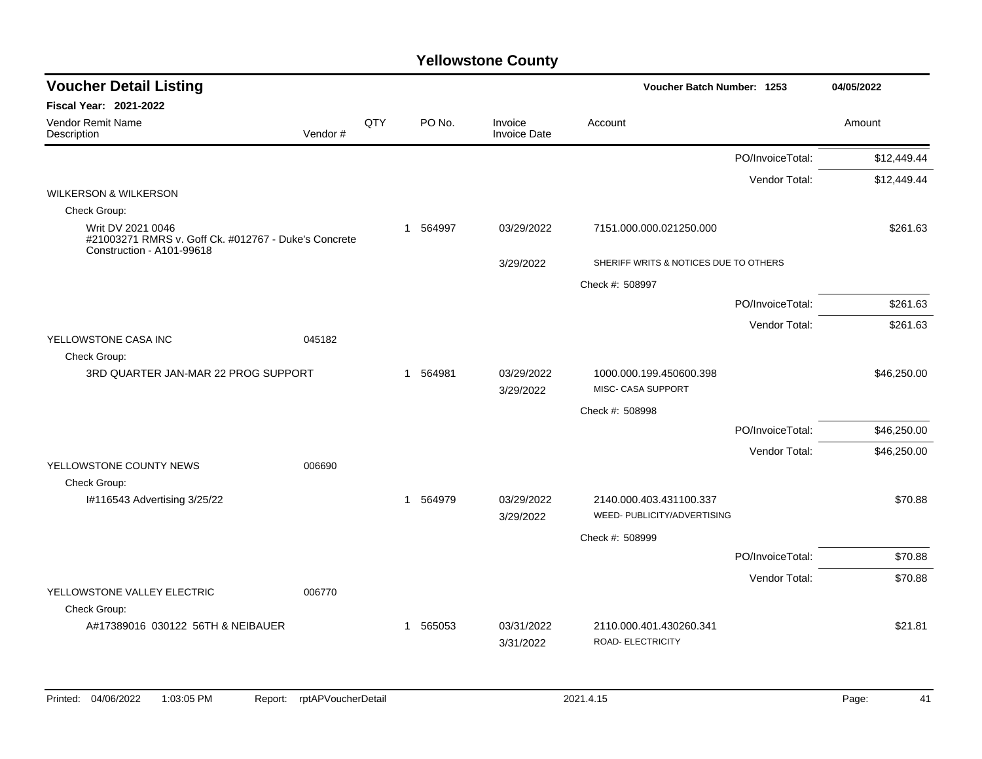| <b>Voucher Detail Listing</b>                                                                          |         |     |                        |                                | Voucher Batch Number: 1253                    |                  | 04/05/2022  |  |
|--------------------------------------------------------------------------------------------------------|---------|-----|------------------------|--------------------------------|-----------------------------------------------|------------------|-------------|--|
| <b>Fiscal Year: 2021-2022</b>                                                                          |         |     |                        |                                |                                               |                  |             |  |
| Vendor Remit Name<br>Description                                                                       | Vendor# | QTY | PO No.                 | Invoice<br><b>Invoice Date</b> | Account                                       |                  | Amount      |  |
|                                                                                                        |         |     |                        |                                |                                               | PO/InvoiceTotal: | \$12,449.44 |  |
|                                                                                                        |         |     |                        |                                |                                               | Vendor Total:    | \$12,449.44 |  |
| <b>WILKERSON &amp; WILKERSON</b>                                                                       |         |     |                        |                                |                                               |                  |             |  |
| Check Group:                                                                                           |         |     |                        |                                |                                               |                  |             |  |
| Writ DV 2021 0046<br>#21003271 RMRS v. Goff Ck. #012767 - Duke's Concrete<br>Construction - A101-99618 |         |     | 564997<br>$\mathbf{1}$ | 03/29/2022                     | 7151.000.000.021250.000                       |                  | \$261.63    |  |
|                                                                                                        |         |     |                        | 3/29/2022                      | SHERIFF WRITS & NOTICES DUE TO OTHERS         |                  |             |  |
|                                                                                                        |         |     |                        |                                | Check #: 508997                               |                  |             |  |
|                                                                                                        |         |     |                        |                                |                                               | PO/InvoiceTotal: | \$261.63    |  |
|                                                                                                        |         |     |                        |                                |                                               | Vendor Total:    | \$261.63    |  |
| YELLOWSTONE CASA INC                                                                                   | 045182  |     |                        |                                |                                               |                  |             |  |
| Check Group:                                                                                           |         |     |                        |                                |                                               |                  |             |  |
| 3RD QUARTER JAN-MAR 22 PROG SUPPORT                                                                    |         |     | 564981<br>$\mathbf{1}$ | 03/29/2022<br>3/29/2022        | 1000.000.199.450600.398<br>MISC- CASA SUPPORT |                  | \$46,250.00 |  |
|                                                                                                        |         |     |                        |                                | Check #: 508998                               |                  |             |  |
|                                                                                                        |         |     |                        |                                |                                               | PO/InvoiceTotal: | \$46,250.00 |  |
|                                                                                                        |         |     |                        |                                |                                               | Vendor Total:    | \$46,250.00 |  |
| YELLOWSTONE COUNTY NEWS                                                                                | 006690  |     |                        |                                |                                               |                  |             |  |
| Check Group:<br>I#116543 Advertising 3/25/22                                                           |         |     | 1 564979               | 03/29/2022                     | 2140.000.403.431100.337                       |                  | \$70.88     |  |
|                                                                                                        |         |     |                        | 3/29/2022                      | WEED- PUBLICITY/ADVERTISING                   |                  |             |  |
|                                                                                                        |         |     |                        |                                | Check #: 508999                               |                  |             |  |
|                                                                                                        |         |     |                        |                                |                                               | PO/InvoiceTotal: | \$70.88     |  |
|                                                                                                        |         |     |                        |                                |                                               | Vendor Total:    | \$70.88     |  |
| YELLOWSTONE VALLEY ELECTRIC<br>Check Group:                                                            | 006770  |     |                        |                                |                                               |                  |             |  |
| A#17389016 030122 56TH & NEIBAUER                                                                      |         |     | 1 565053               | 03/31/2022<br>3/31/2022        | 2110.000.401.430260.341<br>ROAD- ELECTRICITY  |                  | \$21.81     |  |